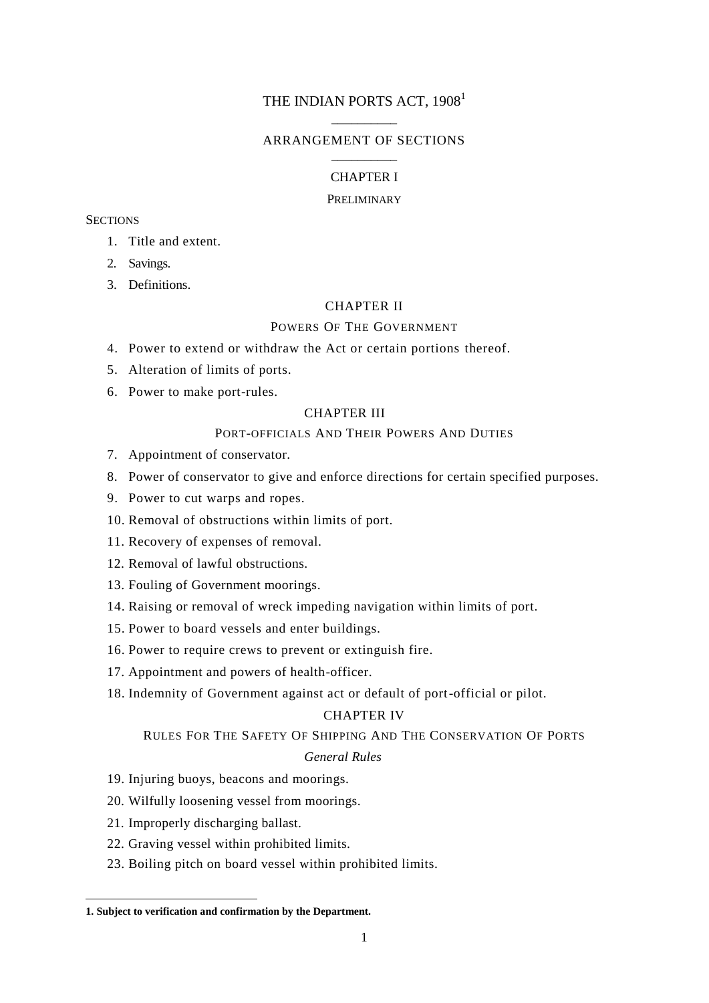# THE INDIAN PORTS ACT, 1908<sup>1</sup> \_\_\_\_\_\_\_\_\_\_

### ARRANGEMENT OF SECTIONS \_\_\_\_\_\_\_\_\_\_

# CHAPTER I

### PRELIMINARY

### **SECTIONS**

- 1. Title and extent.
- 2. Savings.
- 3. Definitions.

# CHAPTER II

### POWERS OF THE GOVERNMENT

- 4. Power to extend or withdraw the Act or certain portions thereof.
- 5. Alteration of limits of ports.
- 6. Power to make port-rules.

# CHAPTER III

### PORT-OFFICIALS AND THEIR POWERS AND DUTIES

- 7. Appointment of conservator.
- 8. Power of conservator to give and enforce directions for certain specified purposes.
- 9. Power to cut warps and ropes.
- 10. Removal of obstructions within limits of port.
- 11. Recovery of expenses of removal.
- 12. Removal of lawful obstructions.
- 13. Fouling of Government moorings.
- 14. Raising or removal of wreck impeding navigation within limits of port.
- 15. Power to board vessels and enter buildings.
- 16. Power to require crews to prevent or extinguish fire.
- 17. Appointment and powers of health-officer.
- 18. Indemnity of Government against act or default of port-official or pilot.

### CHAPTER IV

### RULES FOR THE SAFETY OF SHIPPING AND THE CONSERVATION OF PORTS

### *General Rules*

- 19. Injuring buoys, beacons and moorings.
- 20. Wilfully loosening vessel from moorings.
- 21. Improperly discharging ballast.

- 22. Graving vessel within prohibited limits.
- 23. Boiling pitch on board vessel within prohibited limits.

**<sup>1.</sup> Subject to verification and confirmation by the Department.**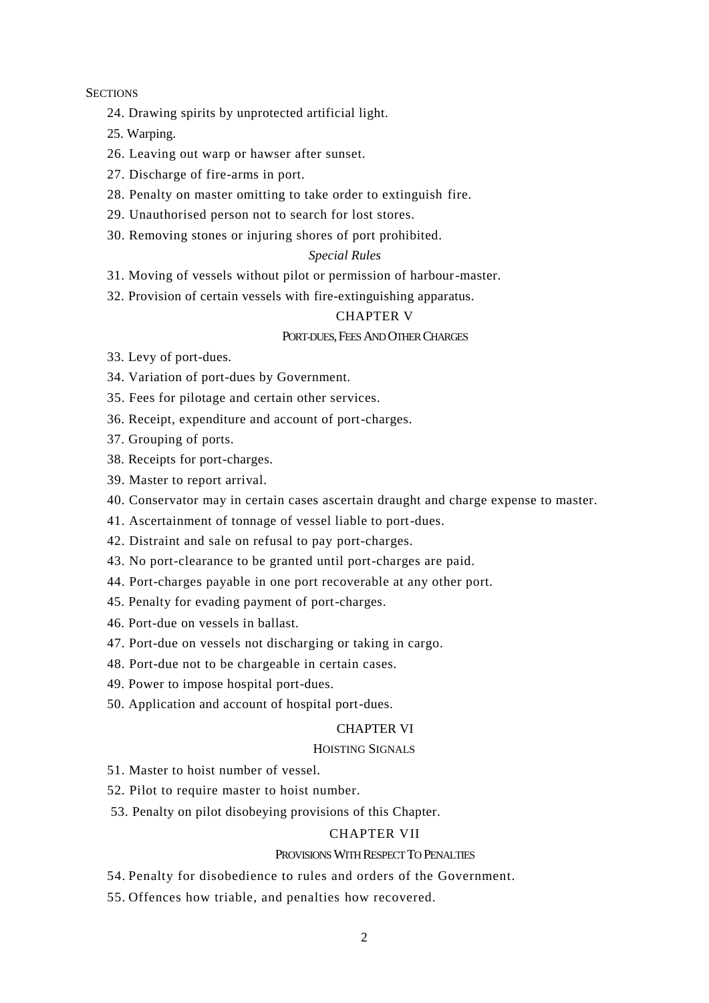#### **SECTIONS**

- 24. Drawing spirits by unprotected artificial light.
- 25. Warping.
- 26. Leaving out warp or hawser after sunset.
- 27. Discharge of fire-arms in port.
- 28. Penalty on master omitting to take order to extinguish fire.
- 29. Unauthorised person not to search for lost stores.
- 30. Removing stones or injuring shores of port prohibited.

# *Special Rules*

31. Moving of vessels without pilot or permission of harbour-master.

32. Provision of certain vessels with fire-extinguishing apparatus.

# CHAPTER V

### PORT-DUES, FEES AND OTHER CHARGES

- 33. Levy of port-dues.
- 34. Variation of port-dues by Government.
- 35. Fees for pilotage and certain other services.
- 36. Receipt, expenditure and account of port-charges.
- 37. Grouping of ports.
- 38. Receipts for port-charges.
- 39. Master to report arrival.
- 40. Conservator may in certain cases ascertain draught and charge expense to master.
- 41. Ascertainment of tonnage of vessel liable to port-dues.
- 42. Distraint and sale on refusal to pay port-charges.
- 43. No port-clearance to be granted until port-charges are paid.
- 44. Port-charges payable in one port recoverable at any other port.
- 45. Penalty for evading payment of port-charges.
- 46. Port-due on vessels in ballast.
- 47. Port-due on vessels not discharging or taking in cargo.
- 48. Port-due not to be chargeable in certain cases.
- 49. Power to impose hospital port-dues.
- 50. Application and account of hospital port-dues.

### CHAPTER VI

#### HOISTING SIGNALS

- 51. Master to hoist number of vessel.
- 52. Pilot to require master to hoist number.
- 53. Penalty on pilot disobeying provisions of this Chapter.

### CHAPTER VII

### PROVISIONS WITH RESPECT TO PENALTIES

- 54. Penalty for disobedience to rules and orders of the Government.
- 55. Offences how triable, and penalties how recovered.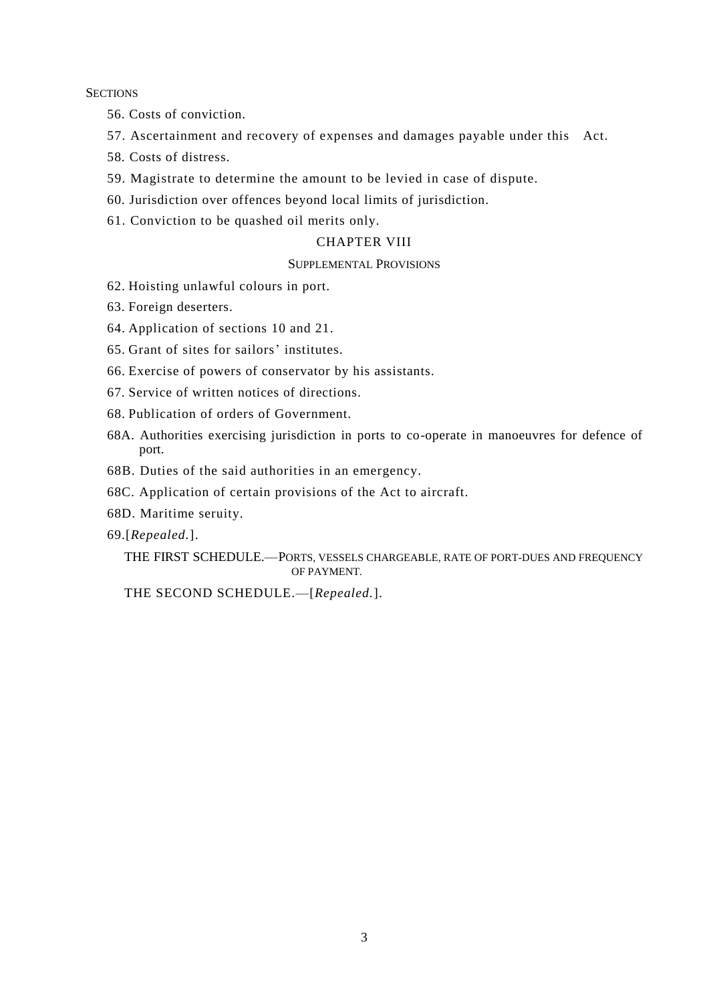#### **SECTIONS**

- 56. Costs of conviction.
- 57. Ascertainment and recovery of expenses and damages payable under this Act.
- 58. Costs of distress.
- 59. Magistrate to determine the amount to be levied in case of dispute.
- 60. Jurisdiction over offences beyond local limits of jurisdiction.
- 61. Conviction to be quashed oil merits only.

# CHAPTER VIII

#### SUPPLEMENTAL PROVISIONS

- 62. Hoisting unlawful colours in port.
- 63. Foreign deserters.
- 64. Application of sections 10 and 21.
- 65. Grant of sites for sailors' institutes.
- 66. Exercise of powers of conservator by his assistants.
- 67. Service of written notices of directions.
- 68. Publication of orders of Government.
- 68A. Authorities exercising jurisdiction in ports to co-operate in manoeuvres for defence of port.
- 68B. Duties of the said authorities in an emergency.
- 68C. Application of certain provisions of the Act to aircraft.
- 68D. Maritime seruity.
- 69.[*Repealed.*].

# THE FIRST SCHEDULE.—PORTS, VESSELS CHARGEABLE, RATE OF PORT-DUES AND FREQUENCY OF PAYMENT.

THE SECOND SCHEDULE.—[*Repealed.*].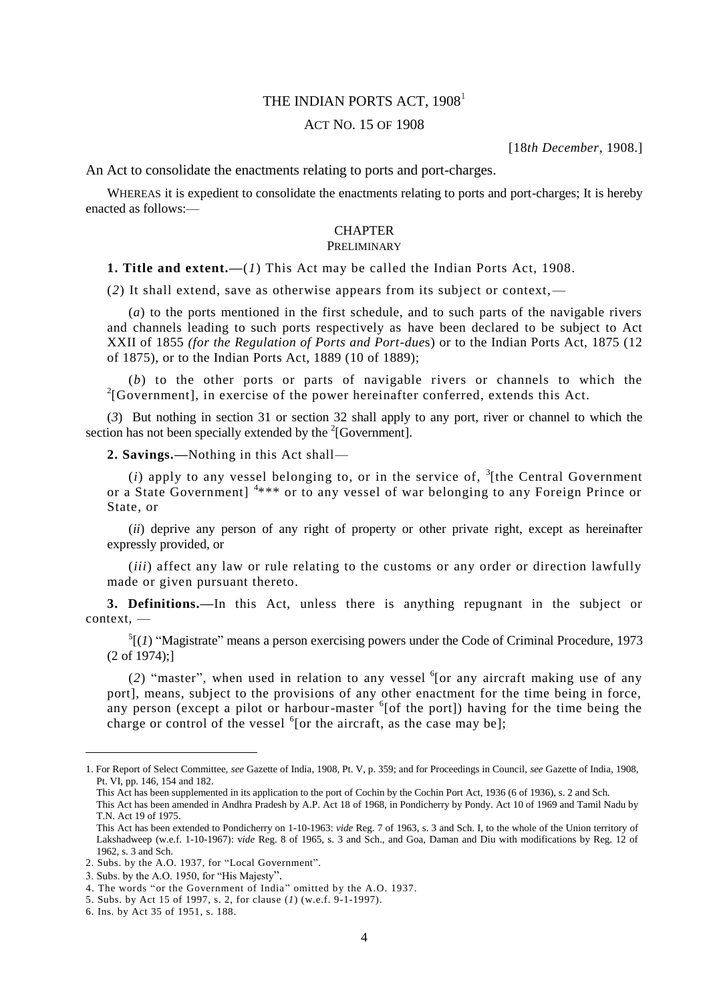# THE INDIAN PORTS ACT, 1908<sup>1</sup>

### ACT NO. 15 OF 1908

[18*th December*, 1908.]

An Act to consolidate the enactments relating to ports and port-charges.

WHEREAS it is expedient to consolidate the enactments relating to ports and port-charges; It is hereby enacted as follows:—

# **CHAPTER**

# PRELIMINARY

**1. Title and extent.—**(*1*) This Act may be called the Indian Ports Act, 1908.

(*2*) It shall extend, save as otherwise appears from its subject or context,—

(*a*) to the ports mentioned in the first schedule, and to such parts of the navigable rivers and channels leading to such ports respectively as have been declared to be subject to Act XXII of 1855 *(for the Regulation of Ports and Port-due*s) or to the Indian Ports Act, 1875 (12 of 1875), or to the Indian Ports Act, 1889 (10 of 1889);

(*b*) to the other ports or parts of navigable rivers or channels to which the  $2$ [Government], in exercise of the power hereinafter conferred, extends this Act.

(*3*) But nothing in section 31 or section 32 shall apply to any port, river or channel to which the section has not been specially extended by the  $2$ [Government].

**2. Savings.—**Nothing in this Act shall—

 $(i)$  apply to any vessel belonging to, or in the service of,  $\frac{3}{1}$  (the Central Government or a State Government]<sup>4\*\*\*</sup> or to any vessel of war belonging to any Foreign Prince or State, or

(*ii*) deprive any person of any right of property or other private right, except as hereinafter expressly provided, or

(*iii*) affect any law or rule relating to the customs or any order or direction lawfully made or given pursuant thereto.

**3. Definitions.—**In this Act, unless there is anything repugnant in the subject or context, —

 $<sup>5</sup>$ [(*1*) "Magistrate" means a person exercising powers under the Code of Criminal Procedure, 1973</sup> (2 of 1974);]

(2) "master", when used in relation to any vessel  $6$ [or any aircraft making use of any port], means, subject to the provisions of any other enactment for the time being in force, any person (except a pilot or harbour-master  $6$ [of the port]) having for the time being the charge or control of the vessel  $6$  [or the aircraft, as the case may be];

Thi*s* Act has been supplemented in its application to the port of Cochin by the Cochin Port Act, 1936 (6 of 1936), s. 2 and Sch. This Act has been amended in Andhra Pradesh by A.P. Act 18 of 1968, in Pondicherry by Pondy. Act 10 of 1969 and Tamil Nadu by

<sup>1.</sup> For Report of Select Committee, *see* Gazette of India, 1908, Pt. V, p. 359; and for Proceedings in Council, *see* Gazette of India, 1908, Pt. VI, pp. 146, 154 and 182.

T.N. Act 19 of 1975.

This Act has been extended to Pondicherry on 1-10-1963: *vide* Reg. 7 of 1963, s. 3 and Sch. I, to the whole of the Union territory of Lakshadweep (w.e.f. 1-10-1967): v*ide* Reg. 8 of 1965, s. 3 and Sch., and Goa, Daman and Diu with modifications by Reg. 12 of 1962, s. 3 and Sch.

<sup>2.</sup> Subs. by the A.O. 1937, for "Local Government".

<sup>3.</sup> Subs. by the A.O. 1950, for "His Majesty".

<sup>4.</sup> The words "or the Government of India" omitted by the A.O. 1937.

<sup>5.</sup> Subs. by Act 15 of 1997, s. 2, for clause (*1*) (w.e.f. 9-1-1997).

<sup>6.</sup> Ins. by Act 35 of 1951, s. 188.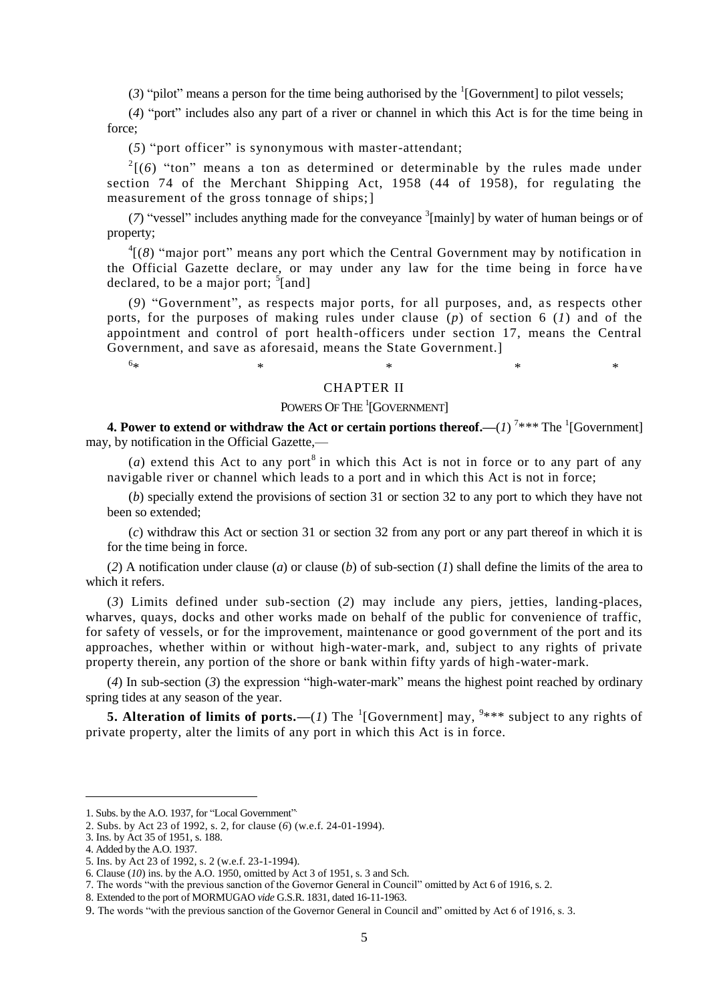(3) "pilot" means a person for the time being authorised by the  ${}^{1}$ [Government] to pilot vessels;

(*4*) "port" includes also any part of a river or channel in which this Act is for the time being in force;

(*5*) "port officer" is synonymous with master-attendant;

 $2(6)$  "ton" means a ton as determined or determinable by the rules made under section 74 of the Merchant Shipping Act, 1958 (44 of 1958), for regulating the measurement of the gross tonnage of ships;]

( $7$ ) "vessel" includes anything made for the conveyance  $\frac{3}{2}$  [mainly] by water of human beings or of property;

 ${}^{4}$ [(8) "major port" means any port which the Central Government may by notification in the Official Gazette declare, or may under any law for the time being in force ha ve declared, to be a major port; <sup>5</sup>[and]

(9) "Government", as respects major ports, for all purposes, and, as respects other ports, for the purposes of making rules under clause (*p*) of section 6 (*1*) and of the appointment and control of port health-officers under section 17, means the Central Government, and save as aforesaid, means the State Government.]

#### $6*$  $*$   $*$   $*$   $*$   $*$   $*$

### CHAPTER II

# POWERS OF THE <sup>1</sup>[GOVERNMENT]

**4. Power to extend or withdraw the Act or certain portions thereof.—** $(I)^{7**}$  **The**  $^1$ **[Government]** may, by notification in the Official Gazette,—

(*a*) extend this Act to any port<sup>8</sup> in which this Act is not in force or to any part of any navigable river or channel which leads to a port and in which this Act is not in force;

(*b*) specially extend the provisions of section 31 or section 32 to any port to which they have not been so extended;

(*c*) withdraw this Act or section 31 or section 32 from any port or any part thereof in which it is for the time being in force.

(*2*) A notification under clause (*a*) or clause (*b*) of sub-section (*1*) shall define the limits of the area to which it refers.

(*3*) Limits defined under sub-section (*2*) may include any piers, jetties, landing-places, wharves, quays, docks and other works made on behalf of the public for convenience of traffic, for safety of vessels, or for the improvement, maintenance or good government of the port and its approaches, whether within or without high-water-mark, and, subject to any rights of private property therein, any portion of the shore or bank within fifty yards of high-water-mark.

(*4*) In sub-section (*3*) the expression "high-water-mark" means the highest point reached by ordinary spring tides at any season of the year.

**5. Alteration of limits of ports.**—(*1*) The <sup>1</sup>[Government] may,  $9***$  subject to any rights of private property, alter the limits of any port in which this Act is in force.

<sup>1.</sup> Subs. by the A.O. 1937, for "Local Government" .

<sup>2.</sup> Subs. by Act 23 of 1992, s. 2, for clause (*6*) (w.e.f. 24-01-1994).

<sup>3.</sup> Ins. by Act 35 of 1951, s. 188.

<sup>4.</sup> Added by the A.O. 1937.

<sup>5.</sup> Ins. by Act 23 of 1992, s. 2 (w.e.f. 23-1-1994).

<sup>6.</sup> Clause (*10*) ins. by the A.O. 1950, omitted by Act 3 of 1951, s. 3 and Sch.

<sup>7.</sup> The words "with the previous sanction of the Governor General in Council" omitted by Act 6 of 1916, s. 2.

<sup>8.</sup> Extended to the port of MORMUGAO *vide* G.S.R. 1831, dated 16-11-1963.

<sup>9.</sup> The words "with the previous sanction of the Governor General in Council and" omitted by Act 6 of 1916, s. 3.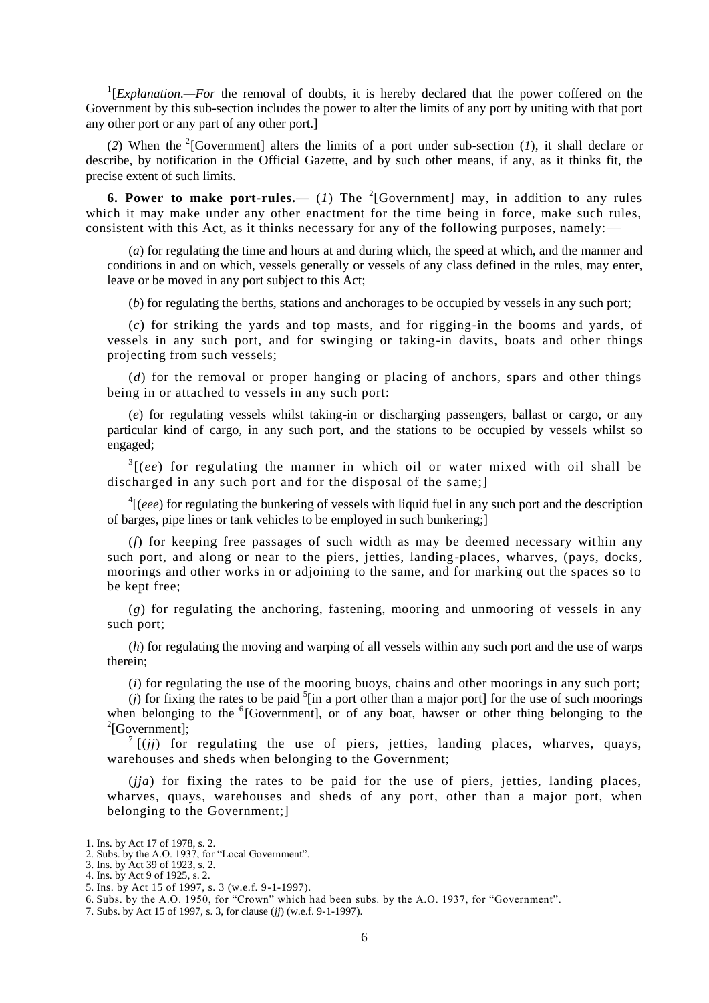<sup>1</sup>[*Explanation.—For* the removal of doubts, it is hereby declared that the power coffered on the Government by this sub-section includes the power to alter the limits of any port by uniting with that port any other port or any part of any other port.]

(2) When the <sup>2</sup>[Government] alters the limits of a port under sub-section (*1*), it shall declare or describe, by notification in the Official Gazette, and by such other means, if any, as it thinks fit, the precise extent of such limits.

**6. Power to make port-rules.** (*1*) The <sup>2</sup>[Government] may, in addition to any rules which it may make under any other enactment for the time being in force, make such rules, consistent with this Act, as it thinks necessary for any of the following purposes, namely:

(*a*) for regulating the time and hours at and during which, the speed at which, and the manner and conditions in and on which, vessels generally or vessels of any class defined in the rules, may enter, leave or be moved in any port subject to this Act;

(*b*) for regulating the berths, stations and anchorages to be occupied by vessels in any such port;

(*c*) for striking the yards and top masts, and for rigging-in the booms and yards, of vessels in any such port, and for swinging or taking-in davits, boats and other things projecting from such vessels;

(*d*) for the removal or proper hanging or placing of anchors, spars and other things being in or attached to vessels in any such port:

(*e*) for regulating vessels whilst taking-in or discharging passengers, ballast or cargo, or any particular kind of cargo, in any such port, and the stations to be occupied by vessels whilst so engaged;

<sup>3</sup>[(*ee*) for regulating the manner in which oil or water mixed with oil shall be discharged in any such port and for the disposal of the same;

<sup>4</sup>[(*eee*) for regulating the bunkering of vessels with liquid fuel in any such port and the description of barges, pipe lines or tank vehicles to be employed in such bunkering;]

 $(f)$  for keeping free passages of such width as may be deemed necessary within any such port, and along or near to the piers, jetties, landing-places, wharves, (pays, docks, moorings and other works in or adjoining to the same, and for marking out the spaces so to be kept free;

(*g*) for regulating the anchoring, fastening, mooring and unmooring of vessels in any such port;

(*h*) for regulating the moving and warping of all vessels within any such port and the use of warps therein;

(*i*) for regulating the use of the mooring buoys, chains and other moorings in any such port;

 $(j)$  for fixing the rates to be paid  $\frac{5}{2}$  [in a port other than a major port] for the use of such moorings when belonging to the <sup>6</sup>[Government], or of any boat, hawser or other thing belonging to the 2 [Government];

 $7$   $(ijj)$  for regulating the use of piers, jetties, landing places, wharves, quays, warehouses and sheds when belonging to the Government;

(*jja*) for fixing the rates to be paid for the use of piers, jetties, landing places, wharves, quays, warehouses and sheds of any port, other than a major port, when belonging to the Government;]

<sup>1.</sup> Ins. by Act 17 of 1978, s. 2. 2. Subs. by the A.O. 1937, for "Local Government".

<sup>3.</sup> Ins. by Act 39 of 1923, s. 2.

<sup>4.</sup> Ins. by Act 9 of 1925, s. 2.

<sup>5.</sup> Ins. by Act 15 of 1997, s. 3 (w.e.f. 9-1-1997).

<sup>6.</sup> Subs. by the A.O. 1950, for "Crown" which had been subs. by the A.O. 1937, for "Government".

<sup>7.</sup> Subs. by Act 15 of 1997, s. 3, for clause (*jj*) (w.e.f. 9-1-1997).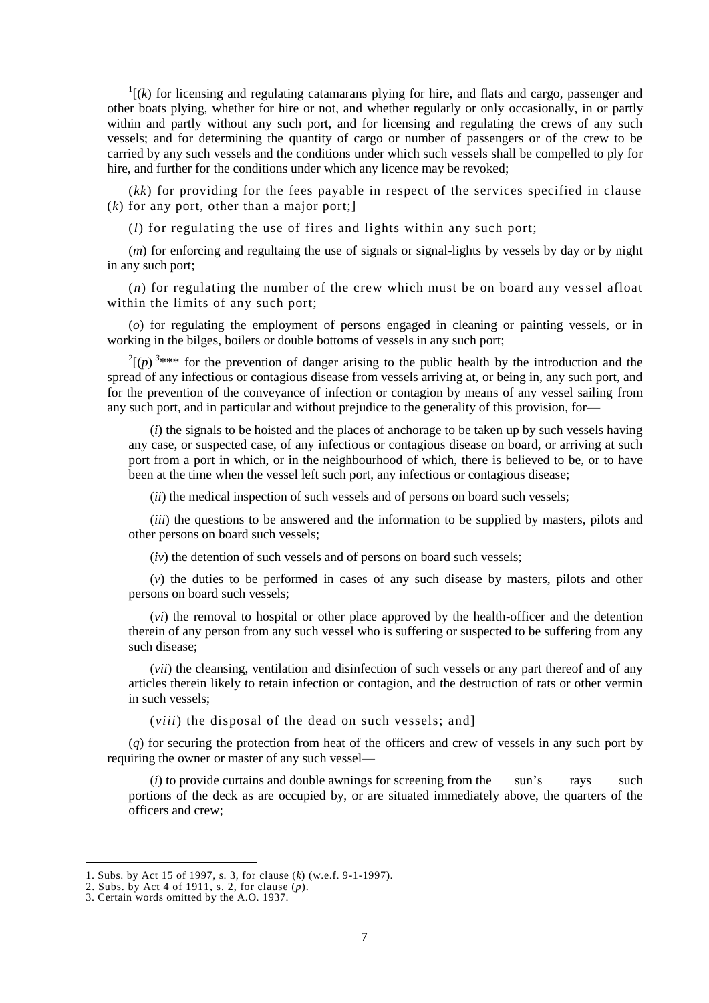$\frac{1}{k}$  (*k*) for licensing and regulating catamarans plying for hire, and flats and cargo, passenger and other boats plying, whether for hire or not, and whether regularly or only occasionally, in or partly within and partly without any such port, and for licensing and regulating the crews of any such vessels; and for determining the quantity of cargo or number of passengers or of the crew to be carried by any such vessels and the conditions under which such vessels shall be compelled to ply for hire, and further for the conditions under which any licence may be revoked;

(*kk*) for providing for the fees payable in respect of the services specified in clause (*k*) for any port, other than a major port;]

(*l*) for regulating the use of fires and lights within any such port;

(*m*) for enforcing and regultaing the use of signals or signal-lights by vessels by day or by night in any such port;

(*n*) for regulating the number of the crew which must be on board any vessel afloat within the limits of any such port;

(*o*) for regulating the employment of persons engaged in cleaning or painting vessels, or in working in the bilges, boilers or double bottoms of vessels in any such port;

 $2^{2}$ (*p*)<sup>3\*\*\*</sup> for the prevention of danger arising to the public health by the introduction and the spread of any infectious or contagious disease from vessels arriving at, or being in, any such port, and for the prevention of the conveyance of infection or contagion by means of any vessel sailing from any such port, and in particular and without prejudice to the generality of this provision, for—

(*i*) the signals to be hoisted and the places of anchorage to be taken up by such vessels having any case, or suspected case, of any infectious or contagious disease on board, or arriving at such port from a port in which, or in the neighbourhood of which, there is believed to be, or to have been at the time when the vessel left such port, any infectious or contagious disease;

(*ii*) the medical inspection of such vessels and of persons on board such vessels;

(*iii*) the questions to be answered and the information to be supplied by masters, pilots and other persons on board such vessels;

(*iv*) the detention of such vessels and of persons on board such vessels;

(*v*) the duties to be performed in cases of any such disease by masters, pilots and other persons on board such vessels;

(*vi*) the removal to hospital or other place approved by the health-officer and the detention therein of any person from any such vessel who is suffering or suspected to be suffering from any such disease;

(*vii*) the cleansing, ventilation and disinfection of such vessels or any part thereof and of any articles therein likely to retain infection or contagion, and the destruction of rats or other vermin in such vessels;

(*viii*) the disposal of the dead on such vessels; and]

(*q*) for securing the protection from heat of the officers and crew of vessels in any such port by requiring the owner or master of any such vessel—

(*i*) to provide curtains and double awnings for screening from the sun's rays such portions of the deck as are occupied by, or are situated immediately above, the quarters of the officers and crew;

<sup>1.</sup> Subs. by Act 15 of 1997, s. 3, for clause (*k*) (w.e.f. 9-1-1997).

<sup>2.</sup> Subs. by Act 4 of 1911, s. 2, for clause (*p*).

<sup>3.</sup> Certain words omitted by the A.O. 1937.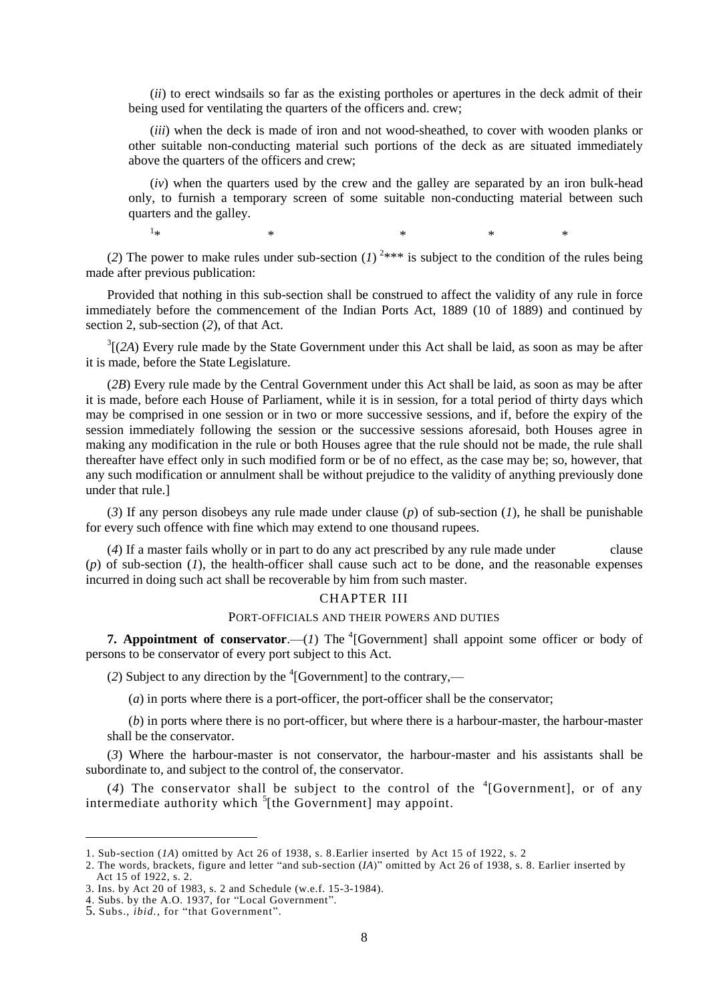(*ii*) to erect windsails so far as the existing portholes or apertures in the deck admit of their being used for ventilating the quarters of the officers and. crew;

(*iii*) when the deck is made of iron and not wood-sheathed, to cover with wooden planks or other suitable non-conducting material such portions of the deck as are situated immediately above the quarters of the officers and crew;

(*iv*) when the quarters used by the crew and the galley are separated by an iron bulk-head only, to furnish a temporary screen of some suitable non-conducting material between such quarters and the galley.

 $1_{\star}$  $*$   $*$   $*$   $*$   $*$ 

(2) The power to make rules under sub-section  $(I)$ <sup>2\*\*\*</sup> is subject to the condition of the rules being made after previous publication:

Provided that nothing in this sub-section shall be construed to affect the validity of any rule in force immediately before the commencement of the Indian Ports Act, 1889 (10 of 1889) and continued by section 2, sub-section (*2*), of that Act.

 $3$ [(2A) Every rule made by the State Government under this Act shall be laid, as soon as may be after it is made, before the State Legislature.

(*2B*) Every rule made by the Central Government under this Act shall be laid, as soon as may be after it is made, before each House of Parliament, while it is in session, for a total period of thirty days which may be comprised in one session or in two or more successive sessions, and if, before the expiry of the session immediately following the session or the successive sessions aforesaid, both Houses agree in making any modification in the rule or both Houses agree that the rule should not be made, the rule shall thereafter have effect only in such modified form or be of no effect, as the case may be; so, however, that any such modification or annulment shall be without prejudice to the validity of anything previously done under that rule.]

(*3*) If any person disobeys any rule made under clause (*p*) of sub-section (*1*), he shall be punishable for every such offence with fine which may extend to one thousand rupees.

(*4*) If a master fails wholly or in part to do any act prescribed by any rule made under clause (*p*) of sub-section (*1*), the health-officer shall cause such act to be done, and the reasonable expenses incurred in doing such act shall be recoverable by him from such master.

#### CHAPTER III

#### PORT-OFFICIALS AND THEIR POWERS AND DUTIES

**7. Appointment of conservator.**—(*1*) The  ${}^{4}$ [Government] shall appoint some officer or body of persons to be conservator of every port subject to this Act.

(2) Subject to any direction by the  ${}^{4}$ [Government] to the contrary,—

(*a*) in ports where there is a port-officer, the port-officer shall be the conservator;

(*b*) in ports where there is no port-officer, but where there is a harbour-master, the harbour-master shall be the conservator.

(*3*) Where the harbour-master is not conservator, the harbour-master and his assistants shall be subordinate to, and subject to the control of, the conservator.

(4) The conservator shall be subject to the control of the  ${}^{4}$ [Government], or of any intermediate authority which  $\frac{5}{3}$ [the Government] may appoint.

<sup>1.</sup> Sub-section (*1A*) omitted by Act 26 of 1938, s. 8.Earlier inserted by Act 15 of 1922, s. 2

<sup>2.</sup> The words, brackets, figure and letter "and sub-section (*IA*)" omitted by Act 26 of 1938, s. 8. Earlier inserted by Act 15 of 1922, s. 2.

<sup>3.</sup> Ins. by Act 20 of 1983, s. 2 and Schedule (w.e.f. 15-3-1984).

<sup>4.</sup> Subs. by the A.O. 1937, for "Local Government".

<sup>5.</sup> Subs., *ibid.,* for "that Government".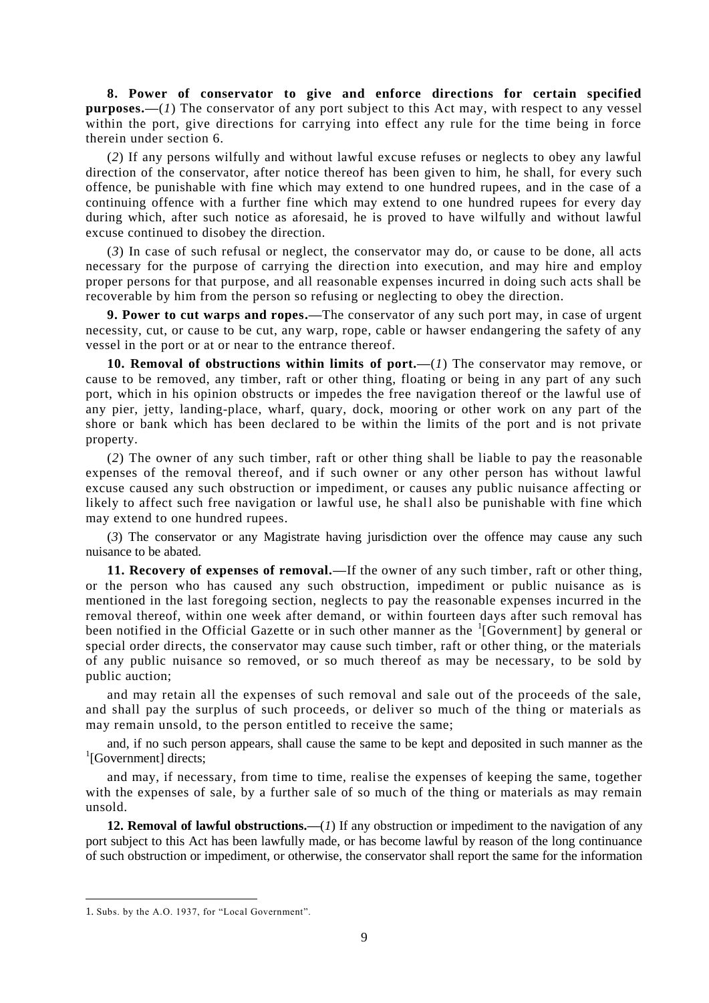**8. Power of conservator to give and enforce directions for certain specified purposes.—**(*1*) The conservator of any port subject to this Act may, with respect to any vessel within the port, give directions for carrying into effect any rule for the time being in force therein under section 6.

(*2*) If any persons wilfully and without lawful excuse refuses or neglects to obey any lawful direction of the conservator, after notice thereof has been given to him, he shall, for every such offence, be punishable with fine which may extend to one hundred rupees, and in the case of a continuing offence with a further fine which may extend to one hundred rupees for every day during which, after such notice as aforesaid, he is proved to have wilfully and without lawful excuse continued to disobey the direction.

(*3*) In case of such refusal or neglect, the conservator may do, or cause to be done, all acts necessary for the purpose of carrying the direction into execution, and may hire and employ proper persons for that purpose, and all reasonable expenses incurred in doing such acts shall be recoverable by him from the person so refusing or neglecting to obey the direction.

**9. Power to cut warps and ropes.—**The conservator of any such port may, in case of urgent necessity, cut, or cause to be cut, any warp, rope, cable or hawser endangering the safety of any vessel in the port or at or near to the entrance thereof.

**10. Removal of obstructions within limits of port.—**(*1*) The conservator may remove, or cause to be removed, any timber, raft or other thing, floating or being in any part of any such port, which in his opinion obstructs or impedes the free navigation thereof or the lawful use of any pier, jetty, landing-place, wharf, quary, dock, mooring or other work on any part of the shore or bank which has been declared to be within the limits of the port and is not private property.

 $(2)$  The owner of any such timber, raft or other thing shall be liable to pay the reasonable expenses of the removal thereof, and if such owner or any other person has without lawful excuse caused any such obstruction or impediment, or causes any public nuisance affecting or likely to affect such free navigation or lawful use, he shall also be punishable with fine which may extend to one hundred rupees.

(*3*) The conservator or any Magistrate having jurisdiction over the offence may cause any such nuisance to be abated.

**11. Recovery of expenses of removal.—**If the owner of any such timber, raft or other thing, or the person who has caused any such obstruction, impediment or public nuisance as is mentioned in the last foregoing section, neglects to pay the reasonable expenses incurred in the removal thereof, within one week after demand, or within fourteen days after such removal has been notified in the Official Gazette or in such other manner as the  ${}^{1}$ [Government] by general or special order directs, the conservator may cause such timber, raft or other thing, or the materials of any public nuisance so removed, or so much thereof as may be necessary, to be sold by public auction;

and may retain all the expenses of such removal and sale out of the proceeds of the sale, and shall pay the surplus of such proceeds, or deliver so much of the thing or materials as may remain unsold, to the person entitled to receive the same;

and, if no such person appears, shall cause the same to be kept and deposited in such manner as the <sup>1</sup>[Government] directs;

and may, if necessary, from time to time, realise the expenses of keeping the same, together with the expenses of sale, by a further sale of so much of the thing or materials as may remain unsold.

**12. Removal of lawful obstructions.—**(*1*) If any obstruction or impediment to the navigation of any port subject to this Act has been lawfully made, or has become lawful by reason of the long continuance of such obstruction or impediment, or otherwise, the conservator shall report the same for the information

<sup>1.</sup> Subs. by the A.O. 1937, for "Local Government".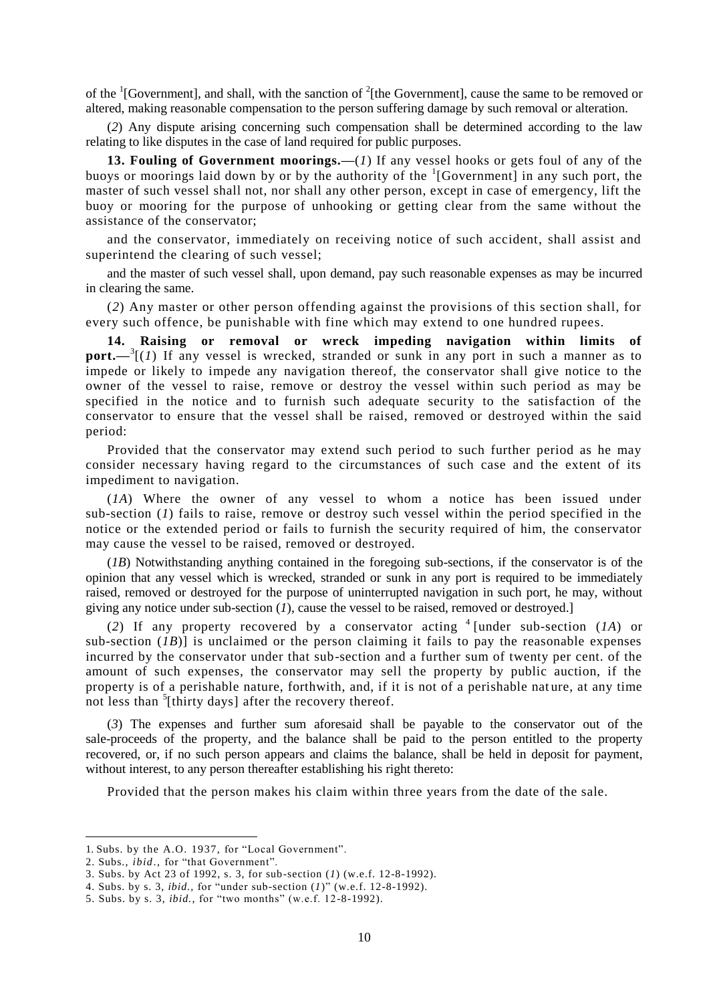of the  ${}^{1}$ [Government], and shall, with the sanction of  ${}^{2}$ [the Government], cause the same to be removed or altered, making reasonable compensation to the person suffering damage by such removal or alteration.

(*2*) Any dispute arising concerning such compensation shall be determined according to the law relating to like disputes in the case of land required for public purposes.

**13. Fouling of Government moorings.—**(*1*) If any vessel hooks or gets foul of any of the buoys or moorings laid down by or by the authority of the <sup>1</sup>[Government] in any such port, the master of such vessel shall not, nor shall any other person, except in case of emergency, lift the buoy or mooring for the purpose of unhooking or getting clear from the same without the assistance of the conservator;

and the conservator, immediately on receiving notice of such accident, shall assist and superintend the clearing of such vessel;

and the master of such vessel shall, upon demand, pay such reasonable expenses as may be incurred in clearing the same.

(*2*) Any master or other person offending against the provisions of this section shall, for every such offence, be punishable with fine which may extend to one hundred rupees.

**14. Raising or removal or wreck impeding navigation within limits of**  port.—<sup>3</sup>[(*1*) If any vessel is wrecked, stranded or sunk in any port in such a manner as to impede or likely to impede any navigation thereof, the conservator shall give notice to the owner of the vessel to raise, remove or destroy the vessel within such period as may be specified in the notice and to furnish such adequate security to the satisfaction of the conservator to ensure that the vessel shall be raised, removed or destroyed within the said period:

Provided that the conservator may extend such period to such further period as he may consider necessary having regard to the circumstances of such case and the extent of its impediment to navigation.

(*1A*) Where the owner of any vessel to whom a notice has been issued under sub-section (*1*) fails to raise, remove or destroy such vessel within the period specified in the notice or the extended period or fails to furnish the security required of him, the conservator may cause the vessel to be raised, removed or destroyed.

(*1B*) Notwithstanding anything contained in the foregoing sub-sections, if the conservator is of the opinion that any vessel which is wrecked, stranded or sunk in any port is required to be immediately raised, removed or destroyed for the purpose of uninterrupted navigation in such port, he may, without giving any notice under sub-section (*1*), cause the vessel to be raised, removed or destroyed.]

(2) If any property recovered by a conservator acting  $4$  [under sub-section (*1A*) or sub-section  $(IB)$  is unclaimed or the person claiming it fails to pay the reasonable expenses incurred by the conservator under that sub-section and a further sum of twenty per cent. of the amount of such expenses, the conservator may sell the property by public auction, if the property is of a perishable nature, forthwith, and, if it is not of a perishable nat ure, at any time not less than  $\frac{5}{1}$ [thirty days] after the recovery thereof.

(*3*) The expenses and further sum aforesaid shall be payable to the conservator out of the sale-proceeds of the property, and the balance shall be paid to the person entitled to the property recovered, or, if no such person appears and claims the balance, shall be held in deposit for payment, without interest, to any person thereafter establishing his right thereto:

Provided that the person makes his claim within three years from the date of the sale.

<sup>1.</sup> Subs. by the A.O. 1937, for "Local Government".

<sup>2.</sup> Subs., *ibid*., for "that Government".

<sup>3.</sup> Subs. by Act 23 of 1992, s. 3, for sub-section (*1*) (w.e.f. 12-8-1992).

<sup>4.</sup> Subs. by s. 3, *ibid.,* for "under sub-section (*1*)" (w.e.f. 12-8-1992).

<sup>5.</sup> Subs. by s. 3, *ibid.,* for "two months" (w.e.f. 12-8-1992).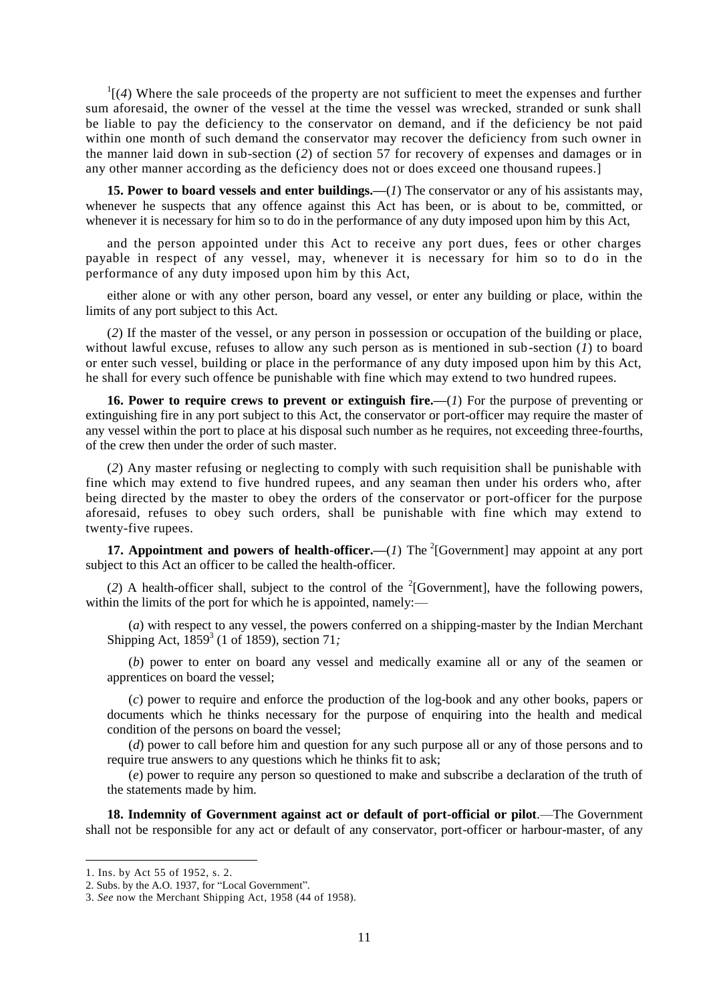$\frac{1}{4}$  (4) Where the sale proceeds of the property are not sufficient to meet the expenses and further sum aforesaid, the owner of the vessel at the time the vessel was wrecked, stranded or sunk shall be liable to pay the deficiency to the conservator on demand, and if the deficiency be not paid within one month of such demand the conservator may recover the deficiency from such owner in the manner laid down in sub-section (*2*) of section 57 for recovery of expenses and damages or in any other manner according as the deficiency does not or does exceed one thousand rupees.]

**15. Power to board vessels and enter buildings.—**(*1*) The conservator or any of his assistants may, whenever he suspects that any offence against this Act has been, or is about to be, committed, or whenever it is necessary for him so to do in the performance of any duty imposed upon him by this Act,

and the person appointed under this Act to receive any port dues, fees or other charges payable in respect of any vessel, may, whenever it is necessary for him so to do in the performance of any duty imposed upon him by this Act,

either alone or with any other person, board any vessel, or enter any building or place, within the limits of any port subject to this Act.

(*2*) If the master of the vessel, or any person in possession or occupation of the building or place, without lawful excuse, refuses to allow any such person as is mentioned in sub-section (*1*) to board or enter such vessel, building or place in the performance of any duty imposed upon him by this Act, he shall for every such offence be punishable with fine which may extend to two hundred rupees.

**16. Power to require crews to prevent or extinguish fire.—**(*1*) For the purpose of preventing or extinguishing fire in any port subject to this Act, the conservator or port-officer may require the master of any vessel within the port to place at his disposal such number as he requires, not exceeding three-fourths, of the crew then under the order of such master.

(*2*) Any master refusing or neglecting to comply with such requisition shall be punishable with fine which may extend to five hundred rupees, and any seaman then under his orders who, after being directed by the master to obey the orders of the conservator or port-officer for the purpose aforesaid, refuses to obey such orders, shall be punishable with fine which may extend to twenty-five rupees.

**17. Appointment and powers of health-officer.—** $(I)$  **The <sup>2</sup>[Government] may appoint at any port** subject to this Act an officer to be called the health-officer.

(2) A health-officer shall, subject to the control of the  ${}^{2}$ [Government], have the following powers, within the limits of the port for which he is appointed, namely:—

(*a*) with respect to any vessel, the powers conferred on a shipping-master by the Indian Merchant Shipping Act, 1859<sup>3</sup> (1 of 1859), section 71*;*

(*b*) power to enter on board any vessel and medically examine all or any of the seamen or apprentices on board the vessel;

(*c*) power to require and enforce the production of the log-book and any other books, papers or documents which he thinks necessary for the purpose of enquiring into the health and medical condition of the persons on board the vessel;

(*d*) power to call before him and question for any such purpose all or any of those persons and to require true answers to any questions which he thinks fit to ask;

(*e*) power to require any person so questioned to make and subscribe a declaration of the truth of the statements made by him.

**18. Indemnity of Government against act or default of port-official or pilot**.—The Government shall not be responsible for any act or default of any conservator, port-officer or harbour-master, of any

<sup>1.</sup> Ins. by Act 55 of 1952, s. 2.

<sup>2.</sup> Subs. by the A.O. 1937, for "Local Government".

<sup>3.</sup> *See* now the Merchant Shipping Act, 1958 (44 of 1958).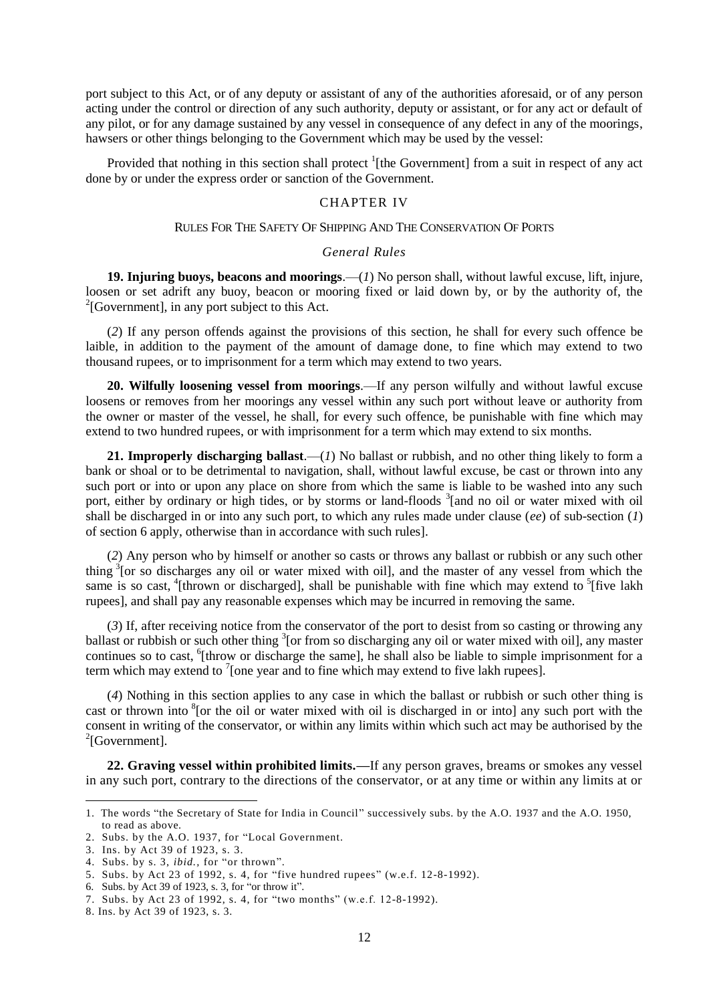port subject to this Act, or of any deputy or assistant of any of the authorities aforesaid, or of any person acting under the control or direction of any such authority, deputy or assistant, or for any act or default of any pilot, or for any damage sustained by any vessel in consequence of any defect in any of the moorings, hawsers or other things belonging to the Government which may be used by the vessel:

Provided that nothing in this section shall protect <sup>1</sup>[the Government] from a suit in respect of any act done by or under the express order or sanction of the Government.

# CHAPTER IV

#### RULES FOR THE SAFETY OF SHIPPING AND THE CONSERVATION OF PORTS

#### *General Rules*

**19. Injuring buoys, beacons and moorings**.—(*1*) No person shall, without lawful excuse, lift, injure, loosen or set adrift any buoy, beacon or mooring fixed or laid down by, or by the authority of, the  $2$ [Government], in any port subject to this Act.

(*2*) If any person offends against the provisions of this section, he shall for every such offence be laible, in addition to the payment of the amount of damage done, to fine which may extend to two thousand rupees, or to imprisonment for a term which may extend to two years.

**20. Wilfully loosening vessel from moorings**.—If any person wilfully and without lawful excuse loosens or removes from her moorings any vessel within any such port without leave or authority from the owner or master of the vessel, he shall, for every such offence, be punishable with fine which may extend to two hundred rupees, or with imprisonment for a term which may extend to six months.

**21. Improperly discharging ballast**.—(*1*) No ballast or rubbish, and no other thing likely to form a bank or shoal or to be detrimental to navigation, shall, without lawful excuse, be cast or thrown into any such port or into or upon any place on shore from which the same is liable to be washed into any such port, either by ordinary or high tides, or by storms or land-floods <sup>3</sup>[and no oil or water mixed with oil shall be discharged in or into any such port, to which any rules made under clause (*ee*) of sub-section (*1*) of section 6 apply, otherwise than in accordance with such rules].

(*2*) Any person who by himself or another so casts or throws any ballast or rubbish or any such other thing <sup>3</sup> [or so discharges any oil or water mixed with oil], and the master of any vessel from which the same is so cast, <sup>4</sup>[thrown or discharged], shall be punishable with fine which may extend to <sup>5</sup>[five lakh] rupees], and shall pay any reasonable expenses which may be incurred in removing the same.

(*3*) If, after receiving notice from the conservator of the port to desist from so casting or throwing any ballast or rubbish or such other thing <sup>3</sup>[or from so discharging any oil or water mixed with oil], any master continues so to cast, <sup>6</sup>[throw or discharge the same], he shall also be liable to simple imprisonment for a term which may extend to  $\sqrt{ }$  [one year and to fine which may extend to five lakh rupees].

(*4*) Nothing in this section applies to any case in which the ballast or rubbish or such other thing is cast or thrown into <sup>8</sup> [or the oil or water mixed with oil is discharged in or into] any such port with the consent in writing of the conservator, or within any limits within which such act may be authorised by the  $2$ [Government].

**22. Graving vessel within prohibited limits.—**If any person graves, breams or smokes any vessel in any such port, contrary to the directions of the conservator, or at any time or within any limits at or

<sup>1.</sup> The words "the Secretary of State for India in Council" successively subs. by the A.O. 1937 and the A.O. 1950, to read as above.

<sup>2.</sup> Subs. by the A.O. 1937, for "Local Government.

<sup>3.</sup> Ins. by Act 39 of 1923, s. 3.

<sup>4.</sup> Subs. by s. 3, *ibid.,* for "or thrown".

<sup>5.</sup> Subs. by Act 23 of 1992, s. 4, for "five hundred rupees" (w.e.f. 12-8-1992).

<sup>6.</sup> Subs. by Act 39 of 1923, s. 3, for "or throw it".

<sup>7.</sup> Subs. by Act 23 of 1992, s. 4, for "two months" (w.e.f. 12-8-1992).

<sup>8.</sup> Ins. by Act 39 of 1923, s. 3.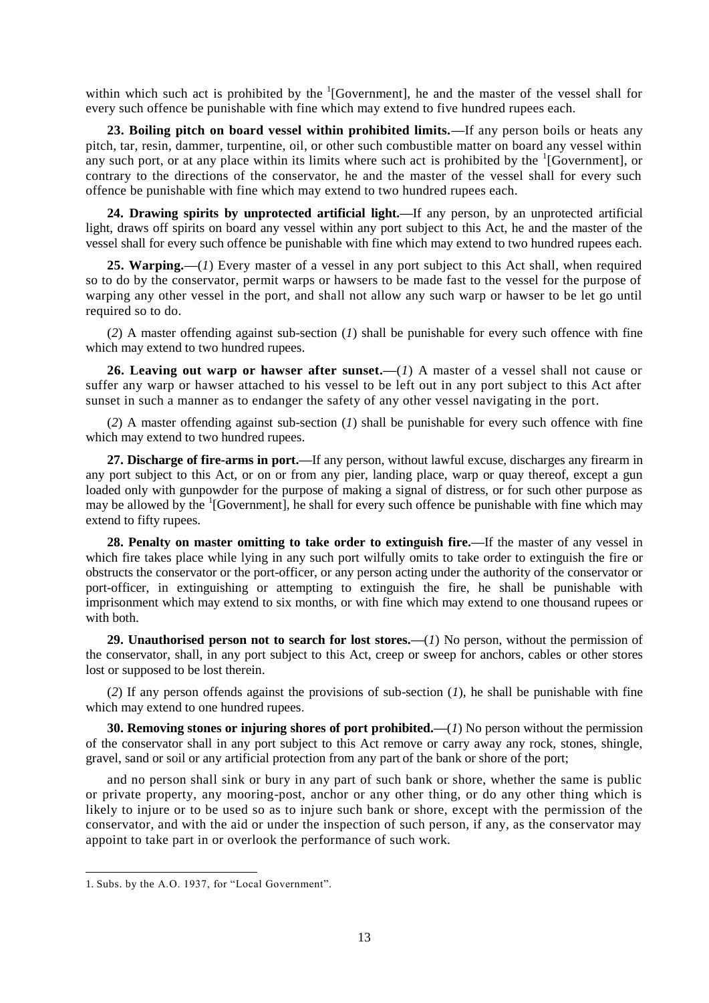within which such act is prohibited by the  $\frac{1}{1}$  [Government], he and the master of the vessel shall for every such offence be punishable with fine which may extend to five hundred rupees each.

**23. Boiling pitch on board vessel within prohibited limits.—**If any person boils or heats any pitch, tar, resin, dammer, turpentine, oil, or other such combustible matter on board any vessel within any such port, or at any place within its limits where such act is prohibited by the  ${}^{1}$ [Government], or contrary to the directions of the conservator, he and the master of the vessel shall for every such offence be punishable with fine which may extend to two hundred rupees each.

**24. Drawing spirits by unprotected artificial light.—**If any person, by an unprotected artificial light, draws off spirits on board any vessel within any port subject to this Act, he and the master of the vessel shall for every such offence be punishable with fine which may extend to two hundred rupees each.

**25. Warping.—**(*1*) Every master of a vessel in any port subject to this Act shall, when required so to do by the conservator, permit warps or hawsers to be made fast to the vessel for the purpose of warping any other vessel in the port, and shall not allow any such warp or hawser to be let go until required so to do.

(*2*) A master offending against sub-section (*1*) shall be punishable for every such offence with fine which may extend to two hundred rupees.

**26. Leaving out warp or hawser after sunset.—**(*1*) A master of a vessel shall not cause or suffer any warp or hawser attached to his vessel to be left out in any port subject to this Act after sunset in such a manner as to endanger the safety of any other vessel navigating in the port.

(*2*) A master offending against sub-section (*1*) shall be punishable for every such offence with fine which may extend to two hundred rupees.

**27. Discharge of fire-arms in port.—**If any person, without lawful excuse, discharges any firearm in any port subject to this Act, or on or from any pier, landing place, warp or quay thereof, except a gun loaded only with gunpowder for the purpose of making a signal of distress, or for such other purpose as may be allowed by the <sup>1</sup>[Government], he shall for every such offence be punishable with fine which may extend to fifty rupees.

**28. Penalty on master omitting to take order to extinguish fire.—**If the master of any vessel in which fire takes place while lying in any such port wilfully omits to take order to extinguish the fire or obstructs the conservator or the port-officer, or any person acting under the authority of the conservator or port-officer, in extinguishing or attempting to extinguish the fire, he shall be punishable with imprisonment which may extend to six months, or with fine which may extend to one thousand rupees or with both.

**29. Unauthorised person not to search for lost stores.—**(*1*) No person, without the permission of the conservator, shall, in any port subject to this Act, creep or sweep for anchors, cables or other stores lost or supposed to be lost therein.

(*2*) If any person offends against the provisions of sub-section (*1*), he shall be punishable with fine which may extend to one hundred rupees.

**30. Removing stones or injuring shores of port prohibited.—**(*1*) No person without the permission of the conservator shall in any port subject to this Act remove or carry away any rock, stones, shingle, gravel, sand or soil or any artificial protection from any part of the bank or shore of the port;

and no person shall sink or bury in any part of such bank or shore, whether the same is public or private property, any mooring-post, anchor or any other thing, or do any other thing which is likely to injure or to be used so as to injure such bank or shore, except with the permission of the conservator, and with the aid or under the inspection of such person, if any, as the conservator may appoint to take part in or overlook the performance of such work.

<sup>1.</sup> Subs. by the A.O. 1937, for "Local Government".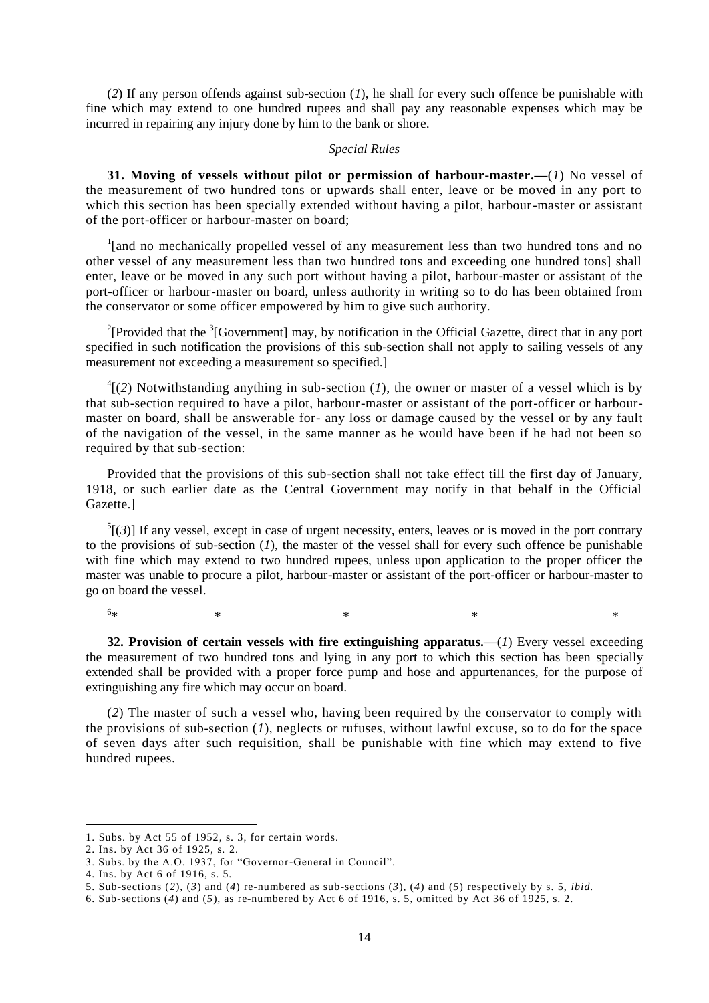(*2*) If any person offends against sub-section (*1*), he shall for every such offence be punishable with fine which may extend to one hundred rupees and shall pay any reasonable expenses which may be incurred in repairing any injury done by him to the bank or shore.

#### *Special Rules*

**31. Moving of vessels without pilot or permission of harbour-master.—**(*1*) No vessel of the measurement of two hundred tons or upwards shall enter, leave or be moved in any port to which this section has been specially extended without having a pilot, harbour-master or assistant of the port-officer or harbour-master on board;

<sup>1</sup>[and no mechanically propelled vessel of any measurement less than two hundred tons and no other vessel of any measurement less than two hundred tons and exceeding one hundred tons] shall enter, leave or be moved in any such port without having a pilot, harbour-master or assistant of the port-officer or harbour-master on board, unless authority in writing so to do has been obtained from the conservator or some officer empowered by him to give such authority.

<sup>2</sup>[Provided that the <sup>3</sup>[Government] may, by notification in the Official Gazette, direct that in any port specified in such notification the provisions of this sub-section shall not apply to sailing vessels of any measurement not exceeding a measurement so specified.]

 $^{4}$ [(2) Notwithstanding anything in sub-section (*1*), the owner or master of a vessel which is by that sub-section required to have a pilot, harbour-master or assistant of the port-officer or harbourmaster on board, shall be answerable for- any loss or damage caused by the vessel or by any fault of the navigation of the vessel, in the same manner as he would have been if he had not been so required by that sub-section:

Provided that the provisions of this sub-section shall not take effect till the first day of January, 1918, or such earlier date as the Central Government may notify in that behalf in the Official Gazette.]

 $<sup>5</sup>[(3)]$  If any vessel, except in case of urgent necessity, enters, leaves or is moved in the port contrary</sup> to the provisions of sub-section  $(1)$ , the master of the vessel shall for every such offence be punishable with fine which may extend to two hundred rupees, unless upon application to the proper officer the master was unable to procure a pilot, harbour-master or assistant of the port-officer or harbour-master to go on board the vessel.

 $6<sub>3k</sub>$  $*$   $*$   $*$   $*$   $*$   $*$ 

1

**32. Provision of certain vessels with fire extinguishing apparatus.—**(*1*) Every vessel exceeding

the measurement of two hundred tons and lying in any port to which this section has been specially extended shall be provided with a proper force pump and hose and appurtenances, for the purpose of extinguishing any fire which may occur on board.

(*2*) The master of such a vessel who, having been required by the conservator to comply with the provisions of sub-section (*1*), neglects or rufuses, without lawful excuse, so to do for the space of seven days after such requisition, shall be punishable with fine which may extend to five hundred rupees.

<sup>1.</sup> Subs. by Act 55 of 1952, s. 3, for certain words.

<sup>2.</sup> Ins. by Act 36 of 1925, s. 2.

<sup>3.</sup> Subs. by the A.O. 1937, for "Governor-General in Council".

<sup>4.</sup> Ins. by Act 6 of 1916, s. 5.

<sup>5.</sup> Sub-sections (*2*)*,* (*3*) and (*4*) re-numbered as sub-sections (*3*), (*4*) and (*5*) respectively by s. 5, *ibid.*

<sup>6.</sup> Sub-sections (*4*) and (*5*), as re-numbered by Act 6 of 1916, s. 5, omitted by Act 36 of 1925, s. 2.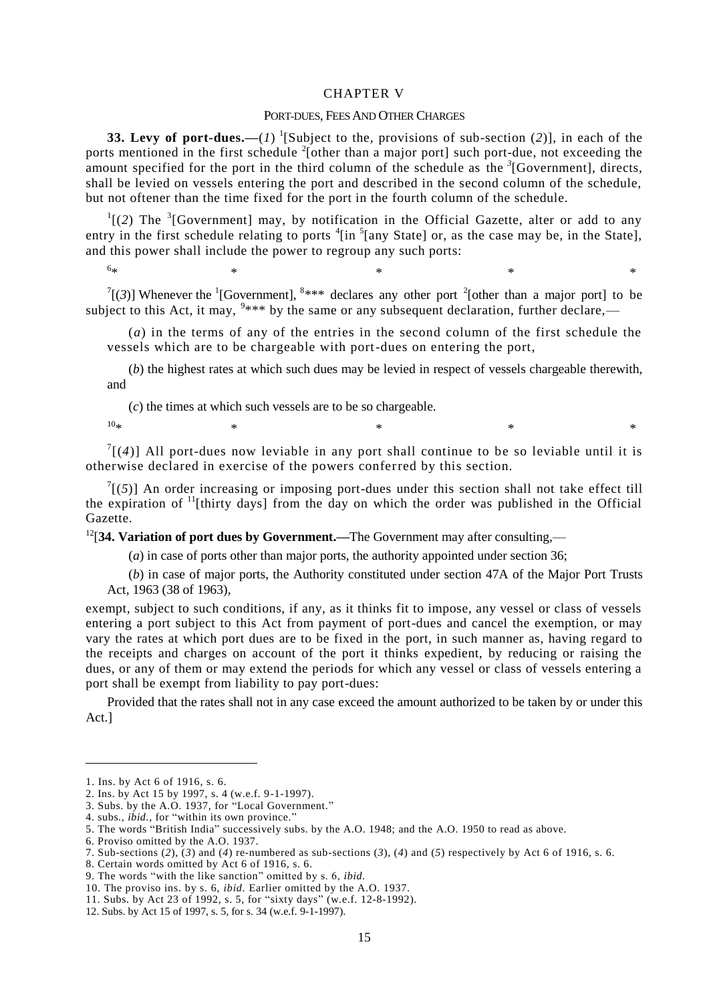#### CHAPTER V

#### PORT-DUES, FEES AND OTHER CHARGES

**33. Levy of port-dues.—**(*1*) 1 [Subject to the, provisions of sub-section (*2*)], in each of the ports mentioned in the first schedule  $2$ [other than a major port] such port-due, not exceeding the amount specified for the port in the third column of the schedule as the  $\beta$ <sup>[</sup>Government], directs, shall be levied on vessels entering the port and described in the second column of the schedule, but not oftener than the time fixed for the port in the fourth column of the schedule.

 $\frac{1}{2}$  (2) The <sup>3</sup> [Government] may, by notification in the Official Gazette, alter or add to any entry in the first schedule relating to ports  $\frac{4}{1}$  [in  $\frac{5}{1}$  [any State] or, as the case may be, in the State], and this power shall include the power to regroup any such ports:

 $\binom{7}{3}$ ] Whenever the <sup>1</sup>[Government], <sup>8\*\*\*</sup> declares any other port <sup>2</sup>[other than a major port] to be subject to this Act, it may,  $9***$  by the same or any subsequent declaration, further declare,—

(*a*) in the terms of any of the entries in the second column of the first schedule the vessels which are to be chargeable with port-dues on entering the port,

 $*$  \*  $*$  \*  $*$  \*  $*$  \*

(*b*) the highest rates at which such dues may be levied in respect of vessels chargeable therewith, and

(*c*) the times at which such vessels are to be so chargeable.

 $10*$  \* \* \* \*

 $6<sub>3k</sub>$ 

 $\int$ <sup>7</sup>[(4)] All port-dues now leviable in any port shall continue to be so leviable until it is otherwise declared in exercise of the powers conferred by this section.

 $\int_{1}^{7}$ [(5)] An order increasing or imposing port-dues under this section shall not take effect till the expiration of  $\frac{11}{1}$ [thirty days] from the day on which the order was published in the Official Gazette.

<sup>12</sup>[34. Variation of port dues by Government.—The Government may after consulting,—

(*a*) in case of ports other than major ports, the authority appointed under section 36;

(*b*) in case of major ports, the Authority constituted under section 47A of the Major Port Trusts Act, 1963 (38 of 1963),

exempt, subject to such conditions, if any, as it thinks fit to impose, any vessel or class of vessels entering a port subject to this Act from payment of port-dues and cancel the exemption, or may vary the rates at which port dues are to be fixed in the port, in such manner as, having regard to the receipts and charges on account of the port it thinks expedient, by reducing or raising the dues, or any of them or may extend the periods for which any vessel or class of vessels entering a port shall be exempt from liability to pay port-dues:

Provided that the rates shall not in any case exceed the amount authorized to be taken by or under this Act.]

<sup>1.</sup> Ins. by Act 6 of 1916, s. 6.

<sup>2.</sup> Ins. by Act 15 by 1997, s. 4 (w.e.f. 9-1-1997).

<sup>3.</sup> Subs. by the A.O. 1937, for "Local Government."

<sup>4.</sup> subs., *ibid.,* for "within its own province."

<sup>5.</sup> The words "British India" successively subs. by the A.O. 1948; and the A.O. 1950 to read as above.

<sup>6.</sup> Proviso omitted by the A.O. 1937.

<sup>7.</sup> Sub-sections (*2*), (*3*) and (*4*) re-numbered as sub-sections (*3*), (*4*) and (*5*) respectively by Act 6 of 1916, s. 6.

<sup>8.</sup> Certain words omitted by Act 6 of 1916, s. 6.

<sup>9.</sup> The words "with the like sanction" omitted by s. 6, *ibid.*

<sup>10.</sup> The proviso ins. by s. 6, *ibid.* Earlier omitted by the A.O. 1937.

<sup>11.</sup> Subs. by Act 23 of 1992, s. 5, for "sixty days" (w.e.f. 12-8-1992).

<sup>12.</sup> Subs. by Act 15 of 1997, s. 5, for s. 34 (w.e.f. 9-1-1997).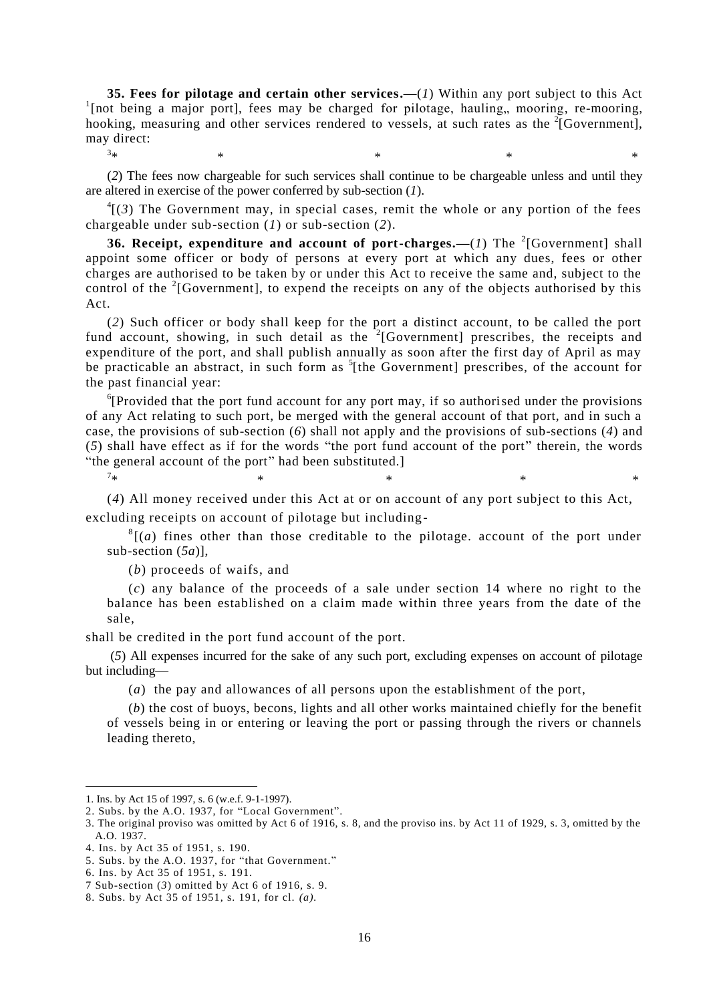**35. Fees for pilotage and certain other services.—**(*1*) Within any port subject to this Act <sup>1</sup>[not being a major port], fees may be charged for pilotage, hauling,, mooring, re-mooring, hooking, measuring and other services rendered to vessels, at such rates as the  $2$ [Government], may direct:  $3_{\ast}$ 

(*2*) The fees now chargeable for such services shall continue to be chargeable unless and until they are altered in exercise of the power conferred by sub-section (*1*).

 $*$   $*$   $*$   $*$   $*$   $*$   $*$   $*$ 

 ${}^{4}$ [(3) The Government may, in special cases, remit the whole or any portion of the fees chargeable under sub-section (*1*) or sub-section (*2*).

**36. Receipt, expenditure and account of port-charges.—** $(I)$  **The <sup>2</sup>[Government] shall** appoint some officer or body of persons at every port at which any dues, fees or other charges are authorised to be taken by or under this Act to receive the same and, subject to the control of the  $2$ [Government], to expend the receipts on any of the objects authorised by this Act.

(*2*) Such officer or body shall keep for the port a distinct account, to be called the port fund account, showing, in such detail as the  $2$ [Government] prescribes, the receipts and expenditure of the port, and shall publish annually as soon after the first day of April as may be practicable an abstract, in such form as <sup>5</sup>[the Government] prescribes, of the account for the past financial year:

 ${}^{6}$ [Provided that the port fund account for any port may, if so authorised under the provisions of any Act relating to such port, be merged with the general account of that port, and in such a case, the provisions of sub-section (*6*) shall not apply and the provisions of sub-sections (*4*) and (*5*) shall have effect as if for the words "the port fund account of the port" therein, the words "the general account of the port" had been substituted.]

 $7*$  $*$   $*$   $*$   $*$   $*$   $*$ 

1

(*4*) All money received under this Act at or on account of any port subject to this Act, excluding receipts on account of pilotage but including -

 $\frac{8}{4}$  (*a*) fines other than those creditable to the pilotage. account of the port under sub-section (*5a*)],

(*b*) proceeds of waifs, and

(*c*) any balance of the proceeds of a sale under section 14 where no right to the balance has been established on a claim made within three years from the date of the sale,

shall be credited in the port fund account of the port.

(*5*) All expenses incurred for the sake of any such port, excluding expenses on account of pilotage but including—

(*a*) the pay and allowances of all persons upon the establishment of the port,

(*b*) the cost of buoys, becons, lights and all other works maintained chiefly for the benefit of vessels being in or entering or leaving the port or passing through the rivers or channels leading thereto,

<sup>1.</sup> Ins. by Act 15 of 1997, s. 6 (w.e.f. 9-1-1997).

<sup>2.</sup> Subs. by the A.O. 1937, for "Local Government".

<sup>3.</sup> The original proviso was omitted by Act 6 of 1916, s. 8, and the proviso ins. by Act 11 of 1929, s. 3, omitted by the A.O. 1937.

<sup>4.</sup> Ins. by Act 35 of 1951, s. 190.

<sup>5.</sup> Subs. by the A.O. 1937, for "that Government."

<sup>6.</sup> Ins. by Act 35 of 1951, s. 191.

<sup>7</sup> Sub-section (*3*) omitted by Act 6 of 1916, s. 9.

<sup>8.</sup> Subs. by Act 35 of 1951, s. 191, for cl. *(a).*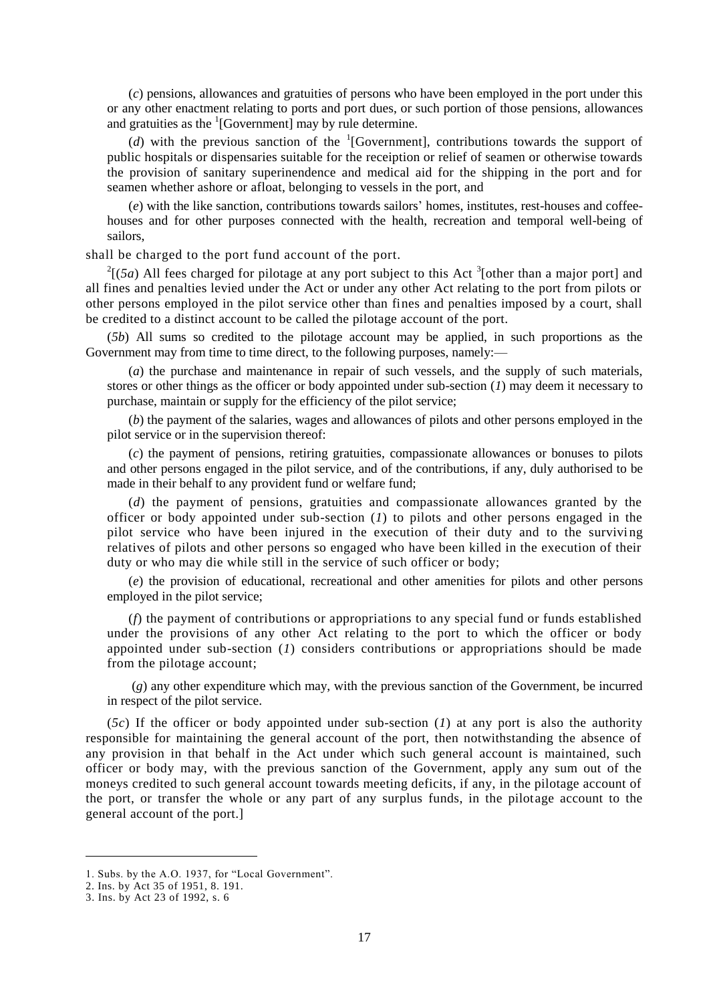(*c*) pensions, allowances and gratuities of persons who have been employed in the port under this or any other enactment relating to ports and port dues, or such portion of those pensions, allowances and gratuities as the  ${}^{1}$ [Government] may by rule determine.

(*d*) with the previous sanction of the  ${}^{1}$ [Government], contributions towards the support of public hospitals or dispensaries suitable for the receiption or relief of seamen or otherwise towards the provision of sanitary superinendence and medical aid for the shipping in the port and for seamen whether ashore or afloat, belonging to vessels in the port, and

(*e*) with the like sanction, contributions towards sailors' homes, institutes, rest-houses and coffeehouses and for other purposes connected with the health, recreation and temporal well-being of sailors,

shall be charged to the port fund account of the port.

 $2\left[\frac{2}{5a}\right]$  All fees charged for pilotage at any port subject to this Act <sup>3</sup>[other than a major port] and all fines and penalties levied under the Act or under any other Act relating to the port from pilots or other persons employed in the pilot service other than fines and penalties imposed by a court, shall be credited to a distinct account to be called the pilotage account of the port.

(*5b*) All sums so credited to the pilotage account may be applied, in such proportions as the Government may from time to time direct, to the following purposes, namely:—

(*a*) the purchase and maintenance in repair of such vessels, and the supply of such materials, stores or other things as the officer or body appointed under sub-section (*1*) may deem it necessary to purchase, maintain or supply for the efficiency of the pilot service;

(*b*) the payment of the salaries, wages and allowances of pilots and other persons employed in the pilot service or in the supervision thereof:

(*c*) the payment of pensions, retiring gratuities, compassionate allowances or bonuses to pilots and other persons engaged in the pilot service, and of the contributions, if any, duly authorised to be made in their behalf to any provident fund or welfare fund;

(*d*) the payment of pensions, gratuities and compassionate allowances granted by the officer or body appointed under sub-section (*1*) to pilots and other persons engaged in the pilot service who have been injured in the execution of their duty and to the surviving relatives of pilots and other persons so engaged who have been killed in the execution of their duty or who may die while still in the service of such officer or body;

(*e*) the provision of educational, recreational and other amenities for pilots and other persons employed in the pilot service;

(*f*) the payment of contributions or appropriations to any special fund or funds established under the provisions of any other Act relating to the port to which the officer or body appointed under sub-section (*1*) considers contributions or appropriations should be made from the pilotage account;

(*g*) any other expenditure which may, with the previous sanction of the Government, be incurred in respect of the pilot service.

(*5c*) If the officer or body appointed under sub-section (*1*) at any port is also the authority responsible for maintaining the general account of the port, then notwithstanding the absence of any provision in that behalf in the Act under which such general account is maintained, such officer or body may, with the previous sanction of the Government, apply any sum out of the moneys credited to such general account towards meeting deficits, if any, in the pilotage account of the port, or transfer the whole or any part of any surplus funds, in the pilotage account to the general account of the port.]

<sup>1.</sup> Subs. by the A.O. 1937, for "Local Government".

<sup>2.</sup> Ins. by Act 35 of 1951, 8. 191.

<sup>3.</sup> Ins. by Act 23 of 1992, s. 6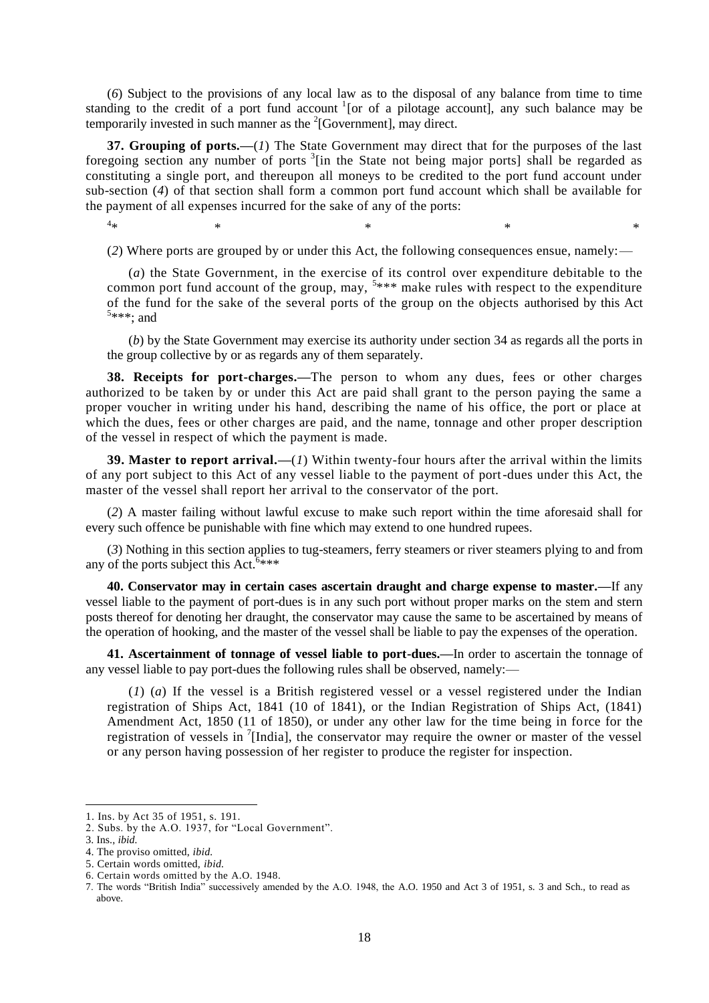(*6*) Subject to the provisions of any local law as to the disposal of any balance from time to time standing to the credit of a port fund account <sup>1</sup> [or of a pilotage account], any such balance may be temporarily invested in such manner as the  $2$ [Government], may direct.

**37. Grouping of ports.—**(*1*) The State Government may direct that for the purposes of the last foregoing section any number of ports  $3$ [in the State not being major ports] shall be regarded as constituting a single port, and thereupon all moneys to be credited to the port fund account under sub-section (*4*) of that section shall form a common port fund account which shall be available for the payment of all expenses incurred for the sake of any of the ports:

 $4_{\ast}$ 

 $*$   $*$   $*$   $*$   $*$   $*$ 

(*2*) Where ports are grouped by or under this Act, the following consequences ensue, namely:—

(*a*) the State Government, in the exercise of its control over expenditure debitable to the common port fund account of the group, may,  $5***$  make rules with respect to the expenditure of the fund for the sake of the several ports of the group on the objects authorised by this Act 5 \*\*\*; and

(*b*) by the State Government may exercise its authority under section 34 as regards all the ports in the group collective by or as regards any of them separately.

**38. Receipts for port-charges.—**The person to whom any dues, fees or other charges authorized to be taken by or under this Act are paid shall grant to the person paying the same a proper voucher in writing under his hand, describing the name of his office, the port or place at which the dues, fees or other charges are paid, and the name, tonnage and other proper description of the vessel in respect of which the payment is made.

**39. Master to report arrival.—**(*1*) Within twenty-four hours after the arrival within the limits of any port subject to this Act of any vessel liable to the payment of port-dues under this Act, the master of the vessel shall report her arrival to the conservator of the port.

(*2*) A master failing without lawful excuse to make such report within the time aforesaid shall for every such offence be punishable with fine which may extend to one hundred rupees.

(*3*) Nothing in this section applies to tug-steamers, ferry steamers or river steamers plying to and from any of the ports subject this Act.  $6***$ 

**40. Conservator may in certain cases ascertain draught and charge expense to master.—**If any vessel liable to the payment of port-dues is in any such port without proper marks on the stem and stern posts thereof for denoting her draught, the conservator may cause the same to be ascertained by means of the operation of hooking, and the master of the vessel shall be liable to pay the expenses of the operation.

**41. Ascertainment of tonnage of vessel liable to port-dues.—**In order to ascertain the tonnage of any vessel liable to pay port-dues the following rules shall be observed, namely:—

(*1*) (*a*) If the vessel is a British registered vessel or a vessel registered under the Indian registration of Ships Act, 1841 (10 of 1841), or the Indian Registration of Ships Act, (1841) Amendment Act, 1850 (11 of 1850), or under any other law for the time being in force for the registration of vessels in  $\frac{7}{1}$ [India], the conservator may require the owner or master of the vessel or any person having possession of her register to produce the register for inspection.

<sup>1.</sup> Ins. by Act 35 of 1951, s. 191.

<sup>2.</sup> Subs. by the A.O. 1937, for "Local Government".

<sup>3.</sup> Ins., *ibid.*

<sup>4.</sup> The proviso omitted, *ibid.*

<sup>5.</sup> Certain words omitted, *ibid.*

<sup>6.</sup> Certain words omitted by the A.O. 1948.

<sup>7.</sup> The words "British India" successively amended by the A.O. 1948, the A.O. 1950 and Act 3 of 1951, s. 3 and Sch., to read as above.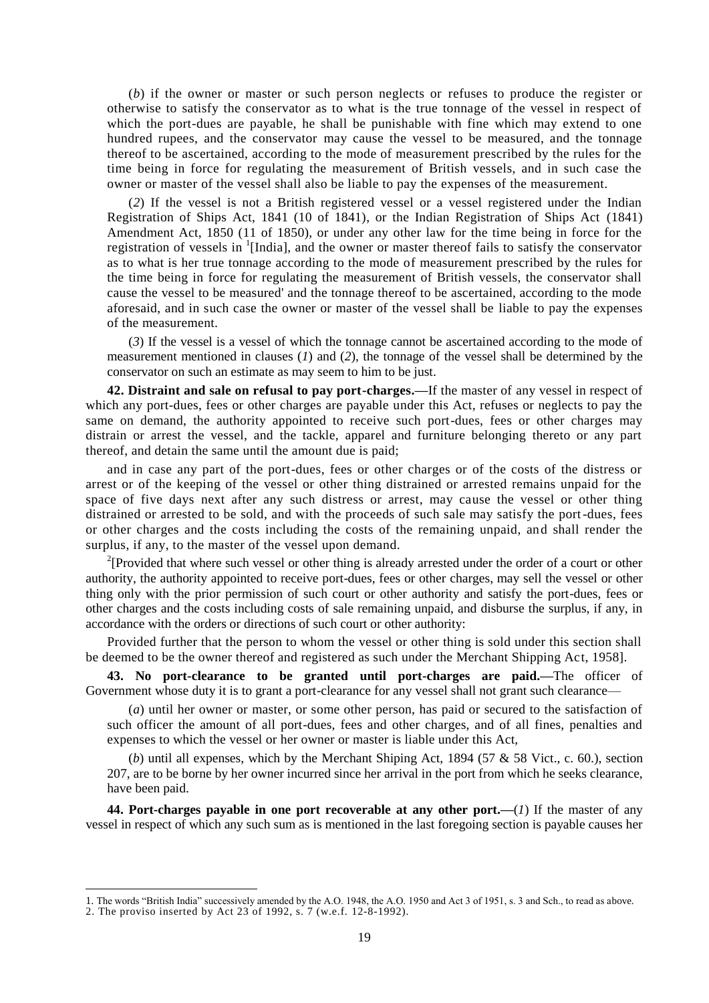(*b*) if the owner or master or such person neglects or refuses to produce the register or otherwise to satisfy the conservator as to what is the true tonnage of the vessel in respect of which the port-dues are payable, he shall be punishable with fine which may extend to one hundred rupees, and the conservator may cause the vessel to be measured, and the tonnage thereof to be ascertained, according to the mode of measurement prescribed by the rules for the time being in force for regulating the measurement of British vessels, and in such case the owner or master of the vessel shall also be liable to pay the expenses of the measurement.

(*2*) If the vessel is not a British registered vessel or a vessel registered under the Indian Registration of Ships Act, 1841 (10 of 1841), or the Indian Registration of Ships Act (1841) Amendment Act, 1850 (11 of 1850), or under any other law for the time being in force for the registration of vessels in <sup>1</sup>[India], and the owner or master thereof fails to satisfy the conservator as to what is her true tonnage according to the mode of measurement prescribed by the rules for the time being in force for regulating the measurement of British vessels, the conservator shall cause the vessel to be measured' and the tonnage thereof to be ascertained, according to the mode aforesaid, and in such case the owner or master of the vessel shall be liable to pay the expenses of the measurement.

(*3*) If the vessel is a vessel of which the tonnage cannot be ascertained according to the mode of measurement mentioned in clauses (*1*) and (*2*)*,* the tonnage of the vessel shall be determined by the conservator on such an estimate as may seem to him to be just.

**42. Distraint and sale on refusal to pay port-charges.—**If the master of any vessel in respect of which any port-dues, fees or other charges are payable under this Act, refuses or neglects to pay the same on demand, the authority appointed to receive such port-dues, fees or other charges may distrain or arrest the vessel, and the tackle, apparel and furniture belonging thereto or any part thereof, and detain the same until the amount due is paid;

and in case any part of the port-dues, fees or other charges or of the costs of the distress or arrest or of the keeping of the vessel or other thing distrained or arrested remains unpaid for the space of five days next after any such distress or arrest, may cause the vessel or other thing distrained or arrested to be sold, and with the proceeds of such sale may satisfy the port-dues, fees or other charges and the costs including the costs of the remaining unpaid, and shall render the surplus, if any, to the master of the vessel upon demand.

<sup>2</sup>[Provided that where such vessel or other thing is already arrested under the order of a court or other authority, the authority appointed to receive port-dues, fees or other charges, may sell the vessel or other thing only with the prior permission of such court or other authority and satisfy the port-dues, fees or other charges and the costs including costs of sale remaining unpaid, and disburse the surplus, if any, in accordance with the orders or directions of such court or other authority:

Provided further that the person to whom the vessel or other thing is sold under this section shall be deemed to be the owner thereof and registered as such under the Merchant Shipping Act, 1958].

**43. No port-clearance to be granted until port-charges are paid.—**The officer of Government whose duty it is to grant a port-clearance for any vessel shall not grant such clearance—

(*a*) until her owner or master, or some other person, has paid or secured to the satisfaction of such officer the amount of all port-dues, fees and other charges, and of all fines, penalties and expenses to which the vessel or her owner or master is liable under this Act,

(*b*) until all expenses, which by the Merchant Shiping Act,  $1894$  ( $57 \& 58$  Vict., c. 60.), section 207, are to be borne by her owner incurred since her arrival in the port from which he seeks clearance, have been paid.

**44. Port-charges payable in one port recoverable at any other port.—**(*1*) If the master of any vessel in respect of which any such sum as is mentioned in the last foregoing section is payable causes her

<sup>1.</sup> The words "British India" successively amended by the A.O. 1948, the A.O. 1950 and Act 3 of 1951, s. 3 and Sch., to read as above.

<sup>2.</sup> The proviso inserted by Act 23 of 1992, s. 7 (w.e.f. 12-8-1992).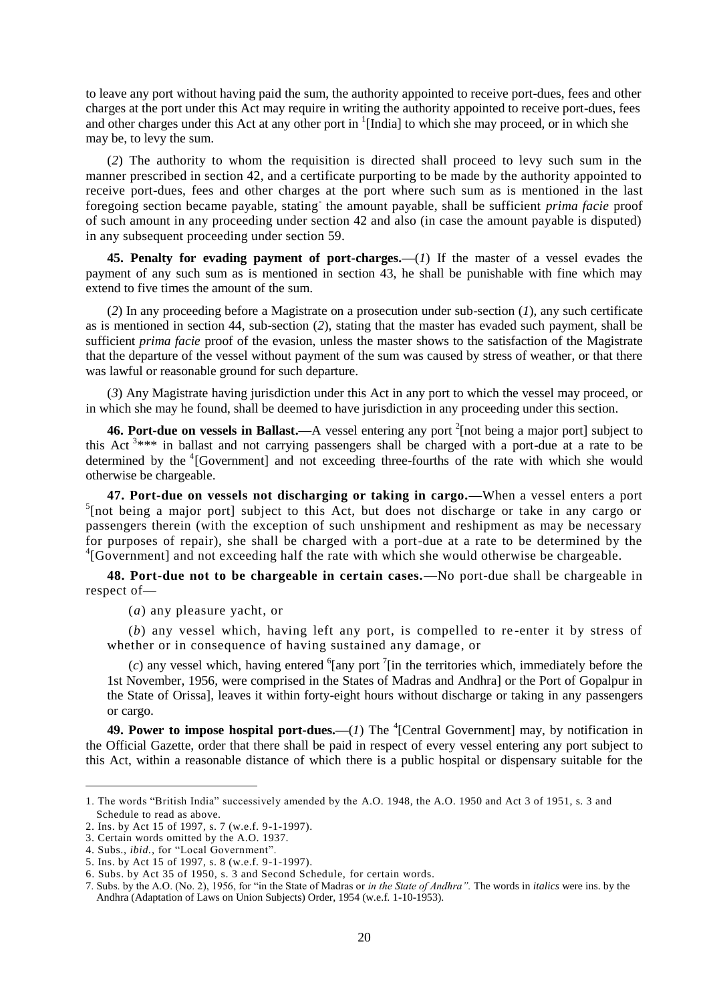to leave any port without having paid the sum, the authority appointed to receive port-dues, fees and other charges at the port under this Act may require in writing the authority appointed to receive port-dues, fees and other charges under this Act at any other port in <sup>1</sup>[India] to which she may proceed, or in which she may be, to levy the sum.

(*2*) The authority to whom the requisition is directed shall proceed to levy such sum in the manner prescribed in section 42, and a certificate purporting to be made by the authority appointed to receive port-dues, fees and other charges at the port where such sum as is mentioned in the last foregoing section became payable, stating the amount payable, shall be sufficient *prima facie* proof of such amount in any proceeding under section 42 and also (in case the amount payable is disputed) in any subsequent proceeding under section 59.

**45. Penalty for evading payment of port-charges.—**(*1*) If the master of a vessel evades the payment of any such sum as is mentioned in section 43, he shall be punishable with fine which may extend to five times the amount of the sum.

(*2*) In any proceeding before a Magistrate on a prosecution under sub-section (*1*), any such certificate as is mentioned in section 44, sub-section (*2*), stating that the master has evaded such payment, shall be sufficient *prima facie* proof of the evasion, unless the master shows to the satisfaction of the Magistrate that the departure of the vessel without payment of the sum was caused by stress of weather, or that there was lawful or reasonable ground for such departure.

(*3*) Any Magistrate having jurisdiction under this Act in any port to which the vessel may proceed, or in which she may he found, shall be deemed to have jurisdiction in any proceeding under this section.

**46. Port-due on vessels in Ballast.—A** vessel entering any port <sup>2</sup>[not being a major port] subject to this Act<sup>3\*\*\*</sup> in ballast and not carrying passengers shall be charged with a port-due at a rate to be determined by the <sup>4</sup>[Government] and not exceeding three-fourths of the rate with which she would otherwise be chargeable.

**47. Port-due on vessels not discharging or taking in cargo.—**When a vessel enters a port <sup>5</sup>[not being a major port] subject to this Act, but does not discharge or take in any cargo or passengers therein (with the exception of such unshipment and reshipment as may be necessary for purposes of repair), she shall be charged with a port-due at a rate to be determined by the <sup>4</sup>[Government] and not exceeding half the rate with which she would otherwise be chargeable.

**48. Port-due not to be chargeable in certain cases.—**No port-due shall be chargeable in respect of—

(*a*) any pleasure yacht, or

(*b*) any vessel which, having left any port, is compelled to re -enter it by stress of whether or in consequence of having sustained any damage, or

 $(c)$  any vessel which, having entered <sup>6</sup>[any port<sup>7</sup>[in the territories which, immediately before the 1st November, 1956, were comprised in the States of Madras and Andhra] or the Port of Gopalpur in the State of Orissa], leaves it within forty-eight hours without discharge or taking in any passengers or cargo.

**49. Power to impose hospital port-dues.** (*1*) The <sup>4</sup>[Central Government] may, by notification in the Official Gazette, order that there shall be paid in respect of every vessel entering any port subject to this Act, within a reasonable distance of which there is a public hospital or dispensary suitable for the

<sup>1.</sup> The words "British India" successively amended by the A.O. 1948, the A.O. 1950 and Act 3 of 1951, s. 3 and Schedule to read as above.

<sup>2.</sup> Ins. by Act 15 of 1997, s. 7 (w.e.f. 9-1-1997).

<sup>3.</sup> Certain words omitted by the A.O. 1937.

<sup>4.</sup> Subs., *ibid.,* for "Local Government".

<sup>5.</sup> Ins. by Act 15 of 1997, s. 8 (w.e.f. 9-1-1997).

<sup>6.</sup> Subs. by Act 35 of 1950, s. 3 and Second Schedule, for certain words.

<sup>7.</sup> Subs. by the A.O. (No. 2), 1956, for "in the State of Madras or *in the State of Andhra".* The words in *italics* were ins. by the Andhra (Adaptation of Laws on Union Subjects) Order, 1954 (w.e.f. 1-10-1953).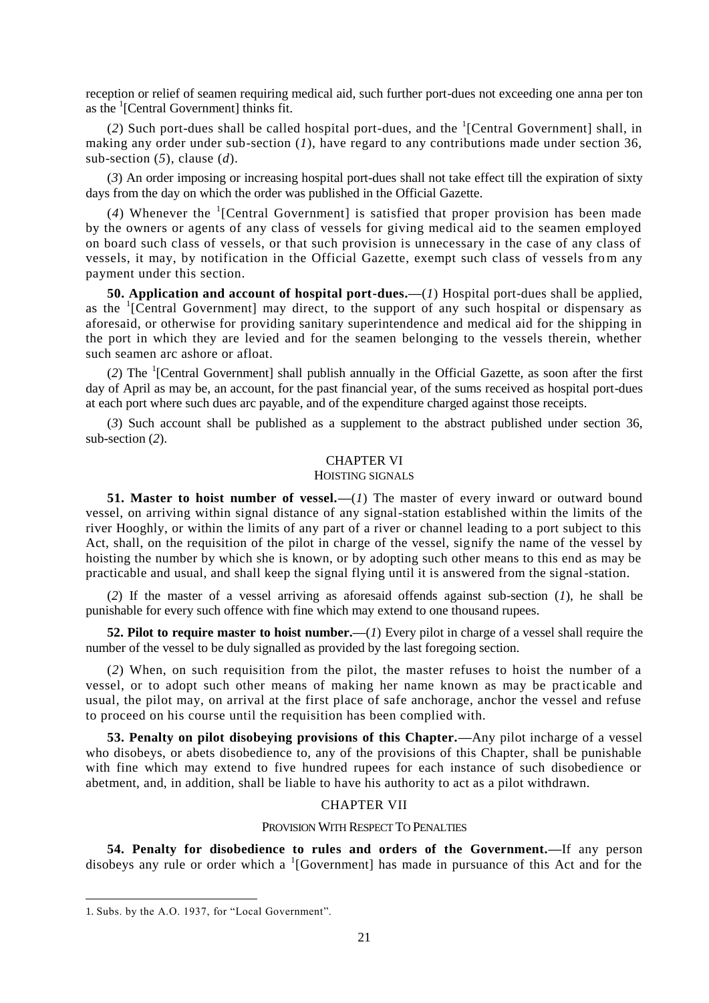reception or relief of seamen requiring medical aid, such further port-dues not exceeding one anna per ton as the <sup>1</sup>[Central Government] thinks fit.

(2) Such port-dues shall be called hospital port-dues, and the  ${}^{1}$ [Central Government] shall, in making any order under sub-section (*1*), have regard to any contributions made under section 36, sub-section (*5*), clause (*d*).

(*3*) An order imposing or increasing hospital port-dues shall not take effect till the expiration of sixty days from the day on which the order was published in the Official Gazette.

(4) Whenever the <sup>1</sup>[Central Government] is satisfied that proper provision has been made by the owners or agents of any class of vessels for giving medical aid to the seamen employed on board such class of vessels, or that such provision is unnecessary in the case of any class of vessels, it may, by notification in the Official Gazette, exempt such class of vessels from any payment under this section.

**50. Application and account of hospital port-dues.—**(*1*) Hospital port-dues shall be applied, as the <sup>1</sup>[Central Government] may direct, to the support of any such hospital or dispensary as aforesaid, or otherwise for providing sanitary superintendence and medical aid for the shipping in the port in which they are levied and for the seamen belonging to the vessels therein, whether such seamen arc ashore or afloat.

(*2*) The <sup>1</sup> [Central Government] shall publish annually in the Official Gazette, as soon after the first day of April as may be, an account, for the past financial year, of the sums received as hospital port-dues at each port where such dues arc payable, and of the expenditure charged against those receipts.

(*3*) Such account shall be published as a supplement to the abstract published under section 36, sub-section (*2*).

# CHAPTER VI

#### HOISTING SIGNALS

**51. Master to hoist number of vessel.**—(*I*) The master of every inward or outward bound vessel, on arriving within signal distance of any signal-station established within the limits of the river Hooghly, or within the limits of any part of a river or channel leading to a port subject to this Act, shall, on the requisition of the pilot in charge of the vessel, signify the name of the vessel by hoisting the number by which she is known, or by adopting such other means to this end as may be practicable and usual, and shall keep the signal flying until it is answered from the signal-station.

(*2*) If the master of a vessel arriving as aforesaid offends against sub-section (*1*), he shall be punishable for every such offence with fine which may extend to one thousand rupees.

**52. Pilot to require master to hoist number.—**(*1*) Every pilot in charge of a vessel shall require the number of the vessel to be duly signalled as provided by the last foregoing section.

(*2*) When, on such requisition from the pilot, the master refuses to hoist the number of a vessel, or to adopt such other means of making her name known as may be practicable and usual, the pilot may, on arrival at the first place of safe anchorage, anchor the vessel and refuse to proceed on his course until the requisition has been complied with.

**53. Penalty on pilot disobeying provisions of this Chapter.—**Any pilot incharge of a vessel who disobeys, or abets disobedience to, any of the provisions of this Chapter, shall be punishable with fine which may extend to five hundred rupees for each instance of such disobedience or abetment, and, in addition, shall be liable to have his authority to act as a pilot withdrawn.

# CHAPTER VII

### PROVISION WITH RESPECT TO PENALTIES

**54. Penalty for disobedience to rules and orders of the Government.—**If any person disobeys any rule or order which a <sup>1</sup>[Government] has made in pursuance of this Act and for the

<sup>1.</sup> Subs. by the A.O. 1937, for "Local Government".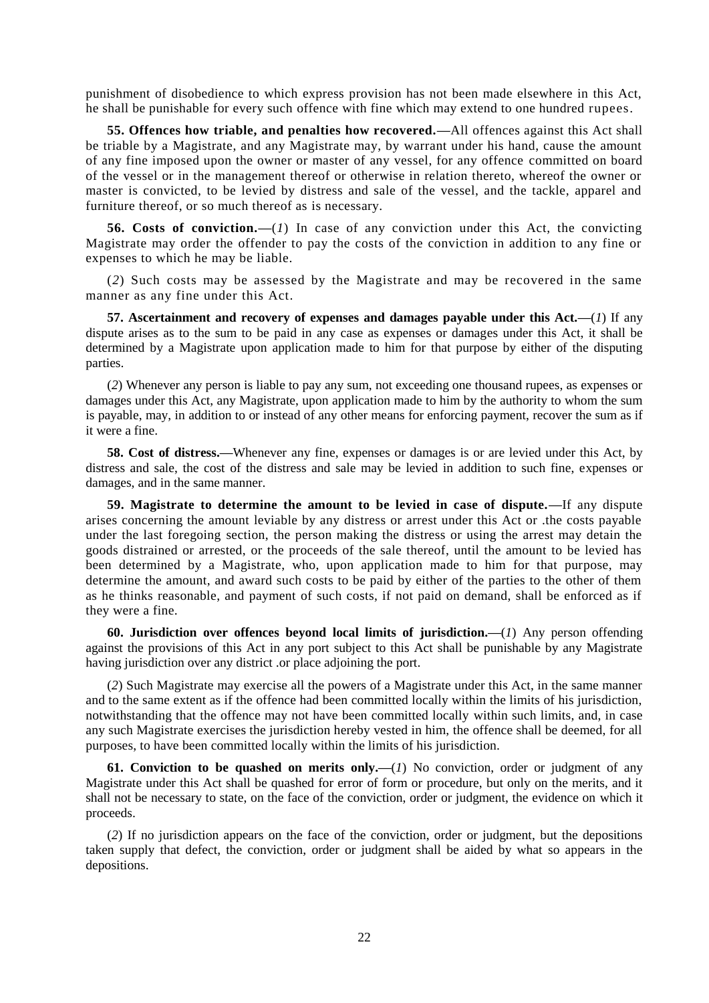punishment of disobedience to which express provision has not been made elsewhere in this Act, he shall be punishable for every such offence with fine which may extend to one hundred rupees.

**55. Offences how triable, and penalties how recovered.—**All offences against this Act shall be triable by a Magistrate, and any Magistrate may, by warrant under his hand, cause the amount of any fine imposed upon the owner or master of any vessel, for any offence committed on board of the vessel or in the management thereof or otherwise in relation thereto, whereof the owner or master is convicted, to be levied by distress and sale of the vessel, and the tackle, apparel and furniture thereof, or so much thereof as is necessary.

**56. Costs of conviction.—**(*1*) In case of any conviction under this Act, the convicting Magistrate may order the offender to pay the costs of the conviction in addition to any fine or expenses to which he may be liable.

(*2*) Such costs may be assessed by the Magistrate and may be recovered in the same manner as any fine under this Act.

**57. Ascertainment and recovery of expenses and damages payable under this Act.—**(*1*) If any dispute arises as to the sum to be paid in any case as expenses or damages under this Act, it shall be determined by a Magistrate upon application made to him for that purpose by either of the disputing parties.

(*2*) Whenever any person is liable to pay any sum, not exceeding one thousand rupees, as expenses or damages under this Act, any Magistrate, upon application made to him by the authority to whom the sum is payable, may, in addition to or instead of any other means for enforcing payment, recover the sum as if it were a fine.

**58. Cost of distress.—**Whenever any fine, expenses or damages is or are levied under this Act, by distress and sale, the cost of the distress and sale may be levied in addition to such fine, expenses or damages, and in the same manner.

**59. Magistrate to determine the amount to be levied in case of dispute.—**If any dispute arises concerning the amount leviable by any distress or arrest under this Act or .the costs payable under the last foregoing section, the person making the distress or using the arrest may detain the goods distrained or arrested, or the proceeds of the sale thereof, until the amount to be levied has been determined by a Magistrate, who, upon application made to him for that purpose, may determine the amount, and award such costs to be paid by either of the parties to the other of them as he thinks reasonable, and payment of such costs, if not paid on demand, shall be enforced as if they were a fine.

**60. Jurisdiction over offences beyond local limits of jurisdiction.—**(*1*) Any person offending against the provisions of this Act in any port subject to this Act shall be punishable by any Magistrate having jurisdiction over any district .or place adjoining the port.

(*2*) Such Magistrate may exercise all the powers of a Magistrate under this Act, in the same manner and to the same extent as if the offence had been committed locally within the limits of his jurisdiction, notwithstanding that the offence may not have been committed locally within such limits, and, in case any such Magistrate exercises the jurisdiction hereby vested in him, the offence shall be deemed, for all purposes, to have been committed locally within the limits of his jurisdiction.

**61. Conviction to be quashed on merits only.—** $(I)$  **No conviction, order or judgment of any** Magistrate under this Act shall be quashed for error of form or procedure, but only on the merits, and it shall not be necessary to state, on the face of the conviction, order or judgment, the evidence on which it proceeds.

(*2*) If no jurisdiction appears on the face of the conviction, order or judgment, but the depositions taken supply that defect, the conviction, order or judgment shall be aided by what so appears in the depositions.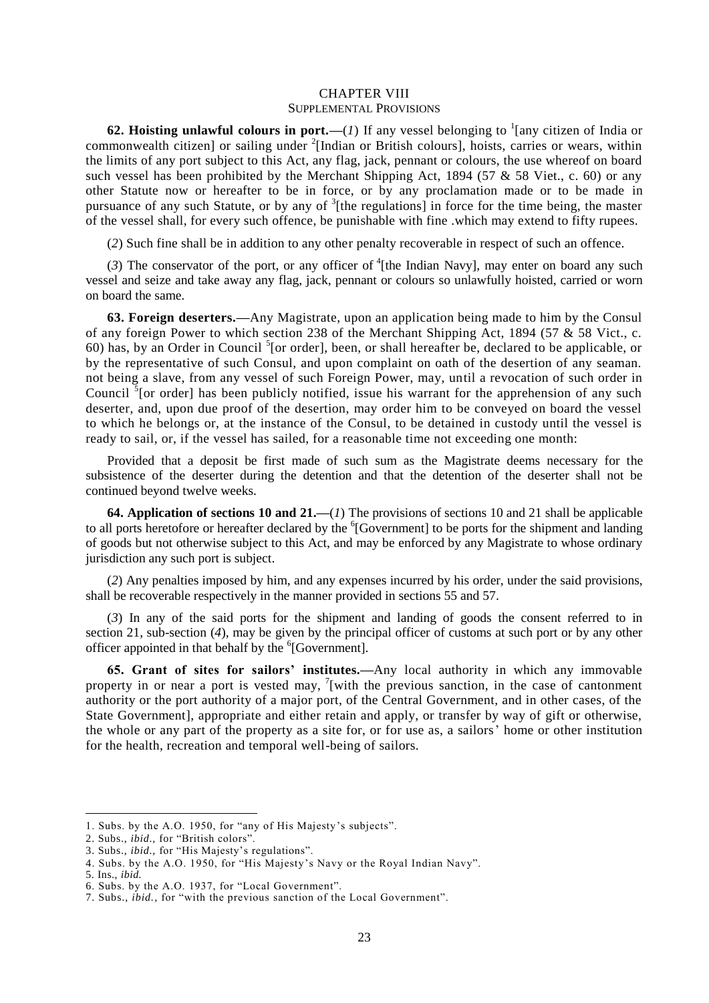### CHAPTER VIII SUPPLEMENTAL PROVISIONS

**62. Hoisting unlawful colours in port.**—(*1*) If any vessel belonging to  $\frac{1}{2}$  [any citizen of India or commonwealth citizen] or sailing under <sup>2</sup>[Indian or British colours], hoists, carries or wears, within the limits of any port subject to this Act, any flag, jack, pennant or colours, the use whereof on board such vessel has been prohibited by the Merchant Shipping Act, 1894 (57  $&$  58 Viet., c. 60) or any other Statute now or hereafter to be in force, or by any proclamation made or to be made in pursuance of any such Statute, or by any of  ${}^{3}$ [the regulations] in force for the time being, the master of the vessel shall, for every such offence, be punishable with fine .which may extend to fifty rupees.

(*2*) Such fine shall be in addition to any other penalty recoverable in respect of such an offence.

 $(3)$  The conservator of the port, or any officer of <sup>4</sup>[the Indian Navy], may enter on board any such vessel and seize and take away any flag, jack, pennant or colours so unlawfully hoisted, carried or worn on board the same.

**63. Foreign deserters.—**Any Magistrate, upon an application being made to him by the Consul of any foreign Power to which section 238 of the Merchant Shipping Act, 1894 (57 & 58 Vict., c. 60) has, by an Order in Council  $<sup>5</sup>$  [or order], been, or shall hereafter be, declared to be applicable, or</sup> by the representative of such Consul, and upon complaint on oath of the desertion of any seaman. not being a slave, from any vessel of such Foreign Power, may, until a revocation of such order in Council  $\frac{5}{3}$  [or order] has been publicly notified, issue his warrant for the apprehension of any such deserter, and, upon due proof of the desertion, may order him to be conveyed on board the vessel to which he belongs or, at the instance of the Consul, to be detained in custody until the vessel is ready to sail, or, if the vessel has sailed, for a reasonable time not exceeding one month:

Provided that a deposit be first made of such sum as the Magistrate deems necessary for the subsistence of the deserter during the detention and that the detention of the deserter shall not be continued beyond twelve weeks.

**64. Application of sections 10 and 21.—**(*1*) The provisions of sections 10 and 21 shall be applicable to all ports heretofore or hereafter declared by the <sup>6</sup>[Government] to be ports for the shipment and landing of goods but not otherwise subject to this Act, and may be enforced by any Magistrate to whose ordinary jurisdiction any such port is subject.

(*2*) Any penalties imposed by him, and any expenses incurred by his order, under the said provisions, shall be recoverable respectively in the manner provided in sections 55 and 57.

(*3*) In any of the said ports for the shipment and landing of goods the consent referred to in section 21, sub-section (*4*), may be given by the principal officer of customs at such port or by any other officer appointed in that behalf by the <sup>6</sup>[Government].

**65. Grant of sites for sailors' institutes.—**Any local authority in which any immovable property in or near a port is vested may,  $\frac{7}{1}$  with the previous sanction, in the case of cantonment authority or the port authority of a major port, of the Central Government, and in other cases, of the State Government], appropriate and either retain and apply, or transfer by way of gift or otherwise, the whole or any part of the property as a site for, or for use as, a sailors' home or other institution for the health, recreation and temporal well-being of sailors.

<sup>1.</sup> Subs. by the A.O. 1950, for "any of His Majesty's subjects".

<sup>2.</sup> Subs., *ibid.,* for "British colors".

<sup>3.</sup> Subs., *ibid.,* for "His Majesty's regulations".

<sup>4.</sup> Subs. by the A.O. 1950, for "His Majesty's Navy or the Royal Indian Navy".

<sup>5.</sup> Ins., *ibid.*

<sup>6.</sup> Subs. by the A.O. 1937, for "Local Government".

<sup>7.</sup> Subs., *ibid.,* for "with the previous sanction of the Local Government".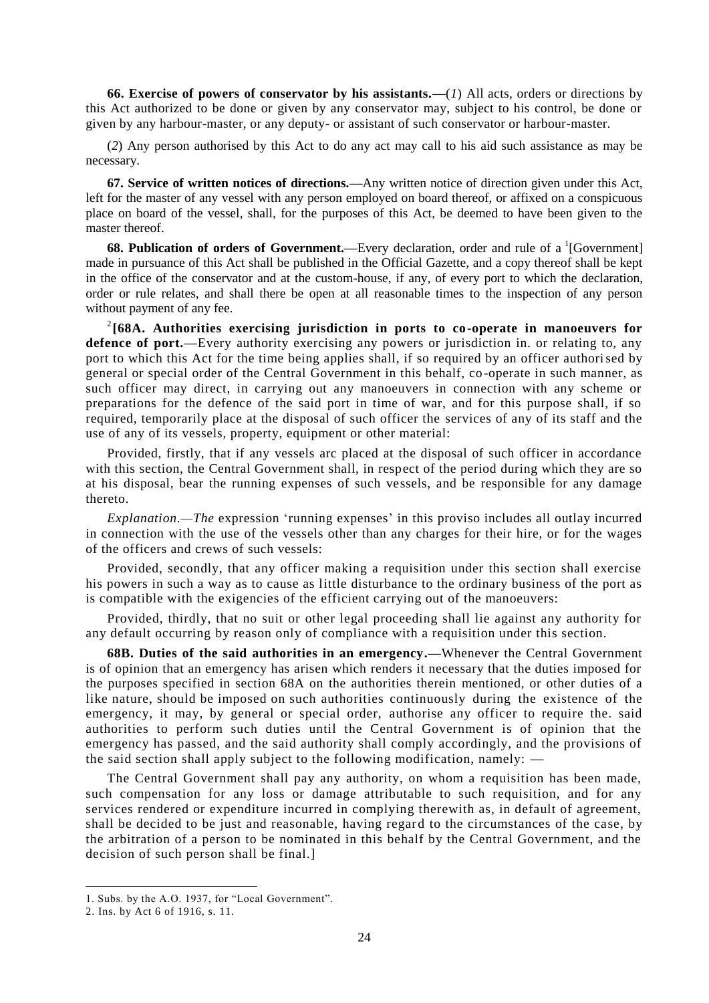**66. Exercise of powers of conservator by his assistants.—**(*1*) All acts, orders or directions by this Act authorized to be done or given by any conservator may, subject to his control, be done or given by any harbour-master, or any deputy- or assistant of such conservator or harbour-master.

(*2*) Any person authorised by this Act to do any act may call to his aid such assistance as may be necessary.

**67. Service of written notices of directions.—**Any written notice of direction given under this Act, left for the master of any vessel with any person employed on board thereof, or affixed on a conspicuous place on board of the vessel, shall, for the purposes of this Act, be deemed to have been given to the master thereof.

**68. Publication of orders of Government.**—Every declaration, order and rule of a <sup>1</sup>[Government] made in pursuance of this Act shall be published in the Official Gazette, and a copy thereof shall be kept in the office of the conservator and at the custom-house, if any, of every port to which the declaration, order or rule relates, and shall there be open at all reasonable times to the inspection of any person without payment of any fee.

2 **[68A. Authorities exercising jurisdiction in ports to co-operate in manoeuvers for defence of port.—Every authority exercising any powers or jurisdiction in. or relating to, any** port to which this Act for the time being applies shall, if so required by an officer authorised by general or special order of the Central Government in this behalf, co -operate in such manner, as such officer may direct, in carrying out any manoeuvers in connection with any scheme or preparations for the defence of the said port in time of war, and for this purpose shall, if so required, temporarily place at the disposal of such officer the services of any of its staff and the use of any of its vessels, property, equipment or other material:

Provided, firstly, that if any vessels arc placed at the disposal of such officer in accordance with this section, the Central Government shall, in respect of the period during which they are so at his disposal, bear the running expenses of such vessels, and be responsible for any damage thereto.

*Explanation.—The* expression 'running expenses' in this proviso includes all outlay incurred in connection with the use of the vessels other than any charges for their hire, or for the wages of the officers and crews of such vessels:

Provided, secondly, that any officer making a requisition under this section shall exercise his powers in such a way as to cause as little disturbance to the ordinary business of the port as is compatible with the exigencies of the efficient carrying out of the manoeuvers:

Provided, thirdly, that no suit or other legal proceeding shall lie against any authority for any default occurring by reason only of compliance with a requisition under this section.

**68B. Duties of the said authorities in an emergency.—**Whenever the Central Government is of opinion that an emergency has arisen which renders it necessary that the duties imposed for the purposes specified in section 68A on the authorities therein mentioned, or other duties of a like nature, should be imposed on such authorities continuously during the existence of the emergency, it may, by general or special order, authorise any officer to require the. said authorities to perform such duties until the Central Government is of opinion that the emergency has passed, and the said authority shall comply accordingly, and the provisions of the said section shall apply subject to the following modification, namely: **—**

The Central Government shall pay any authority, on whom a requisition has been made, such compensation for any loss or damage attributable to such requisition, and for any services rendered or expenditure incurred in complying therewith as, in default of agreement, shall be decided to be just and reasonable, having regard to the circumstances of the case, by the arbitration of a person to be nominated in this behalf by the Central Government, and the decision of such person shall be final.]

<sup>1.</sup> Subs. by the A.O. 1937, for "Local Government".

<sup>2.</sup> Ins. by Act 6 of 1916, s. 11.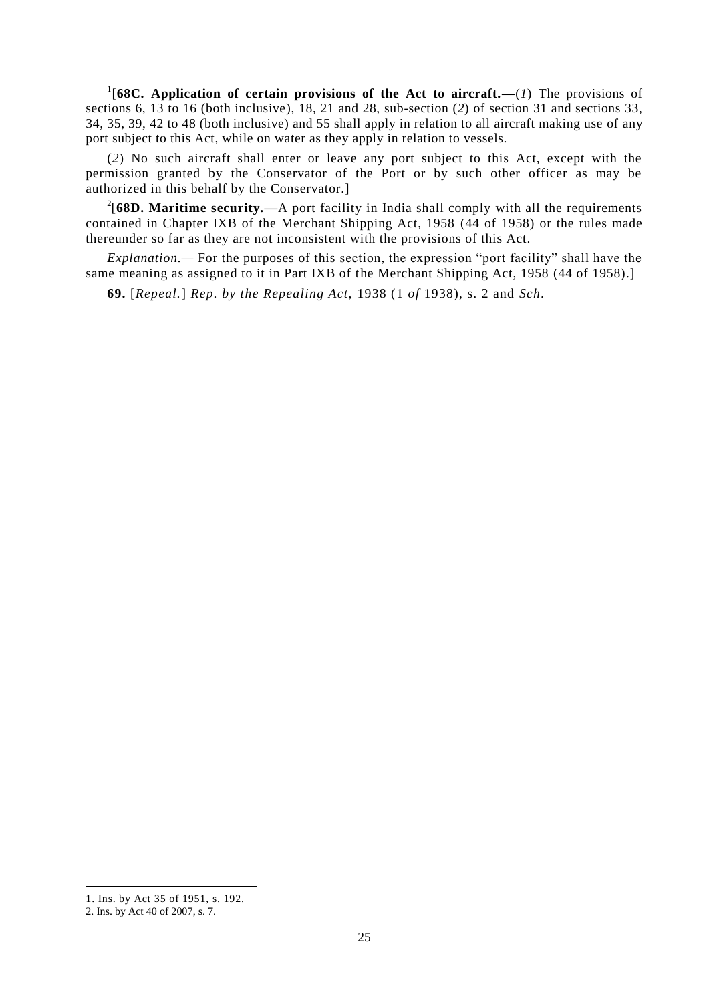<sup>1</sup>[68C. Application of certain provisions of the Act to aircraft.— $(1)$  The provisions of sections 6, 13 to 16 (both inclusive), 18, 21 and 28, sub-section (*2*) of section 31 and sections 33, 34, 35, 39, 42 to 48 (both inclusive) and 55 shall apply in relation to all aircraft making use of any port subject to this Act, while on water as they apply in relation to vessels.

(*2*) No such aircraft shall enter or leave any port subject to this Act, except with the permission granted by the Conservator of the Port or by such other officer as may be authorized in this behalf by the Conservator.]

2 [**68D. Maritime security.—**A port facility in India shall comply with all the requirements contained in Chapter IXB of the Merchant Shipping Act, 1958 (44 of 1958) or the rules made thereunder so far as they are not inconsistent with the provisions of this Act.

*Explanation.—* For the purposes of this section, the expression "port facility" shall have the same meaning as assigned to it in Part IXB of the Merchant Shipping Act, 1958 (44 of 1958).]

**69.** [*Repeal.*] *Rep. by the Repealing Act,* 1938 (1 *of* 1938), s. 2 and *Sch.*

<sup>1.</sup> Ins. by Act 35 of 1951, s. 192.

<sup>2.</sup> Ins. by Act 40 of 2007, s. 7.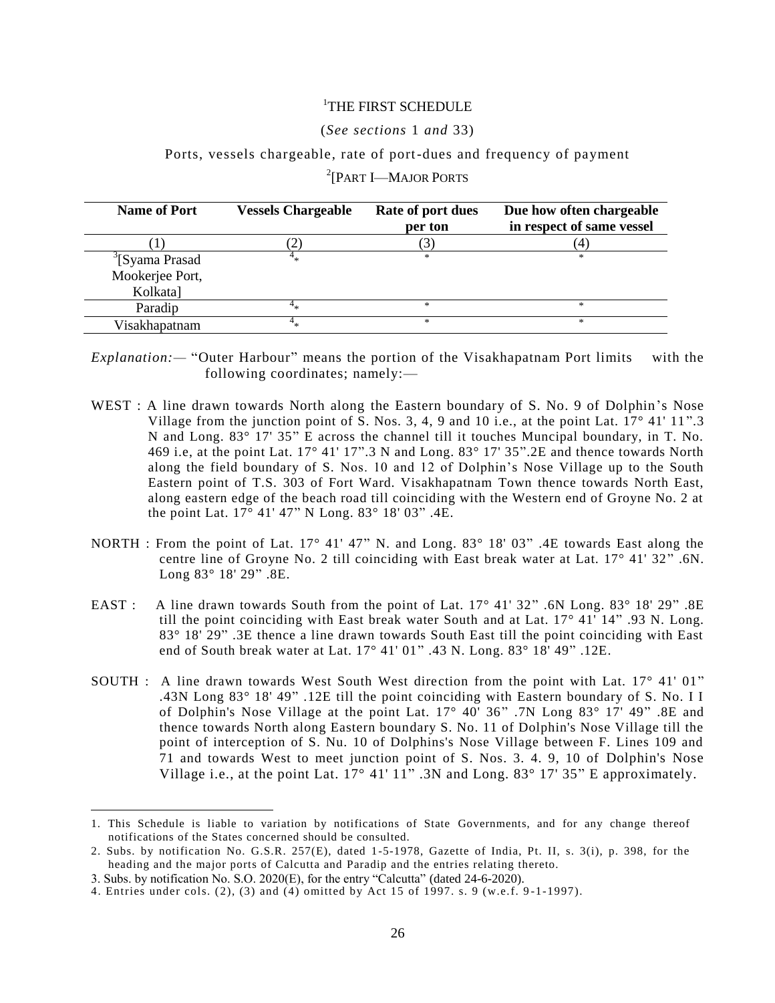# 1 THE FIRST SCHEDULE

#### (*See sections* 1 *and* 33)

#### Ports, vessels chargeable, rate of port-dues and frequency of payment

| <b>Name of Port</b>         | <b>Vessels Chargeable</b> | Rate of port dues<br>per ton | Due how often chargeable<br>in respect of same vessel |
|-----------------------------|---------------------------|------------------------------|-------------------------------------------------------|
|                             |                           | 3)                           |                                                       |
| <sup>3</sup> [Syama Prasad] |                           | *                            | *                                                     |
| Mookerjee Port,             |                           |                              |                                                       |
| Kolkata]                    |                           |                              |                                                       |
| Paradip                     |                           | *                            | *                                                     |
| Visakhapatnam               | 4 .,                      | $*$                          | *                                                     |

<sup>2</sup>[PART I—MAJOR PORTS

*Explanation:—* "Outer Harbour" means the portion of the Visakhapatnam Port limits with the following coordinates; namely:—

- WEST : A line drawn towards North along the Eastern boundary of S. No. 9 of Dolphin's Nose Village from the junction point of S. Nos. 3, 4, 9 and 10 i.e., at the point Lat.  $17^{\circ}$  41'  $11^{\circ}$ .3 N and Long. 83° 17' 35" E across the channel till it touches Muncipal boundary, in T. No. 469 i.e, at the point Lat. 17° 41' 17".3 N and Long. 83° 17' 35".2E and thence towards North along the field boundary of S. Nos. 10 and 12 of Dolphin's Nose Village up to the South Eastern point of T.S. 303 of Fort Ward. Visakhapatnam Town thence towards North East, along eastern edge of the beach road till coinciding with the Western end of Groyne No. 2 at the point Lat. 17° 41' 47" N Long. 83° 18' 03" .4E.
- NORTH : From the point of Lat. 17° 41' 47" N. and Long. 83° 18' 03" .4E towards East along the centre line of Groyne No. 2 till coinciding with East break water at Lat. 17° 41' 32" .6N. Long 83° 18' 29" .8E.
- EAST : A line drawn towards South from the point of Lat.  $17^{\circ}$  41' 32" .6N Long. 83° 18' 29" .8E till the point coinciding with East break water South and at Lat. 17° 41' 14" .93 N. Long. 83° 18' 29" .3E thence a line drawn towards South East till the point coinciding with East end of South break water at Lat. 17° 41' 01" .43 N. Long. 83° 18' 49" .12E.
- SOUTH : A line drawn towards West South West direction from the point with Lat. 17° 41' 01" .43N Long 83° 18' 49" .12E till the point coinciding with Eastern boundary of S. No. I I of Dolphin's Nose Village at the point Lat. 17° 40' 36" .7N Long 83° 17' 49" .8E and thence towards North along Eastern boundary S. No. 11 of Dolphin's Nose Village till the point of interception of S. Nu. 10 of Dolphins's Nose Village between F. Lines 109 and 71 and towards West to meet junction point of S. Nos. 3. 4. 9, 10 of Dolphin's Nose Village i.e., at the point Lat.  $17^{\circ}$  41'  $11^{\circ}$ . 3N and Long.  $83^{\circ}$  17'  $35^{\circ}$  E approximately.

<sup>1.</sup> This Schedule is liable to variation by notifications of State Governments, and for any change thereof notifications of the States concerned should be consulted.

<sup>2.</sup> Subs. by notification No. G.S.R. 257(E), dated 1-5-1978, Gazette of India, Pt. II, s. 3(i), p. 398, for the heading and the major ports of Calcutta and Paradip and the entries relating thereto.

<sup>3.</sup> Subs. by notification No. S.O. 2020(E), for the entry "Calcutta" (dated 24-6-2020).

<sup>4.</sup> Entries under cols. (2), (3) and  $\overline{(4)}$  omitted by Act 15 of 1997. s. 9 (w.e.f. 9-1-1997).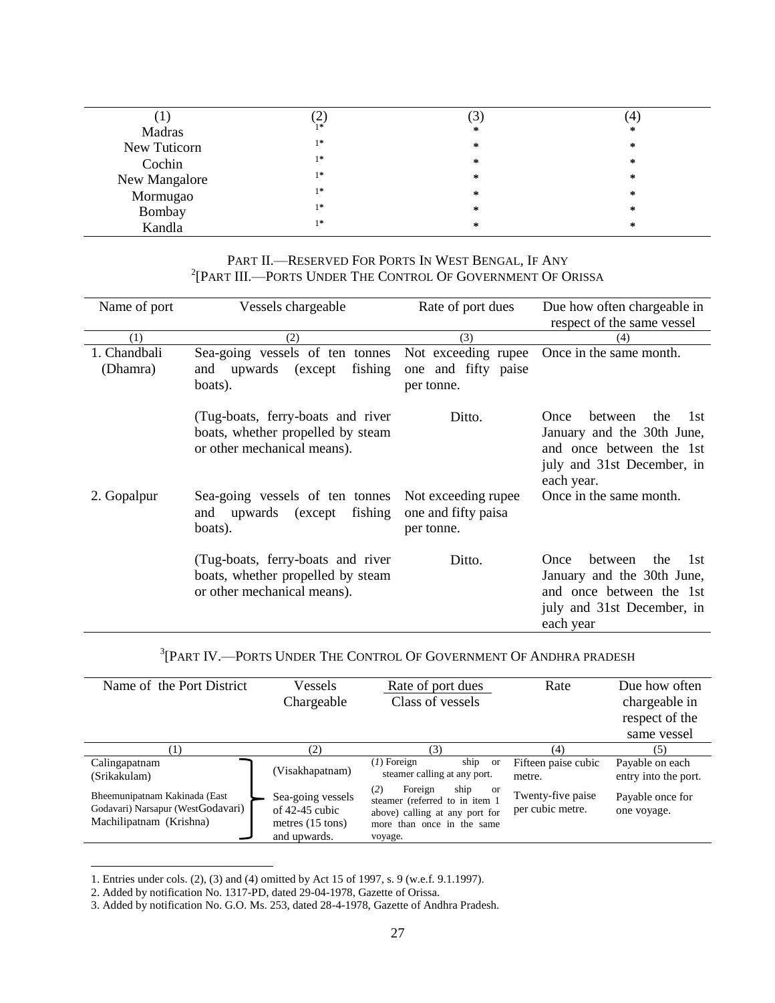|               | ∸    |   | 4 |
|---------------|------|---|---|
| Madras        | $1*$ | ∗ | ∗ |
| New Tuticorn  | $1*$ | ∗ | ∗ |
| Cochin        | $1*$ | ∗ | * |
| New Mangalore | $1*$ | ∗ | ∗ |
| Mormugao      | $1*$ | ∗ | * |
| Bombay        | $1*$ | * | ∗ |
| Kandla        | $1*$ | ∗ | ∗ |
|               |      |   |   |

# PART II.—RESERVED FOR PORTS IN WEST BENGAL, IF ANY 2 [PART III.—PORTS UNDER THE CONTROL OF GOVERNMENT OF ORISSA

| Name of port             | Vessels chargeable                                                                                     | Rate of port dues                                         | Due how often chargeable in                                                                                                         |
|--------------------------|--------------------------------------------------------------------------------------------------------|-----------------------------------------------------------|-------------------------------------------------------------------------------------------------------------------------------------|
|                          |                                                                                                        |                                                           | respect of the same vessel                                                                                                          |
| (1)                      | (2)                                                                                                    | (3)                                                       | (4)                                                                                                                                 |
| 1. Chandbali<br>(Dhamra) | Sea-going vessels of ten tonnes<br>fishing<br>and upwards (except<br>boats).                           | Not exceeding rupee<br>one and fifty paise<br>per tonne.  | Once in the same month.                                                                                                             |
|                          | (Tug-boats, ferry-boats and river)<br>boats, whether propelled by steam<br>or other mechanical means). | Ditto.                                                    | the<br>1st<br>between<br>Once<br>January and the 30th June,<br>and once between the 1st<br>july and 31st December, in<br>each year. |
| 2. Gopalpur              | Sea-going vessels of ten tonnes<br>fishing<br>and upwards (except<br>boats).                           | Not exceeding rupee.<br>one and fifty paisa<br>per tonne. | Once in the same month.                                                                                                             |
|                          | (Tug-boats, ferry-boats and river)<br>boats, whether propelled by steam<br>or other mechanical means). | Ditto.                                                    | 1st<br>the<br>between<br>Once<br>January and the 30th June,<br>and once between the 1st<br>july and 31st December, in<br>each year  |

<sup>3</sup>[PART IV.—PORTS UNDER THE CONTROL OF GOVERNMENT OF ANDHRA PRADESH

| Name of the Port District                                                                     | Vessels<br>Chargeable                                                               | Rate of port dues<br>Class of vessels                                                                                                     | Rate                                  | Due how often<br>chargeable in<br>respect of the<br>same vessel |
|-----------------------------------------------------------------------------------------------|-------------------------------------------------------------------------------------|-------------------------------------------------------------------------------------------------------------------------------------------|---------------------------------------|-----------------------------------------------------------------|
| (1)                                                                                           | (2)                                                                                 | (3)                                                                                                                                       | (4)                                   | (5)                                                             |
| Calingapatnam<br>(Srikakulam)                                                                 | (Visakhapatnam)                                                                     | $(1)$ Foreign<br>ship<br>or<br>steamer calling at any port.                                                                               | Fifteen paise cubic<br>metre.         | Payable on each<br>entry into the port.                         |
| Bheemunipatnam Kakinada (East<br>Godavari) Narsapur (WestGodavari)<br>Machilipatnam (Krishna) | Sea-going vessels<br>of $42-45$ cubic<br>metres $(15 \text{ tons})$<br>and upwards. | ship<br>(2)<br>Foreign<br>or<br>steamer (referred to in item 1<br>above) calling at any port for<br>more than once in the same<br>voyage. | Twenty-five paise<br>per cubic metre. | Payable once for<br>one voyage.                                 |

<sup>1.</sup> Entries under cols. (2), (3) and (4) omitted by Act 15 of 1997, s. 9 (w.e.f. 9.1.1997).

<sup>2.</sup> Added by notification No. 1317-PD, dated 29-04-1978, Gazette of Orissa.

<sup>3.</sup> Added by notification No. G.O. Ms. 253, dated 28-4-1978, Gazette of Andhra Pradesh.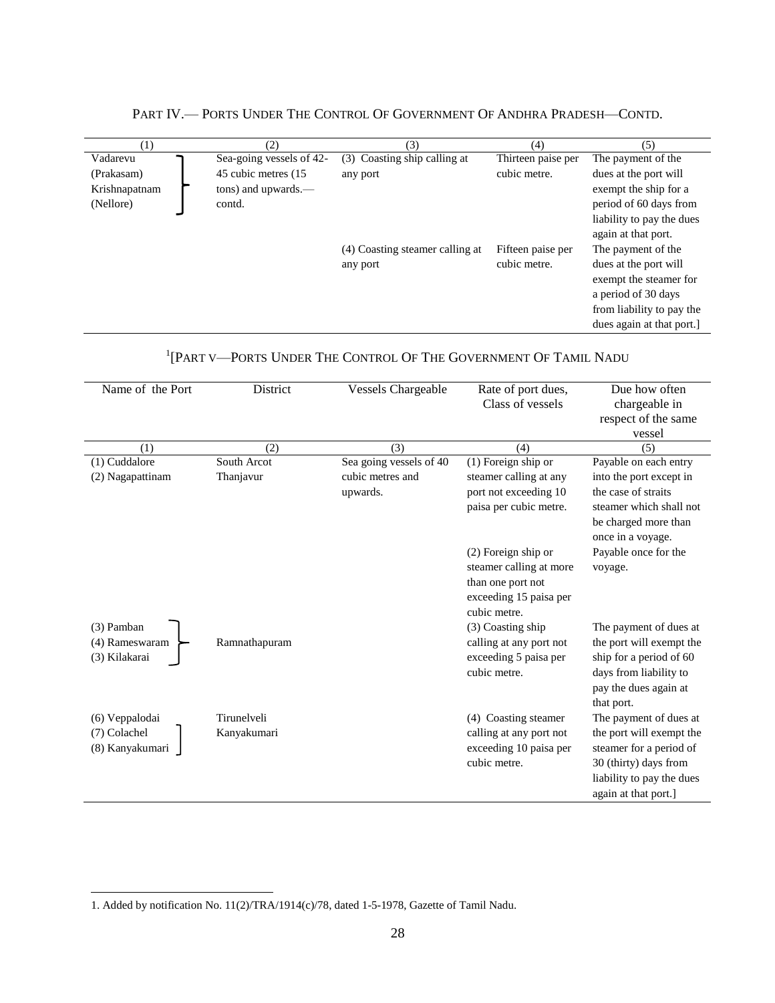| $\left(1\right)$ | (2)                      | 3)                              | (4)                | (5)                       |
|------------------|--------------------------|---------------------------------|--------------------|---------------------------|
| Vadarevu         | Sea-going vessels of 42- | (3) Coasting ship calling at    | Thirteen paise per | The payment of the        |
| (Prakasam)       | 45 cubic metres (15)     | any port                        | cubic metre.       | dues at the port will     |
| Krishnapatnam    | tons) and upwards.—      |                                 |                    | exempt the ship for a     |
| (Nellore)        | contd.                   |                                 |                    | period of 60 days from    |
|                  |                          |                                 |                    | liability to pay the dues |
|                  |                          |                                 |                    | again at that port.       |
|                  |                          | (4) Coasting steamer calling at | Fifteen paise per  | The payment of the        |
|                  |                          | any port                        | cubic metre.       | dues at the port will     |
|                  |                          |                                 |                    | exempt the steamer for    |
|                  |                          |                                 |                    | a period of 30 days       |
|                  |                          |                                 |                    | from liability to pay the |
|                  |                          |                                 |                    | dues again at that port.  |

# PART IV.— PORTS UNDER THE CONTROL OF GOVERNMENT OF ANDHRA PRADESH—CONTD.

| Name of the Port | District      | <b>Vessels Chargeable</b> | Rate of port dues,      | Due how often             |
|------------------|---------------|---------------------------|-------------------------|---------------------------|
|                  |               |                           | Class of vessels        | chargeable in             |
|                  |               |                           |                         | respect of the same       |
|                  |               |                           |                         | vessel                    |
| (1)              | (2)           | (3)                       | (4)                     | (5)                       |
| (1) Cuddalore    | South Arcot   | Sea going vessels of 40   | (1) Foreign ship or     | Payable on each entry     |
| (2) Nagapattinam | Thanjavur     | cubic metres and          | steamer calling at any  | into the port except in   |
|                  |               | upwards.                  | port not exceeding 10   | the case of straits       |
|                  |               |                           | paisa per cubic metre.  | steamer which shall not   |
|                  |               |                           |                         | be charged more than      |
|                  |               |                           |                         | once in a voyage.         |
|                  |               |                           | $(2)$ Foreign ship or   | Payable once for the      |
|                  |               |                           | steamer calling at more | voyage.                   |
|                  |               |                           | than one port not       |                           |
|                  |               |                           | exceeding 15 paisa per  |                           |
|                  |               |                           | cubic metre.            |                           |
| (3) Pamban       |               |                           | (3) Coasting ship       | The payment of dues at    |
| (4) Rameswaram   | Ramnathapuram |                           | calling at any port not | the port will exempt the  |
| (3) Kilakarai    |               |                           | exceeding 5 paisa per   | ship for a period of 60   |
|                  |               |                           | cubic metre.            | days from liability to    |
|                  |               |                           |                         | pay the dues again at     |
|                  |               |                           |                         | that port.                |
| (6) Veppalodai   | Tirunelveli   |                           | (4) Coasting steamer    | The payment of dues at    |
| (7) Colachel     | Kanyakumari   |                           | calling at any port not | the port will exempt the  |
| (8) Kanyakumari  |               |                           | exceeding 10 paisa per  | steamer for a period of   |
|                  |               |                           | cubic metre.            | 30 (thirty) days from     |
|                  |               |                           |                         | liability to pay the dues |
|                  |               |                           |                         | again at that port.]      |
|                  |               |                           |                         |                           |

# <sup>1</sup>[PART V—PORTS UNDER THE CONTROL OF THE GOVERNMENT OF TAMIL NADU

<sup>1.</sup> Added by notification No. 11(2)/TRA/1914(c)/78, dated 1-5-1978, Gazette of Tamil Nadu.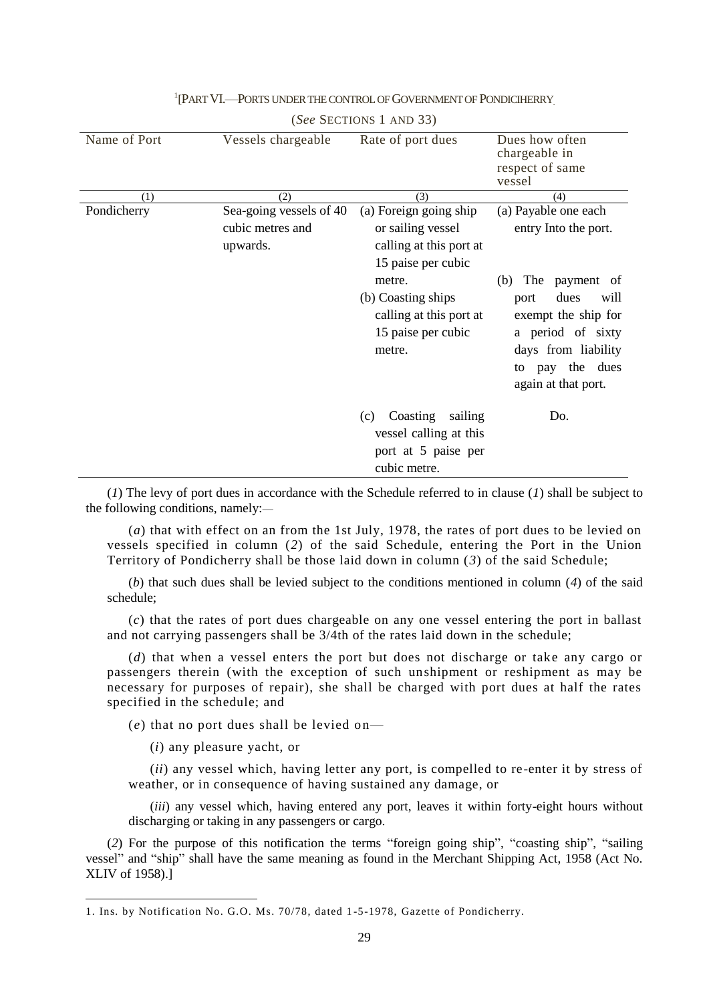| Name of Port | Vessels chargeable                                      | Rate of port dues                                                                                                                                                                       | Dues how often<br>chargeable in<br>respect of same<br>vessel                                                                                                                                                     |
|--------------|---------------------------------------------------------|-----------------------------------------------------------------------------------------------------------------------------------------------------------------------------------------|------------------------------------------------------------------------------------------------------------------------------------------------------------------------------------------------------------------|
| (1)          | (2)                                                     | (3)                                                                                                                                                                                     | (4)                                                                                                                                                                                                              |
| Pondicherry  | Sea-going vessels of 40<br>cubic metres and<br>upwards. | (a) Foreign going ship<br>or sailing vessel<br>calling at this port at<br>15 paise per cubic<br>metre.<br>(b) Coasting ships<br>calling at this port at<br>15 paise per cubic<br>metre. | (a) Payable one each<br>entry Into the port.<br>The<br>payment of<br>(b)<br>dues<br>will<br>port<br>exempt the ship for<br>a period of sixty<br>days from liability<br>pay the dues<br>to<br>again at that port. |
|              |                                                         | Coasting<br>sailing<br>(c)<br>vessel calling at this<br>port at 5 paise per<br>cubic metre.                                                                                             | Do.                                                                                                                                                                                                              |

# <sup>1</sup>[PART VI.—PORTS UNDER THE CONTROL OF GOVERNMENT OF PONDICIHERRY (*See* SECTIONS 1 AND 33)

(*1*) The levy of port dues in accordance with the Schedule referred to in clause (*1*) shall be subject to the following conditions, namely:—

(*a*) that with effect on an from the 1st July, 1978, the rates of port dues to be levied on vessels specified in column (*2*) of the said Schedule, entering the Port in the Union Territory of Pondicherry shall be those laid down in column (*3*) of the said Schedule;

(*b*) that such dues shall be levied subject to the conditions mentioned in column (*4*) of the said schedule;

(*c*) that the rates of port dues chargeable on any one vessel entering the port in ballast and not carrying passengers shall be 3/4th of the rates laid down in the schedule;

(*d*) that when a vessel enters the port but does not discharge or take any cargo or passengers therein (with the exception of such unshipment or reshipment as may be necessary for purposes of repair), she shall be charged with port dues at half the rates specified in the schedule; and

(*e*) that no port dues shall be levied on—

(*i*) any pleasure yacht, or

-

(*ii*) any vessel which, having letter any port, is compelled to re-enter it by stress of weather, or in consequence of having sustained any damage, or

(*iii*) any vessel which, having entered any port, leaves it within forty-eight hours without discharging or taking in any passengers or cargo.

(*2*) For the purpose of this notification the terms "foreign going ship", "coasting ship", "sailing vessel" and "ship" shall have the same meaning as found in the Merchant Shipping Act, 1958 (Act No. XLIV of 1958).]

<sup>1.</sup> Ins. by Notification No. G.O. Ms. 70/78, dated 1 -5-1978, Gazette of Pondicherry.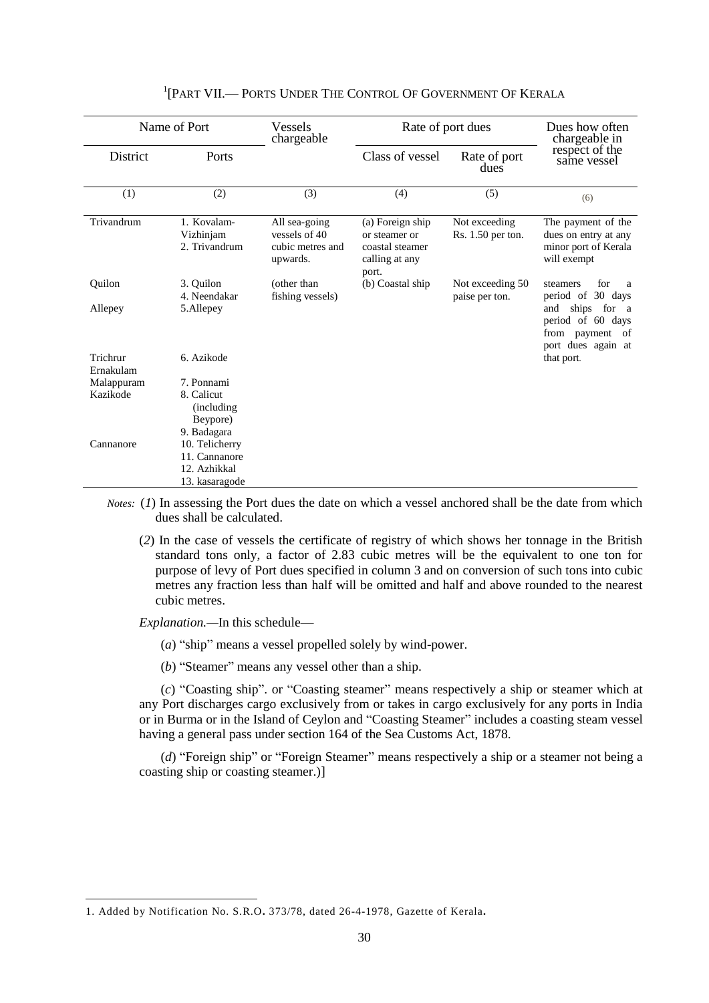| Name of Port          |                                                      | Vessels<br>chargeable                                          | Rate of port dues                                                               |                                      | Dues how often<br>chargeable in                                                             |  |
|-----------------------|------------------------------------------------------|----------------------------------------------------------------|---------------------------------------------------------------------------------|--------------------------------------|---------------------------------------------------------------------------------------------|--|
| District              | Ports                                                |                                                                | Class of vessel                                                                 | Rate of port<br>dues                 | respect of the<br>same vessel                                                               |  |
| (1)                   | (2)                                                  | (3)                                                            | (4)                                                                             | (5)                                  | (6)                                                                                         |  |
| Trivandrum            | 1. Kovalam-<br>Vizhinjam<br>2. Trivandrum            | All sea-going<br>vessels of 40<br>cubic metres and<br>upwards. | (a) Foreign ship<br>or steamer or<br>coastal steamer<br>calling at any<br>port. | Not exceeding<br>$Rs. 1.50$ per ton. | The payment of the<br>dues on entry at any<br>minor port of Kerala<br>will exempt           |  |
| Ouilon                | 3. Ouilon<br>4. Neendakar                            | (other than<br>fishing vessels)                                | (b) Coastal ship                                                                | Not exceeding 50<br>paise per ton.   | for<br>steamers<br>a<br>period of 30 days                                                   |  |
| Allepey               | 5.Allepey                                            |                                                                |                                                                                 |                                      | ships for<br>and<br>a a<br>period of 60 days<br>payment<br>from<br>of<br>port dues again at |  |
| Trichrur<br>Ernakulam | 6. Azikode                                           |                                                                |                                                                                 |                                      | that port.                                                                                  |  |
| Malappuram            | 7. Ponnami                                           |                                                                |                                                                                 |                                      |                                                                                             |  |
| Kazikode              | 8. Calicut<br>(including)<br>Beypore)<br>9. Badagara |                                                                |                                                                                 |                                      |                                                                                             |  |
| Cannanore             | 10. Telicherry                                       |                                                                |                                                                                 |                                      |                                                                                             |  |
|                       | 11. Cannanore                                        |                                                                |                                                                                 |                                      |                                                                                             |  |
|                       | 12. Azhikkal                                         |                                                                |                                                                                 |                                      |                                                                                             |  |
|                       | 13. kasaragode                                       |                                                                |                                                                                 |                                      |                                                                                             |  |

# <sup>1</sup>[PART VII.— PORTS UNDER THE CONTROL OF GOVERNMENT OF KERALA

*Notes:* (*1*) In assessing the Port dues the date on which a vessel anchored shall be the date from which dues shall be calculated.

(*2*) In the case of vessels the certificate of registry of which shows her tonnage in the British standard tons only, a factor of 2.83 cubic metres will be the equivalent to one ton for purpose of levy of Port dues specified in column 3 and on conversion of such tons into cubic metres any fraction less than half will be omitted and half and above rounded to the nearest cubic metres.

*Explanation.—*In this schedule—

-

- (*a*) "ship" means a vessel propelled solely by wind-power.
- (*b*) "Steamer" means any vessel other than a ship.

(*c*) "Coasting ship". or "Coasting steamer" means respectively a ship or steamer which at any Port discharges cargo exclusively from or takes in cargo exclusively for any ports in India or in Burma or in the Island of Ceylon and "Coasting Steamer" includes a coasting steam vessel having a general pass under section 164 of the Sea Customs Act, 1878.

(*d*) "Foreign ship" or "Foreign Steamer" means respectively a ship or a steamer not being a coasting ship or coasting steamer.)]

<sup>1.</sup> Added by Notification No. S.R.O**.** 373/78, dated 26-4-1978, Gazette of Kerala**.**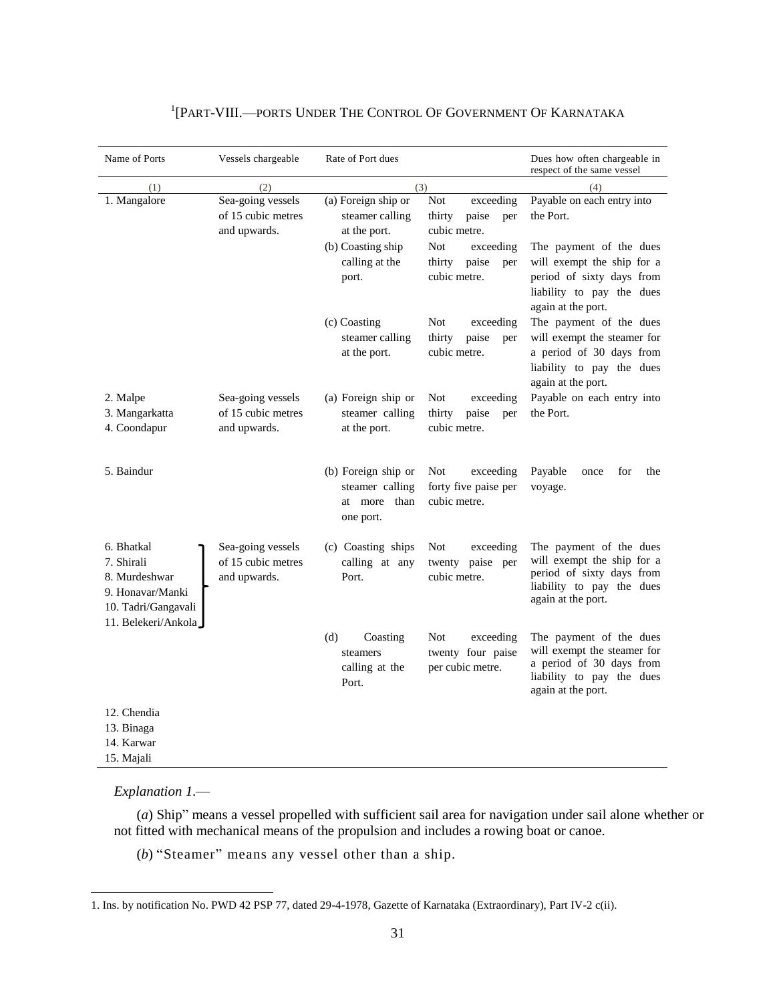| Name of Ports                                                                                               | Vessels chargeable                                      | Rate of Port dues                                                                                      |                                                                                                                                 | Dues how often chargeable in<br>respect of the same vessel                                                                                                                       |
|-------------------------------------------------------------------------------------------------------------|---------------------------------------------------------|--------------------------------------------------------------------------------------------------------|---------------------------------------------------------------------------------------------------------------------------------|----------------------------------------------------------------------------------------------------------------------------------------------------------------------------------|
| (1)                                                                                                         | (2)                                                     | (3)                                                                                                    |                                                                                                                                 | (4)                                                                                                                                                                              |
| 1. Mangalore                                                                                                | Sea-going vessels<br>of 15 cubic metres<br>and upwards. | (a) Foreign ship or<br>steamer calling<br>at the port.<br>(b) Coasting ship<br>calling at the<br>port. | exceeding<br>Not<br>paise<br>thirty<br>per<br>cubic metre.<br><b>Not</b><br>exceeding<br>thirty<br>paise<br>per<br>cubic metre. | Payable on each entry into<br>the Port.<br>The payment of the dues<br>will exempt the ship for a<br>period of sixty days from<br>liability to pay the dues<br>again at the port. |
|                                                                                                             |                                                         | (c) Coasting<br>steamer calling<br>at the port.                                                        | exceeding<br><b>Not</b><br>paise<br>thirty<br>per<br>cubic metre.                                                               | The payment of the dues<br>will exempt the steamer for<br>a period of 30 days from<br>liability to pay the dues<br>again at the port.                                            |
| 2. Malpe<br>3. Mangarkatta<br>4. Coondapur                                                                  | Sea-going vessels<br>of 15 cubic metres<br>and upwards. | (a) Foreign ship or<br>steamer calling<br>at the port.                                                 | Not<br>exceeding<br>paise<br>thirty<br>per<br>cubic metre.                                                                      | Payable on each entry into<br>the Port.                                                                                                                                          |
| 5. Baindur                                                                                                  |                                                         | (b) Foreign ship or<br>steamer calling<br>more<br>than<br>at<br>one port.                              | exceeding<br><b>Not</b><br>forty five paise per<br>cubic metre.                                                                 | Payable<br>for<br>the<br>once<br>voyage.                                                                                                                                         |
| 6. Bhatkal<br>7. Shirali<br>8. Murdeshwar<br>9. Honavar/Manki<br>10. Tadri/Gangavali<br>11. Belekeri/Ankola | Sea-going vessels<br>of 15 cubic metres<br>and upwards. | (c) Coasting ships<br>calling at any<br>Port.                                                          | <b>Not</b><br>exceeding<br>twenty paise per<br>cubic metre.                                                                     | The payment of the dues<br>will exempt the ship for a<br>period of sixty days from<br>liability to pay the dues<br>again at the port.                                            |
|                                                                                                             |                                                         | (d)<br>Coasting<br>steamers<br>calling at the<br>Port.                                                 | <b>Not</b><br>exceeding<br>twenty four paise<br>per cubic metre.                                                                | The payment of the dues<br>will exempt the steamer for<br>a period of 30 days from<br>liability to pay the dues<br>again at the port.                                            |
| 12. Chendia<br>13. Binaga<br>14. Karwar<br>15. Majali                                                       |                                                         |                                                                                                        |                                                                                                                                 |                                                                                                                                                                                  |

# 1 [PART-VIII.—PORTS UNDER THE CONTROL OF GOVERNMENT OF KARNATAKA

#### *Explanation 1*.—

 $\overline{a}$ 

(*a*) Ship" means a vessel propelled with sufficient sail area for navigation under sail alone whether or not fitted with mechanical means of the propulsion and includes a rowing boat or canoe.

(*b*) "Steamer" means any vessel other than a ship.

<sup>1.</sup> Ins. by notification No. PWD 42 PSP 77, dated 29-4-1978, Gazette of Karnataka (Extraordinary), Part IV-2 c(ii).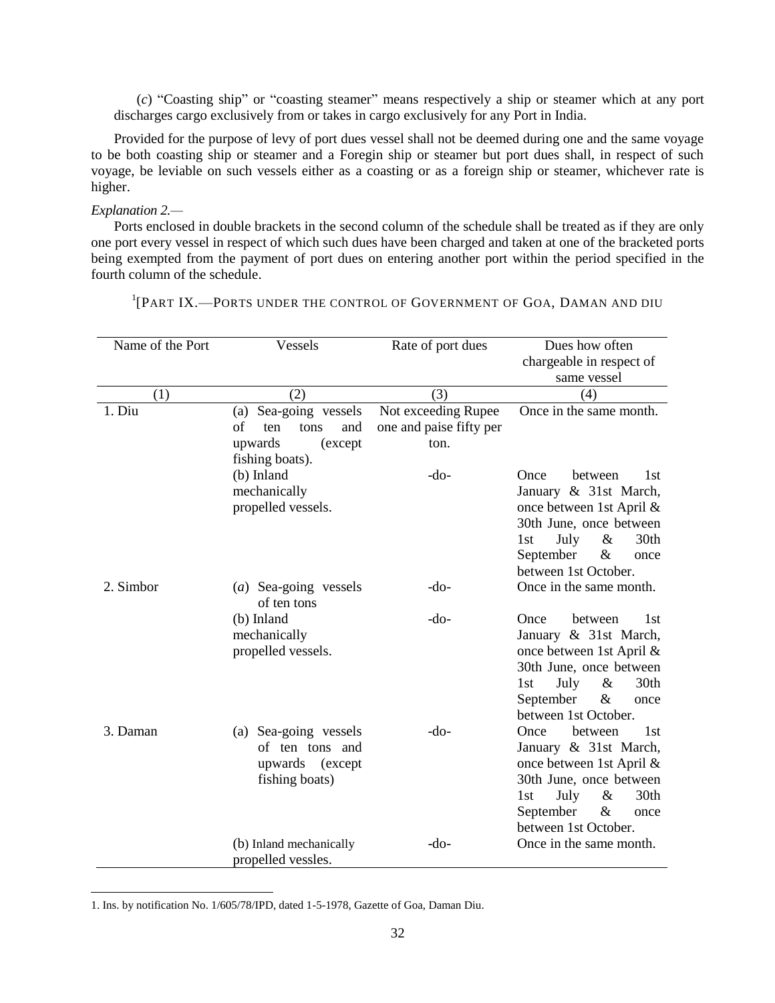(*c*) "Coasting ship" or "coasting steamer" means respectively a ship or steamer which at any port discharges cargo exclusively from or takes in cargo exclusively for any Port in India.

Provided for the purpose of levy of port dues vessel shall not be deemed during one and the same voyage to be both coasting ship or steamer and a Foregin ship or steamer but port dues shall, in respect of such voyage, be leviable on such vessels either as a coasting or as a foreign ship or steamer, whichever rate is higher.

#### *Explanation 2.—*

 $\overline{a}$ 

Ports enclosed in double brackets in the second column of the schedule shall be treated as if they are only one port every vessel in respect of which such dues have been charged and taken at one of the bracketed ports being exempted from the payment of port dues on entering another port within the period specified in the fourth column of the schedule.

| Name of the Port | Vessels                              | Rate of port dues       | Dues how often                     |
|------------------|--------------------------------------|-------------------------|------------------------------------|
|                  |                                      |                         | chargeable in respect of           |
|                  |                                      |                         | same vessel                        |
| (1)              | (2)                                  | (3)                     | (4)                                |
| 1. Diu           | Sea-going vessels<br>(a)             | Not exceeding Rupee     | Once in the same month.            |
|                  | of<br>and<br>ten<br>tons             | one and paise fifty per |                                    |
|                  | upwards<br>(except                   | ton.                    |                                    |
|                  | fishing boats).                      |                         |                                    |
|                  | (b) Inland                           | -do-                    | 1st<br>Once<br>between             |
|                  | mechanically                         |                         | January & 31st March,              |
|                  | propelled vessels.                   |                         | once between 1st April &           |
|                  |                                      |                         | 30th June, once between            |
|                  |                                      |                         | 30th<br>July<br>$\&$<br>1st        |
|                  |                                      |                         | September<br>&<br>once             |
|                  |                                      |                         | between 1st October.               |
| 2. Simbor        | (a) Sea-going vessels<br>of ten tons | -do-                    | Once in the same month.            |
|                  | (b) Inland                           | $-do-$                  | 1st<br>Once<br>between             |
|                  | mechanically                         |                         | January & 31st March,              |
|                  | propelled vessels.                   |                         | once between 1st April &           |
|                  |                                      |                         | 30th June, once between            |
|                  |                                      |                         | 30th<br>July<br>&<br>1st           |
|                  |                                      |                         | September<br>&<br>once             |
|                  |                                      |                         | between 1st October.               |
| 3. Daman         | (a) Sea-going vessels                | $-do-$                  | 1 <sub>st</sub><br>between<br>Once |
|                  | of ten tons and                      |                         | January & 31st March,              |
|                  | upwards (except                      |                         | once between 1st April &           |
|                  | fishing boats)                       |                         | 30th June, once between            |
|                  |                                      |                         | 30th<br>$\&$<br>July<br>1st        |
|                  |                                      |                         | September<br>&<br>once             |
|                  |                                      |                         | between 1st October.               |
|                  | (b) Inland mechanically              | -do-                    | Once in the same month.            |
|                  | propelled vessles.                   |                         |                                    |

<sup>1</sup>[PART IX.—PORTS UNDER THE CONTROL OF GOVERNMENT OF GOA, DAMAN AND DIU

<sup>1.</sup> Ins. by notification No. 1/605/78/IPD, dated 1-5-1978, Gazette of Goa, Daman Diu.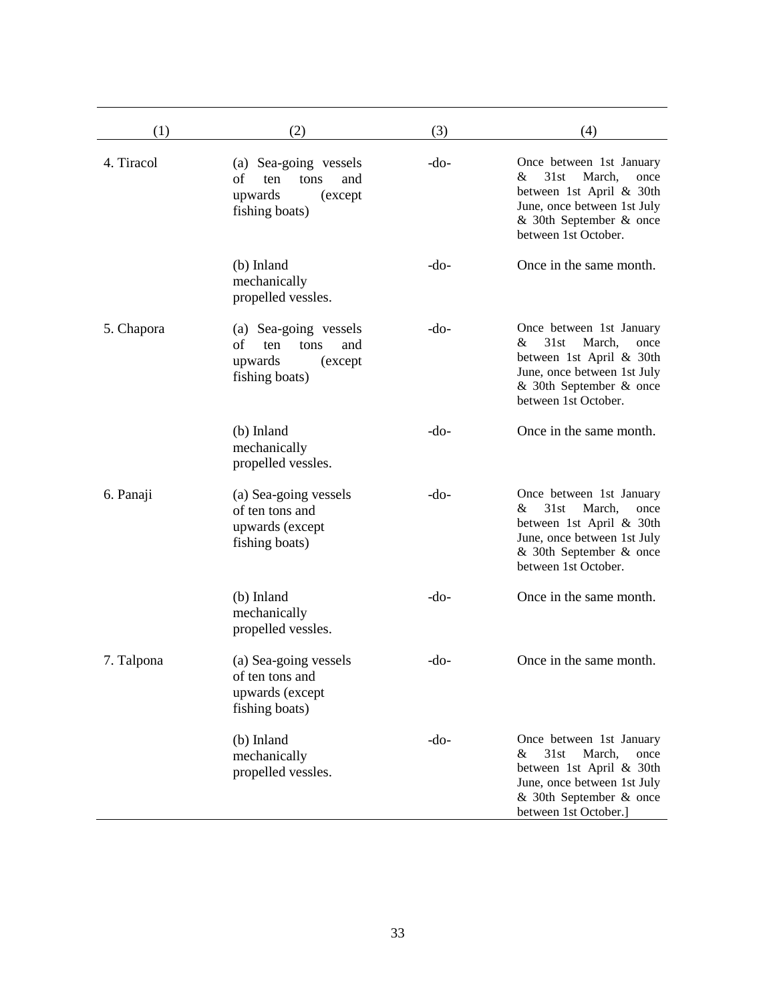| (1)        | (2)                                                                                        | (3)    | (4)                                                                                                                                                                    |
|------------|--------------------------------------------------------------------------------------------|--------|------------------------------------------------------------------------------------------------------------------------------------------------------------------------|
| 4. Tiracol | (a) Sea-going vessels<br>of<br>tons<br>and<br>ten<br>upwards<br>(except)<br>fishing boats) | $-do-$ | Once between 1st January<br>31st<br>March,<br>&<br>once<br>between 1st April & 30th<br>June, once between 1st July<br>& 30th September & once<br>between 1st October.  |
|            | (b) Inland<br>mechanically<br>propelled vessles.                                           | $-do-$ | Once in the same month.                                                                                                                                                |
| 5. Chapora | (a) Sea-going vessels<br>of<br>ten<br>tons<br>and<br>upwards<br>(except)<br>fishing boats) | $-do-$ | Once between 1st January<br>31st<br>March,<br>&<br>once<br>between 1st April & 30th<br>June, once between 1st July<br>& 30th September & once<br>between 1st October.  |
|            | (b) Inland<br>mechanically<br>propelled vessles.                                           | $-do-$ | Once in the same month.                                                                                                                                                |
| 6. Panaji  | (a) Sea-going vessels<br>of ten tons and<br>upwards (except<br>fishing boats)              | $-do-$ | Once between 1st January<br>31st<br>March,<br>&<br>once<br>between 1st April & 30th<br>June, once between 1st July<br>& 30th September & once<br>between 1st October.  |
|            | (b) Inland<br>mechanically<br>propelled vessles.                                           | $-do-$ | Once in the same month.                                                                                                                                                |
| 7. Talpona | (a) Sea-going vessels<br>of ten tons and<br>upwards (except<br>fishing boats)              | $-do-$ | Once in the same month.                                                                                                                                                |
|            | (b) Inland<br>mechanically<br>propelled vessles.                                           | $-do-$ | Once between 1st January<br>31st<br>March,<br>&<br>once<br>between 1st April & 30th<br>June, once between 1st July<br>& 30th September & once<br>between 1st October.] |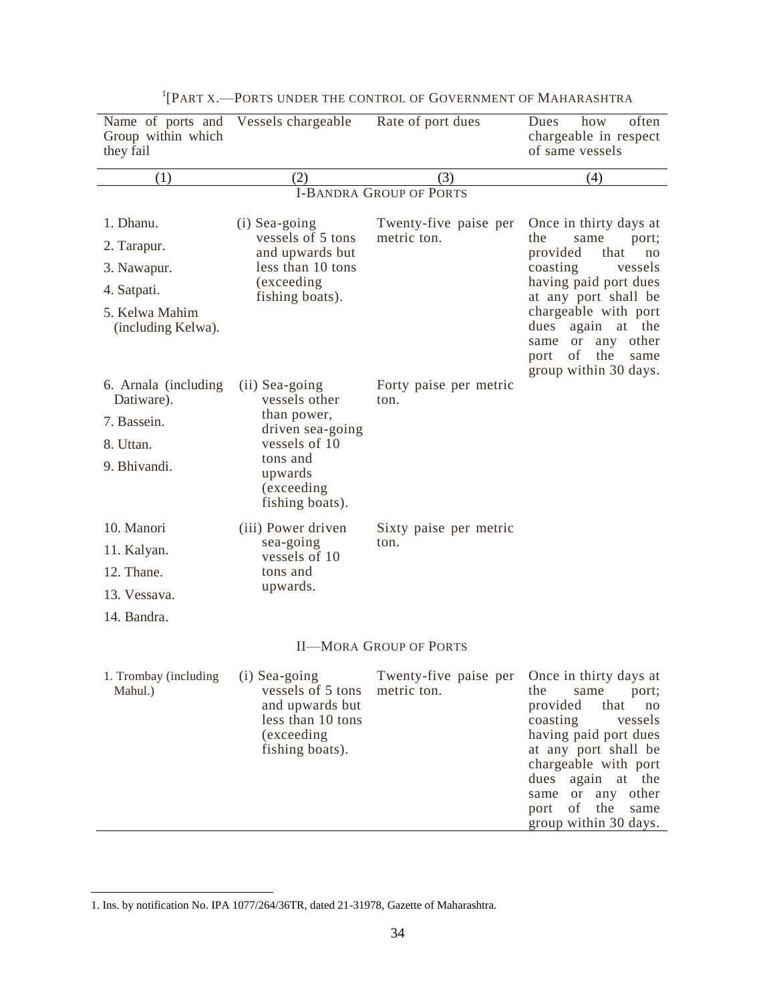| Name of ports and Vessels chargeable<br>Group within which<br>they fail |                                                                                                                     | Rate of port dues                    | often<br>Dues<br>how<br>chargeable in respect<br>of same vessels                                                                                                                                                                                                                  |
|-------------------------------------------------------------------------|---------------------------------------------------------------------------------------------------------------------|--------------------------------------|-----------------------------------------------------------------------------------------------------------------------------------------------------------------------------------------------------------------------------------------------------------------------------------|
| (1)                                                                     | (2)                                                                                                                 | (3)                                  | (4)                                                                                                                                                                                                                                                                               |
|                                                                         |                                                                                                                     | <b>I-BANDRA GROUP OF PORTS</b>       |                                                                                                                                                                                                                                                                                   |
| 1. Dhanu.                                                               | (i) Sea-going                                                                                                       | Twenty-five paise per                | Once in thirty days at                                                                                                                                                                                                                                                            |
| 2. Tarapur.                                                             | vessels of 5 tons<br>and upwards but                                                                                | metric ton.                          | the<br>same<br>port;<br>provided<br>that<br>no                                                                                                                                                                                                                                    |
| 3. Nawapur.                                                             | less than 10 tons                                                                                                   |                                      | coasting<br>vessels                                                                                                                                                                                                                                                               |
| 4. Satpati.                                                             | (exceeding<br>fishing boats).                                                                                       |                                      | having paid port dues<br>at any port shall be                                                                                                                                                                                                                                     |
| 5. Kelwa Mahim<br>(including Kelwa).                                    |                                                                                                                     |                                      | chargeable with port<br>again at the<br>dues<br>any other<br><sub>or</sub><br>same<br>of<br>the<br>port<br>same<br>group within 30 days.                                                                                                                                          |
| 6. Arnala (including<br>Datiware).                                      | (ii) Sea-going<br>vessels other                                                                                     | Forty paise per metric<br>ton.       |                                                                                                                                                                                                                                                                                   |
| 7. Bassein.                                                             | than power,<br>driven sea-going                                                                                     |                                      |                                                                                                                                                                                                                                                                                   |
| 8. Uttan.                                                               | vessels of 10                                                                                                       |                                      |                                                                                                                                                                                                                                                                                   |
| 9. Bhivandi.                                                            | tons and<br>upwards                                                                                                 |                                      |                                                                                                                                                                                                                                                                                   |
|                                                                         | (exceeding<br>fishing boats).                                                                                       |                                      |                                                                                                                                                                                                                                                                                   |
| 10. Manori                                                              | (iii) Power driven                                                                                                  | Sixty paise per metric               |                                                                                                                                                                                                                                                                                   |
| 11. Kalyan.                                                             | sea-going<br>vessels of 10                                                                                          | ton.                                 |                                                                                                                                                                                                                                                                                   |
| 12. Thane.                                                              | tons and                                                                                                            |                                      |                                                                                                                                                                                                                                                                                   |
| 13. Vessava.                                                            | upwards.                                                                                                            |                                      |                                                                                                                                                                                                                                                                                   |
| 14. Bandra.                                                             |                                                                                                                     |                                      |                                                                                                                                                                                                                                                                                   |
|                                                                         |                                                                                                                     | <b>II-MORA GROUP OF PORTS</b>        |                                                                                                                                                                                                                                                                                   |
| 1. Trombay (including<br>Mahul.)                                        | (i) Sea-going<br>vessels of 5 tons<br>and upwards but<br>less than 10 tons<br><i>(exceeding)</i><br>fishing boats). | Twenty-five paise per<br>metric ton. | Once in thirty days at<br>the<br>same<br>port;<br>provided<br>that<br>$\rm no$<br>coasting<br>vessels<br>having paid port dues<br>at any port shall be<br>chargeable with port<br>again at the<br>dues<br>same or any other<br>of<br>the<br>port<br>same<br>group within 30 days. |

1 [PART X.—PORTS UNDER THE CONTROL OF GOVERNMENT OF MAHARASHTRA

<sup>1.</sup> Ins. by notification No. IPA 1077/264/36TR, dated 21-31978, Gazette of Maharashtra.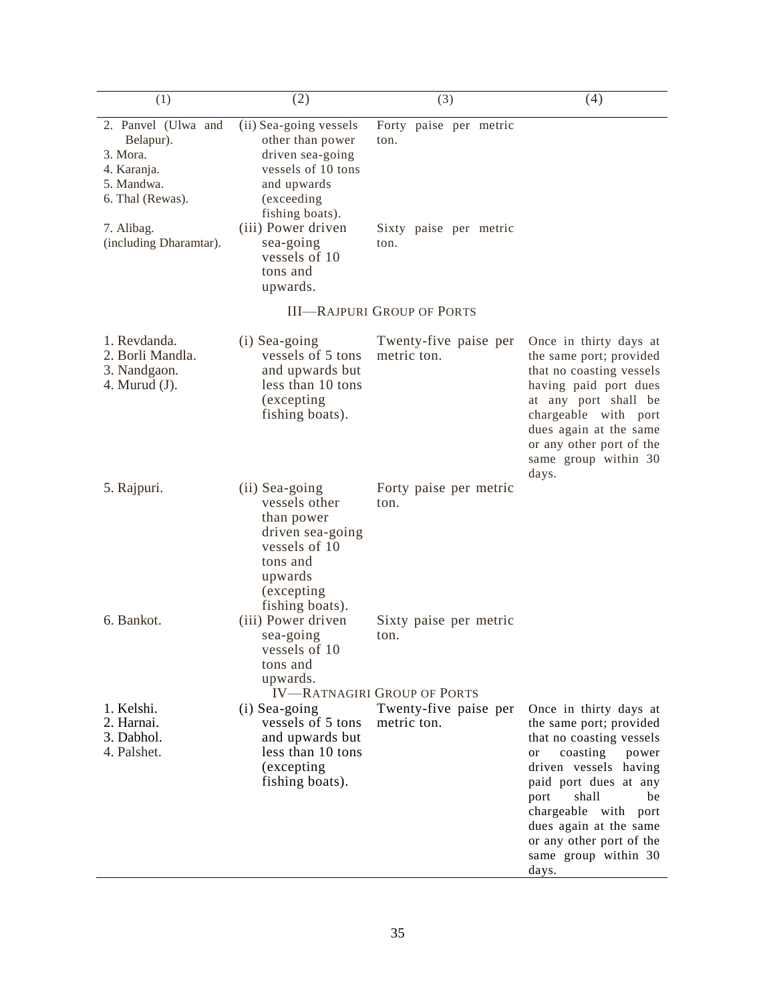| (1)                                                                                           | (2)                                                                                                                                                | (3)                                                                  | (4)                                                                                                                                                                                                                                                                                              |
|-----------------------------------------------------------------------------------------------|----------------------------------------------------------------------------------------------------------------------------------------------------|----------------------------------------------------------------------|--------------------------------------------------------------------------------------------------------------------------------------------------------------------------------------------------------------------------------------------------------------------------------------------------|
| 2. Panvel (Ulwa and<br>Belapur).<br>3. Mora.<br>4. Karanja.<br>5. Mandwa.<br>6. Thal (Rewas). | (ii) Sea-going vessels<br>other than power<br>driven sea-going<br>vessels of 10 tons<br>and upwards<br>(exceeding<br>fishing boats).               | Forty paise per metric<br>ton.                                       |                                                                                                                                                                                                                                                                                                  |
| 7. Alibag.<br>(including Dharamtar).                                                          | (iii) Power driven<br>sea-going<br>vessels of 10<br>tons and<br>upwards.                                                                           | Sixty paise per metric<br>ton.                                       |                                                                                                                                                                                                                                                                                                  |
|                                                                                               |                                                                                                                                                    | <b>III-RAJPURI GROUP OF PORTS</b>                                    |                                                                                                                                                                                                                                                                                                  |
| 1. Revdanda.<br>2. Borli Mandla.<br>3. Nandgaon.<br>4. Murud $(J)$ .                          | (i) Sea-going<br>vessels of 5 tons<br>and upwards but<br>less than 10 tons<br><i>(excepting)</i><br>fishing boats).                                | Twenty-five paise per<br>metric ton.                                 | Once in thirty days at<br>the same port; provided<br>that no coasting vessels<br>having paid port dues<br>at any port shall be<br>chargeable with port<br>dues again at the same<br>or any other port of the<br>same group within 30<br>days.                                                    |
| 5. Rajpuri.                                                                                   | (ii) Sea-going<br>vessels other<br>than power<br>driven sea-going<br>vessels of 10<br>tons and<br>upwards<br><i>(excepting)</i><br>fishing boats). | Forty paise per metric<br>ton.                                       |                                                                                                                                                                                                                                                                                                  |
| 6. Bankot.                                                                                    | (iii) Power driven<br>sea-going<br>vessels of 10<br>tons and<br>upwards.                                                                           | Sixty paise per metric<br>ton.<br><b>IV-RATNAGIRI GROUP OF PORTS</b> |                                                                                                                                                                                                                                                                                                  |
| 1. Kelshi.<br>2. Harnai.<br>3. Dabhol.<br>4. Palshet.                                         | (i) Sea-going<br>vessels of 5 tons<br>and upwards but<br>less than 10 tons<br>(excepting<br>fishing boats).                                        | Twenty-five paise per<br>metric ton.                                 | Once in thirty days at<br>the same port; provided<br>that no coasting vessels<br>coasting power<br>or<br>driven vessels having<br>paid port dues at any<br>shall<br>port<br>be<br>chargeable with<br>port<br>dues again at the same<br>or any other port of the<br>same group within 30<br>days. |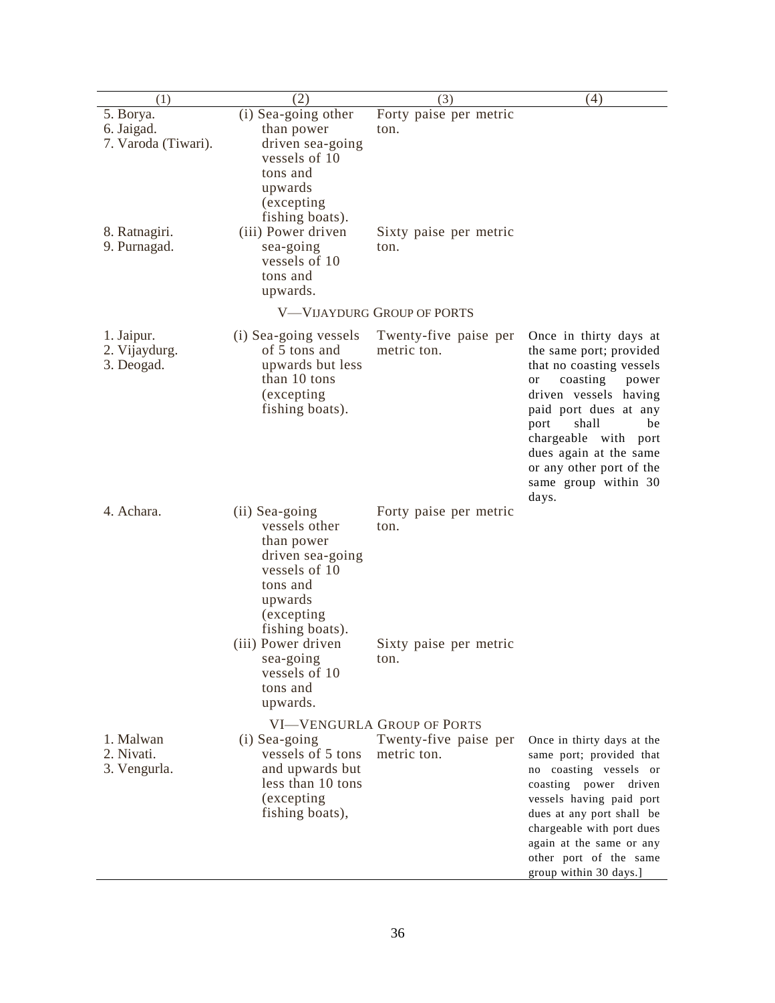| (1)                                                             | (2)                                                                                                                                                                | (3)                                                                       | (4)                                                                                                                                                                                                                                                                                              |
|-----------------------------------------------------------------|--------------------------------------------------------------------------------------------------------------------------------------------------------------------|---------------------------------------------------------------------------|--------------------------------------------------------------------------------------------------------------------------------------------------------------------------------------------------------------------------------------------------------------------------------------------------|
| 5. Borya.<br>6. Jaigad.<br>7. Varoda (Tiwari).<br>8. Ratnagiri. | $\overline{(i)}$ Sea-going other<br>than power<br>driven sea-going<br>vessels of 10<br>tons and<br>upwards<br>(excepting)<br>fishing boats).<br>(iii) Power driven | Forty paise per metric<br>ton.<br>Sixty paise per metric                  |                                                                                                                                                                                                                                                                                                  |
| 9. Purnagad.                                                    | sea-going<br>vessels of 10<br>tons and<br>upwards.                                                                                                                 | ton.                                                                      |                                                                                                                                                                                                                                                                                                  |
|                                                                 |                                                                                                                                                                    | V-VIJAYDURG GROUP OF PORTS                                                |                                                                                                                                                                                                                                                                                                  |
| 1. Jaipur.<br>2. Vijaydurg.<br>3. Deogad.                       | (i) Sea-going vessels<br>of 5 tons and<br>upwards but less<br>than 10 tons<br>(excepting)<br>fishing boats).                                                       | Twenty-five paise per<br>metric ton.                                      | Once in thirty days at<br>the same port; provided<br>that no coasting vessels<br>coasting<br>or<br>power<br>driven vessels having<br>paid port dues at any<br>shall<br>be<br>port<br>chargeable with port<br>dues again at the same<br>or any other port of the<br>same group within 30<br>days. |
| 4. Achara.                                                      | (ii) Sea-going<br>vessels other<br>than power<br>driven sea-going<br>vessels of 10<br>tons and<br>upwards<br>(excepting<br>fishing boats).                         | Forty paise per metric<br>ton.                                            |                                                                                                                                                                                                                                                                                                  |
|                                                                 | (iii) Power driven<br>sea-going<br>vessels of 10<br>tons and<br>upwards.                                                                                           | Sixty paise per metric<br>ton.                                            |                                                                                                                                                                                                                                                                                                  |
| 1. Malwan<br>2. Nivati.<br>3. Vengurla.                         | (i) Sea-going<br>vessels of 5 tons<br>and upwards but<br>less than 10 tons<br>(excepting)<br>fishing boats),                                                       | <b>VI-VENGURLA GROUP OF PORTS</b><br>Twenty-five paise per<br>metric ton. | Once in thirty days at the<br>same port; provided that<br>no coasting vessels or<br>coasting power driven<br>vessels having paid port<br>dues at any port shall be<br>chargeable with port dues<br>again at the same or any<br>other port of the same<br>group within 30 days.]                  |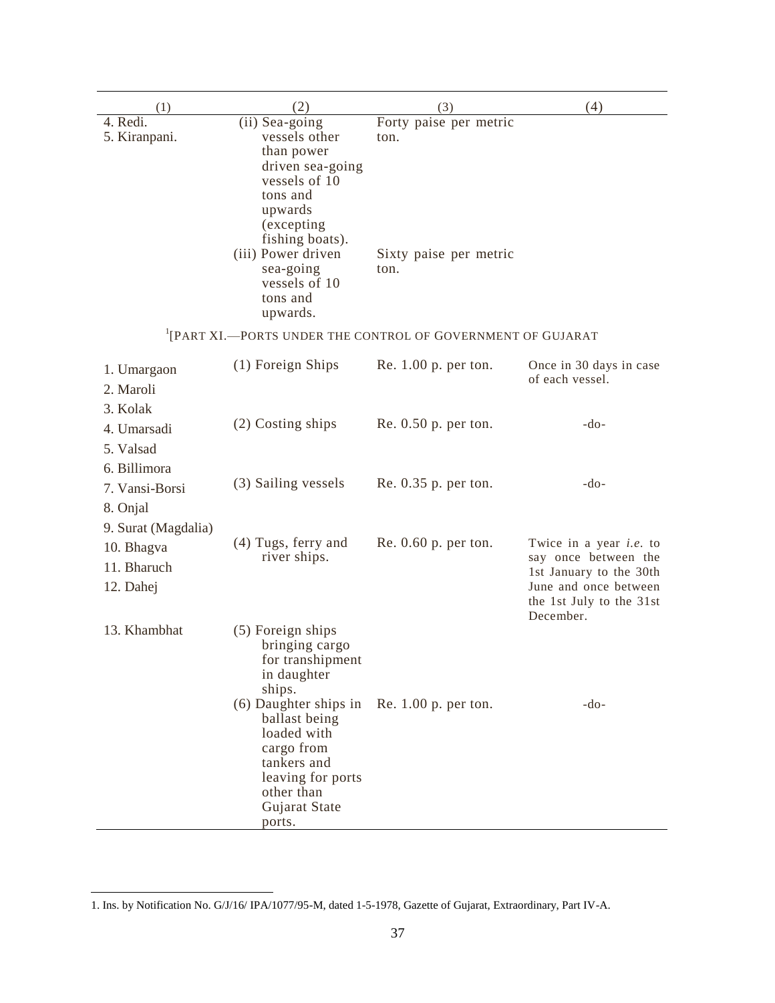| (1)                                               | (2)                                                                                                                                                                                                                     | (3)                                                                     | (4)                                                                                                                                                 |
|---------------------------------------------------|-------------------------------------------------------------------------------------------------------------------------------------------------------------------------------------------------------------------------|-------------------------------------------------------------------------|-----------------------------------------------------------------------------------------------------------------------------------------------------|
| Red <sub>1</sub><br>5. Kiranpani.                 | (ii) Sea-going<br>vessels other<br>than power<br>driven sea-going<br>vessels of 10<br>tons and<br>upwards<br>(excepting)<br>fishing boats).<br>(iii) Power driven<br>sea-going<br>vessels of 10<br>tons and<br>upwards. | Forty paise per metric<br>ton.<br>Sixty paise per metric<br>ton.        |                                                                                                                                                     |
|                                                   |                                                                                                                                                                                                                         | <sup>1</sup> [PART XI.-PORTS UNDER THE CONTROL OF GOVERNMENT OF GUJARAT |                                                                                                                                                     |
| 1. Umargaon<br>2. Maroli<br>3. Kolak              | (1) Foreign Ships                                                                                                                                                                                                       | Re. 1.00 p. per ton.                                                    | Once in 30 days in case<br>of each vessel.                                                                                                          |
| 4. Umarsadi<br>5. Valsad<br>6. Billimora          | (2) Costing ships                                                                                                                                                                                                       | Re. 0.50 p. per ton.                                                    | $-do-$                                                                                                                                              |
| 7. Vansi-Borsi<br>8. Onjal<br>9. Surat (Magdalia) | (3) Sailing vessels                                                                                                                                                                                                     | Re. 0.35 p. per ton.                                                    | $-do-$                                                                                                                                              |
| 10. Bhagva<br>11. Bharuch<br>12. Dahej            | (4) Tugs, ferry and<br>river ships.                                                                                                                                                                                     | $Re. 0.60$ p. per ton.                                                  | Twice in a year <i>i.e.</i> to<br>say once between the<br>1st January to the 30th<br>June and once between<br>the 1st July to the 31st<br>December. |
| 13. Khambhat                                      | (5) Foreign ships<br>bringing cargo<br>for transhipment<br>in daughter<br>ships.                                                                                                                                        |                                                                         |                                                                                                                                                     |
|                                                   | (6) Daughter ships in Re. 1.00 p. per ton.<br>ballast being<br>loaded with<br>cargo from<br>tankers and<br>leaving for ports<br>other than<br>Gujarat State<br>ports.                                                   |                                                                         | $-do-$                                                                                                                                              |

<sup>1.</sup> Ins. by Notification No. G/J/16/ IPA/1077/95-M, dated 1-5-1978, Gazette of Gujarat, Extraordinary, Part IV-A.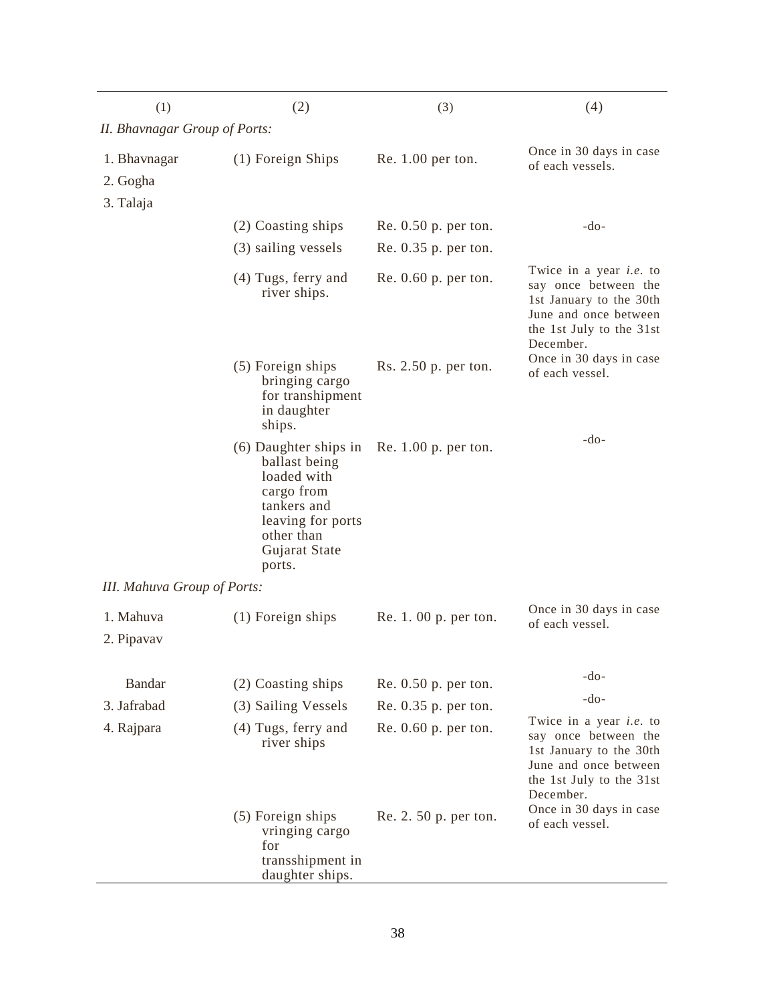| (1)                                | (2)                                                                                                                                              | (3)                    | (4)                                                                                                                                                 |  |
|------------------------------------|--------------------------------------------------------------------------------------------------------------------------------------------------|------------------------|-----------------------------------------------------------------------------------------------------------------------------------------------------|--|
| II. Bhavnagar Group of Ports:      |                                                                                                                                                  |                        |                                                                                                                                                     |  |
| 1. Bhavnagar                       | (1) Foreign Ships                                                                                                                                | $Re. 1.00$ per ton.    | Once in 30 days in case<br>of each vessels.                                                                                                         |  |
| 2. Gogha<br>3. Talaja              |                                                                                                                                                  |                        |                                                                                                                                                     |  |
|                                    | (2) Coasting ships                                                                                                                               | Re. 0.50 p. per ton.   | $-do-$                                                                                                                                              |  |
|                                    | (3) sailing vessels                                                                                                                              | Re. $0.35$ p. per ton. |                                                                                                                                                     |  |
|                                    | $(4)$ Tugs, ferry and<br>river ships.                                                                                                            | $Re. 0.60$ p. per ton. | Twice in a year <i>i.e.</i> to<br>say once between the<br>1st January to the 30th<br>June and once between<br>the 1st July to the 31st<br>December. |  |
|                                    | (5) Foreign ships<br>bringing cargo<br>for transhipment<br>in daughter<br>ships.                                                                 | Rs. 2.50 p. per ton.   | Once in 30 days in case<br>of each vessel.                                                                                                          |  |
|                                    | (6) Daughter ships in<br>ballast being<br>loaded with<br>cargo from<br>tankers and<br>leaving for ports<br>other than<br>Gujarat State<br>ports. | Re. $1.00$ p. per ton. | $-do-$                                                                                                                                              |  |
| <b>III.</b> Mahuva Group of Ports: |                                                                                                                                                  |                        |                                                                                                                                                     |  |
| 1. Mahuva<br>2. Pipavav            | $(1)$ Foreign ships                                                                                                                              | Re. 1. 00 p. per ton.  | Once in 30 days in case<br>of each vessel.                                                                                                          |  |
| Bandar                             | (2) Coasting ships                                                                                                                               | $Re. 0.50$ p. per ton. | $-do-$                                                                                                                                              |  |
| 3. Jafrabad                        | (3) Sailing Vessels                                                                                                                              | Re. 0.35 p. per ton.   | $-do-$                                                                                                                                              |  |
| 4. Rajpara                         | (4) Tugs, ferry and<br>river ships                                                                                                               | $Re. 0.60$ p. per ton. | Twice in a year <i>i.e.</i> to<br>say once between the<br>1st January to the 30th<br>June and once between<br>the 1st July to the 31st<br>December. |  |
|                                    | (5) Foreign ships<br>vringing cargo<br>for<br>transshipment in<br>daughter ships.                                                                | Re. 2. 50 p. per ton.  | Once in 30 days in case<br>of each vessel.                                                                                                          |  |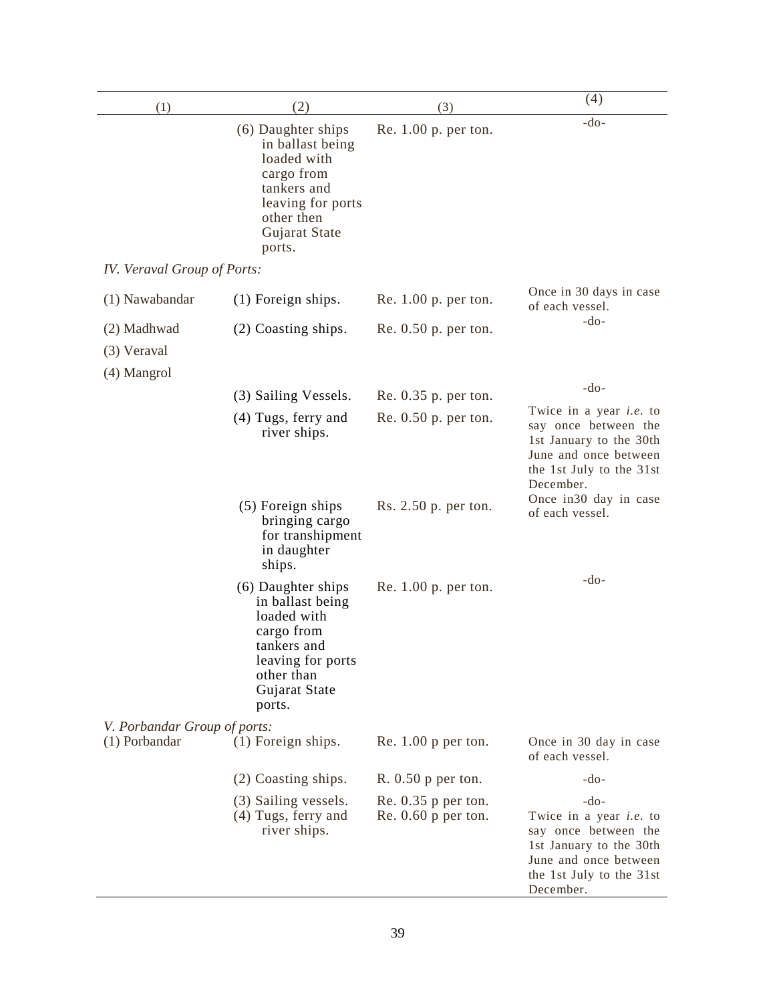| (1)                                       | (2)                                                                                                                                              | (3)                                            | (4)                                                                                                                                                           |
|-------------------------------------------|--------------------------------------------------------------------------------------------------------------------------------------------------|------------------------------------------------|---------------------------------------------------------------------------------------------------------------------------------------------------------------|
|                                           | (6) Daughter ships<br>in ballast being<br>loaded with<br>cargo from<br>tankers and<br>leaving for ports<br>other then<br>Gujarat State<br>ports. | Re. 1.00 p. per ton.                           | $-do-$                                                                                                                                                        |
| IV. Veraval Group of Ports:               |                                                                                                                                                  |                                                |                                                                                                                                                               |
| (1) Nawabandar                            | (1) Foreign ships.                                                                                                                               | Re. $1.00$ p. per ton.                         | Once in 30 days in case<br>of each vessel.                                                                                                                    |
| (2) Madhwad<br>(3) Veraval<br>(4) Mangrol | (2) Coasting ships.                                                                                                                              | Re. 0.50 p. per ton.                           | $-do-$                                                                                                                                                        |
|                                           | (3) Sailing Vessels.                                                                                                                             | Re. 0.35 p. per ton.                           | $-do-$                                                                                                                                                        |
|                                           | (4) Tugs, ferry and<br>river ships.                                                                                                              | Re. 0.50 p. per ton.                           | Twice in a year <i>i.e.</i> to<br>say once between the<br>1st January to the 30th<br>June and once between<br>the 1st July to the 31st<br>December.           |
|                                           | (5) Foreign ships<br>bringing cargo<br>for transhipment<br>in daughter<br>ships.                                                                 | Rs. 2.50 p. per ton.                           | Once in 30 day in case<br>of each vessel.                                                                                                                     |
|                                           | (6) Daughter ships<br>in ballast being<br>loaded with<br>cargo from<br>tankers and<br>leaving for ports<br>other than<br>Gujarat State<br>ports. | Re. 1.00 p. per ton.                           | -do-                                                                                                                                                          |
| V. Porbandar Group of ports:              |                                                                                                                                                  |                                                |                                                                                                                                                               |
| (1) Porbandar                             | (1) Foreign ships.                                                                                                                               | Re. $1.00$ p per ton.                          | Once in 30 day in case<br>of each vessel.                                                                                                                     |
|                                           | (2) Coasting ships.                                                                                                                              | $R. 0.50$ p per ton.                           | $-do-$                                                                                                                                                        |
|                                           | (3) Sailing vessels.<br>(4) Tugs, ferry and<br>river ships.                                                                                      | Re. $0.35$ p per ton.<br>$Re. 0.60$ p per ton. | $-do-$<br>Twice in a year <i>i.e.</i> to<br>say once between the<br>1st January to the 30th<br>June and once between<br>the 1st July to the 31st<br>December. |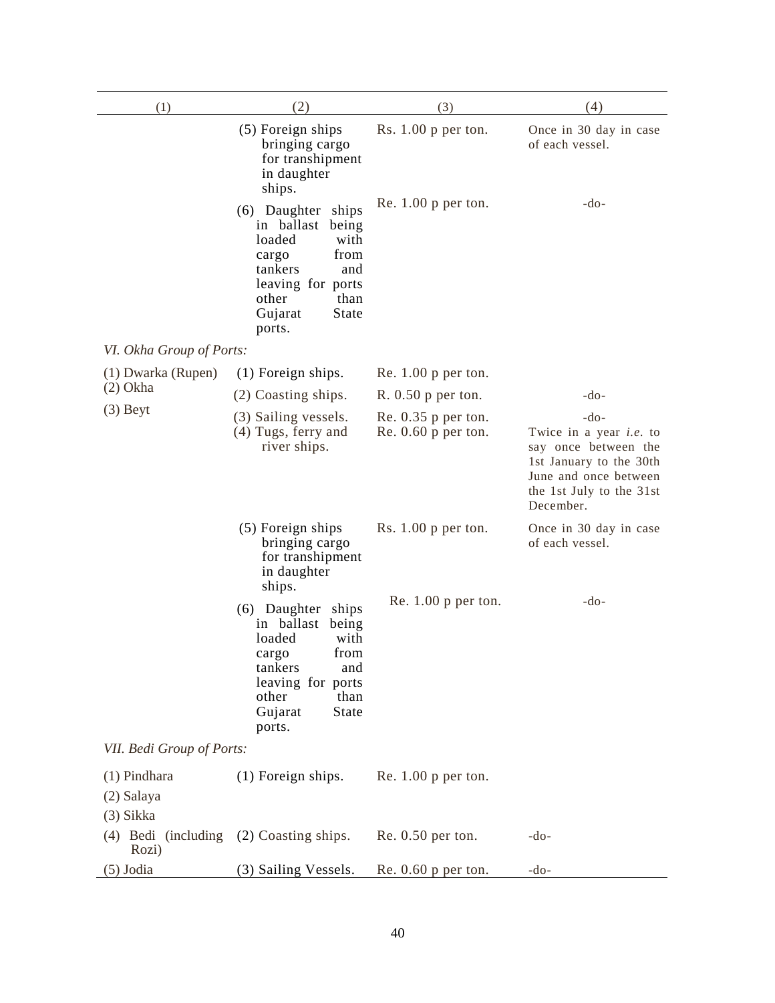| (1)                                         | (2)                                                                                                                                                                   | (3)                                            | (4)                                                                                                                                                           |
|---------------------------------------------|-----------------------------------------------------------------------------------------------------------------------------------------------------------------------|------------------------------------------------|---------------------------------------------------------------------------------------------------------------------------------------------------------------|
|                                             | (5) Foreign ships<br>bringing cargo<br>for transhipment<br>in daughter<br>ships.                                                                                      | Rs. $1.00$ p per ton.                          | Once in 30 day in case<br>of each vessel.                                                                                                                     |
|                                             | (6) Daughter<br>ships<br>in ballast<br>being<br>loaded<br>with<br>from<br>cargo<br>tankers<br>and<br>leaving for ports<br>other<br>than<br>Gujarat<br>State<br>ports. | Re. $1.00$ p per ton.                          | $-do-$                                                                                                                                                        |
| VI. Okha Group of Ports:                    |                                                                                                                                                                       |                                                |                                                                                                                                                               |
| (1) Dwarka (Rupen)                          | (1) Foreign ships.                                                                                                                                                    | Re. $1.00$ p per ton.                          |                                                                                                                                                               |
| $(2)$ Okha                                  | (2) Coasting ships.                                                                                                                                                   | $R. 0.50$ p per ton.                           | $-do-$                                                                                                                                                        |
| $(3)$ Beyt                                  | (3) Sailing vessels.<br>(4) Tugs, ferry and<br>river ships.                                                                                                           | Re. $0.35$ p per ton.<br>$Re. 0.60$ p per ton. | $-do-$<br>Twice in a year <i>i.e.</i> to<br>say once between the<br>1st January to the 30th<br>June and once between<br>the 1st July to the 31st<br>December. |
|                                             | (5) Foreign ships<br>bringing cargo<br>for transhipment<br>in daughter<br>ships.                                                                                      | Rs. $1.00$ p per ton.                          | Once in 30 day in case<br>of each vessel.                                                                                                                     |
|                                             | (6) Daughter<br>ships<br>in ballast<br>being<br>loaded<br>with<br>from<br>cargo<br>tankers<br>and<br>leaving for ports<br>other<br>than<br>Gujarat<br>State<br>ports. | Re. $1.00$ p per ton.                          | $-do-$                                                                                                                                                        |
| VII. Bedi Group of Ports:                   |                                                                                                                                                                       |                                                |                                                                                                                                                               |
| $(1)$ Pindhara<br>(2) Salaya<br>$(3)$ Sikka | (1) Foreign ships.                                                                                                                                                    | Re. $1.00$ p per ton.                          |                                                                                                                                                               |
| (4) Bedi (including<br>Rozi)                | (2) Coasting ships.                                                                                                                                                   | $Re. 0.50$ per ton.                            | $-do-$                                                                                                                                                        |
| $(5)$ Jodia                                 | (3) Sailing Vessels.                                                                                                                                                  | $Re. 0.60$ p per ton.                          | $-do-$                                                                                                                                                        |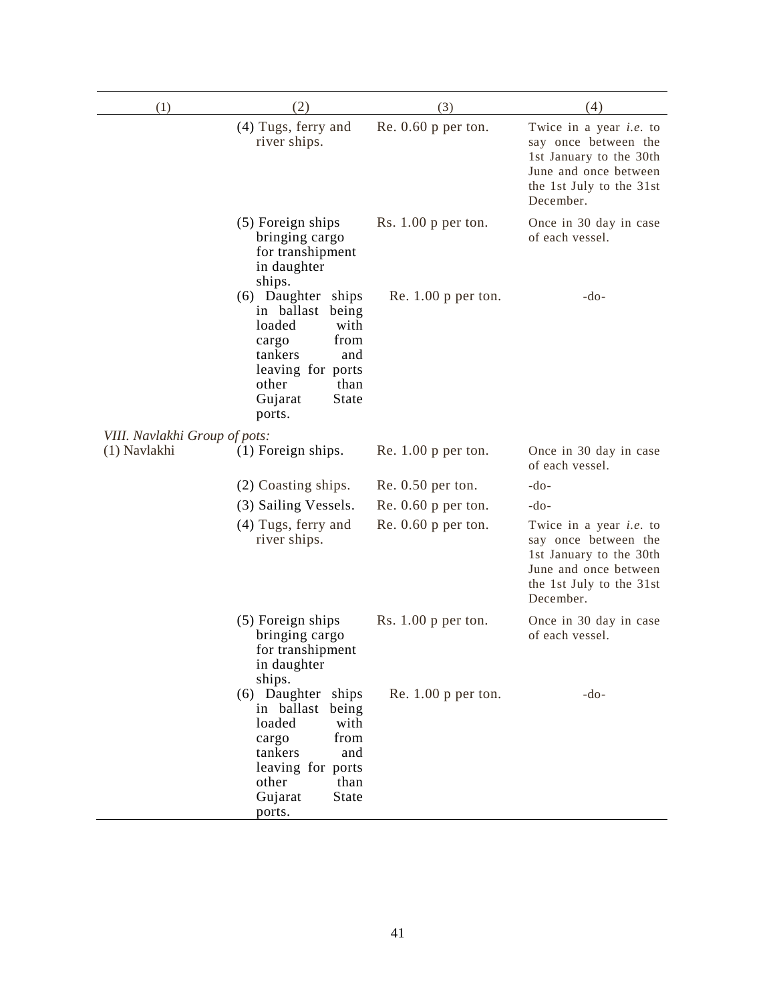| (1)                           | (2)                                                                                                                                                                       | (3)                   | (4)                                                                                                                                                 |
|-------------------------------|---------------------------------------------------------------------------------------------------------------------------------------------------------------------------|-----------------------|-----------------------------------------------------------------------------------------------------------------------------------------------------|
|                               | (4) Tugs, ferry and<br>river ships.                                                                                                                                       | $Re. 0.60$ p per ton. | Twice in a year <i>i.e.</i> to<br>say once between the<br>1st January to the 30th<br>June and once between<br>the 1st July to the 31st<br>December. |
|                               | (5) Foreign ships<br>bringing cargo<br>for transhipment<br>in daughter<br>ships.                                                                                          | Rs. $1.00$ p per ton. | Once in 30 day in case<br>of each vessel.                                                                                                           |
|                               | (6) Daughter ships<br>in ballast<br>being<br>loaded<br>with<br>from<br>cargo<br>tankers<br>and<br>leaving for ports<br>other<br>than<br>State<br>Gujarat<br>ports.        | Re. $1.00$ p per ton. | $-do-$                                                                                                                                              |
| VIII. Navlakhi Group of pots: |                                                                                                                                                                           |                       |                                                                                                                                                     |
| (1) Navlakhi                  | $(1)$ Foreign ships.                                                                                                                                                      | Re. $1.00$ p per ton. | Once in 30 day in case<br>of each vessel.                                                                                                           |
|                               | (2) Coasting ships.                                                                                                                                                       | $Re. 0.50$ per ton.   | -do-                                                                                                                                                |
|                               | (3) Sailing Vessels.                                                                                                                                                      | Re. $0.60$ p per ton. | $-do-$                                                                                                                                              |
|                               | (4) Tugs, ferry and<br>river ships.                                                                                                                                       | Re. $0.60$ p per ton. | Twice in a year <i>i.e.</i> to<br>say once between the<br>1st January to the 30th<br>June and once between<br>the 1st July to the 31st<br>December. |
|                               | (5) Foreign ships<br>bringing cargo<br>for transhipment<br>in daughter<br>ships.                                                                                          | Rs. $1.00$ p per ton. | Once in 30 day in case<br>of each vessel.                                                                                                           |
|                               | (6) Daughter ships<br>in ballast<br>being<br>loaded<br>with<br>from<br>cargo<br>tankers<br>and<br>leaving for ports<br>other<br>than<br>Gujarat<br><b>State</b><br>ports. | Re. $1.00$ p per ton. | $-do-$                                                                                                                                              |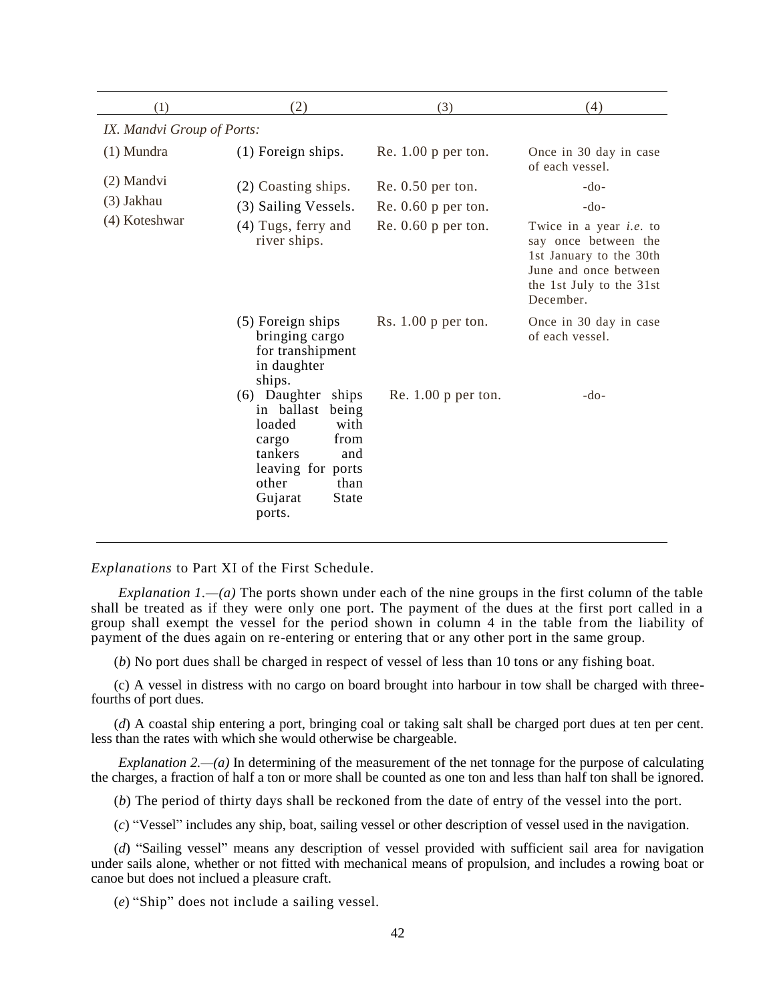| (1)                        | (2)                                                                                                                                                                   | (3)                   | (4)                                                                                                                                                 |  |
|----------------------------|-----------------------------------------------------------------------------------------------------------------------------------------------------------------------|-----------------------|-----------------------------------------------------------------------------------------------------------------------------------------------------|--|
| IX. Mandvi Group of Ports: |                                                                                                                                                                       |                       |                                                                                                                                                     |  |
| $(1)$ Mundra               | (1) Foreign ships.                                                                                                                                                    | Re. $1.00$ p per ton. | Once in 30 day in case<br>of each vessel.                                                                                                           |  |
| (2) Mandvi                 | (2) Coasting ships.                                                                                                                                                   | $Re. 0.50$ per ton.   | $-do-$                                                                                                                                              |  |
| (3) Jakhau                 | (3) Sailing Vessels.                                                                                                                                                  | Re. $0.60$ p per ton. | $-do-$                                                                                                                                              |  |
| (4) Koteshwar              | (4) Tugs, ferry and<br>river ships.                                                                                                                                   | Re. $0.60$ p per ton. | Twice in a year <i>i.e.</i> to<br>say once between the<br>1st January to the 30th<br>June and once between<br>the 1st July to the 31st<br>December. |  |
|                            | (5) Foreign ships<br>bringing cargo<br>for transhipment<br>in daughter<br>ships.                                                                                      | Rs. $1.00$ p per ton. | Once in 30 day in case<br>of each vessel.                                                                                                           |  |
|                            | (6) Daughter<br>ships<br>in ballast<br>being<br>loaded<br>with<br>from<br>cargo<br>tankers<br>and<br>leaving for ports<br>other<br>than<br>Gujarat<br>State<br>ports. | Re. $1.00$ p per ton. | $-do-$                                                                                                                                              |  |

*Explanations* to Part XI of the First Schedule.

*Explanation 1.—(a)* The ports shown under each of the nine groups in the first column of the table shall be treated as if they were only one port. The payment of the dues at the first port called in a group shall exempt the vessel for the period shown in column 4 in the table from the liability of payment of the dues again on re-entering or entering that or any other port in the same group.

(*b*) No port dues shall be charged in respect of vessel of less than 10 tons or any fishing boat.

(c) A vessel in distress with no cargo on board brought into harbour in tow shall be charged with threefourths of port dues.

(*d*) A coastal ship entering a port, bringing coal or taking salt shall be charged port dues at ten per cent. less than the rates with which she would otherwise be chargeable.

*Explanation 2.—(a)* In determining of the measurement of the net tonnage for the purpose of calculating the charges, a fraction of half a ton or more shall be counted as one ton and less than half ton shall be ignored.

(*b*) The period of thirty days shall be reckoned from the date of entry of the vessel into the port.

(*c*) "Vessel" includes any ship, boat, sailing vessel or other description of vessel used in the navigation.

(*d*) "Sailing vessel" means any description of vessel provided with sufficient sail area for navigation under sails alone, whether or not fitted with mechanical means of propulsion, and includes a rowing boat or canoe but does not inclued a pleasure craft.

(*e*) "Ship" does not include a sailing vessel.